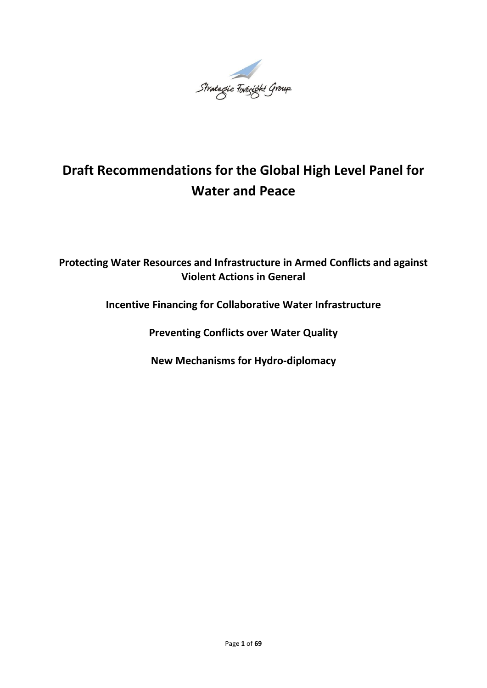

# **Draft Recommendations for the Global High Level Panel for Water and Peace**

# **Protecting Water Resources and Infrastructure in Armed Conflicts and against Violent Actions in General**

**Incentive Financing for Collaborative Water Infrastructure**

**Preventing Conflicts over Water Quality**

**New Mechanisms for Hydro-diplomacy**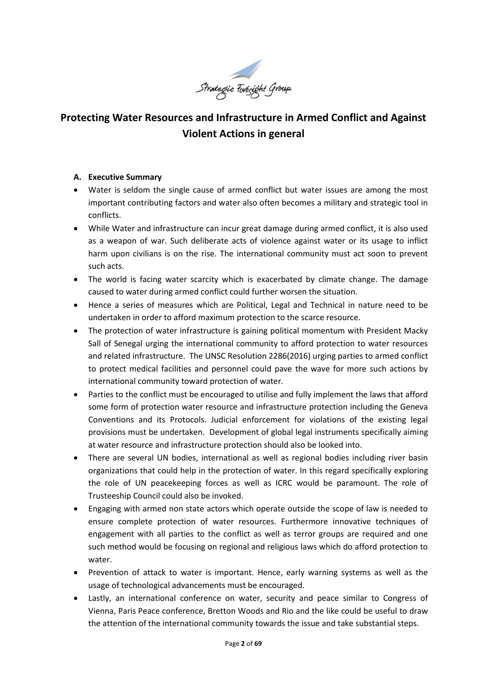

# **Protecting Water Resources and Infrastructure in Armed Conflict and Against Violent Actions in general**

#### **A. Executive Summary**

- Water is seldom the single cause of armed conflict but water issues are among the most important contributing factors and water also often becomes a military and strategic tool in conflicts.
- While Water and infrastructure can incur great damage during armed conflict, it is also used as a weapon of war. Such deliberate acts of violence against water or its usage to inflict harm upon civilians is on the rise. The international community must act soon to prevent such acts.
- The world is facing water scarcity which is exacerbated by climate change. The damage caused to water during armed conflict could further worsen the situation.
- Hence a series of measures which are Political, Legal and Technical in nature need to be undertaken in order to afford maximum protection to the scarce resource.
- The protection of water infrastructure is gaining political momentum with President Macky Sall of Senegal urging the international community to afford protection to water resources and related infrastructure. The UNSC Resolution 2286(2016) urging parties to armed conflict to protect medical facilities and personnel could pave the wave for more such actions by international community toward protection of water.
- Parties to the conflict must be encouraged to utilise and fully implement the laws that afford some form of protection water resource and infrastructure protection including the Geneva Conventions and its Protocols. Judicial enforcement for violations of the existing legal provisions must be undertaken. Development of global legal instruments specifically aiming at water resource and infrastructure protection should also be looked into.
- There are several UN bodies, international as well as regional bodies including river basin organizations that could help in the protection of water. In this regard specifically exploring the role of UN peacekeeping forces as well as ICRC would be paramount. The role of Trusteeship Council could also be invoked.
- Engaging with armed non state actors which operate outside the scope of law is needed to ensure complete protection of water resources. Furthermore innovative techniques of engagement with all parties to the conflict as well as terror groups are required and one such method would be focusing on regional and religious laws which do afford protection to water.
- Prevention of attack to water is important. Hence, early warning systems as well as the usage of technological advancements must be encouraged.
- Lastly, an international conference on water, security and peace similar to Congress of Vienna, Paris Peace conference, Bretton Woods and Rio and the like could be useful to draw the attention of the international community towards the issue and take substantial steps.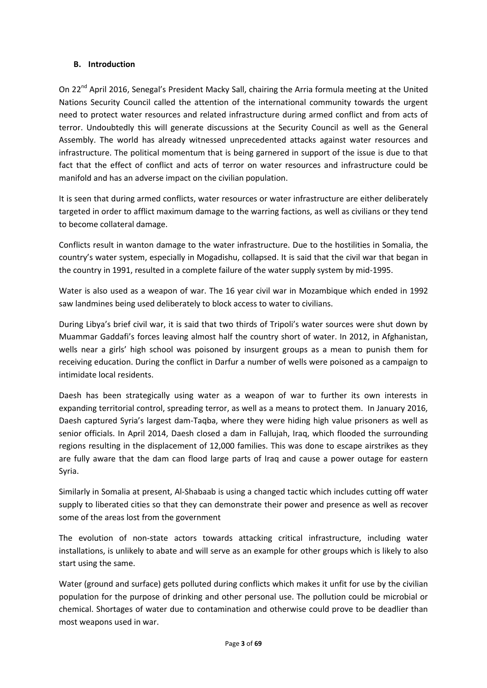#### **B. Introduction**

On 22<sup>nd</sup> April 2016, Senegal's President Macky Sall, chairing the Arria formula meeting at the United Nations Security Council called the attention of the international community towards the urgent need to protect water resources and related infrastructure during armed conflict and from acts of terror. Undoubtedly this will generate discussions at the Security Council as well as the General Assembly. The world has already witnessed unprecedented attacks against water resources and infrastructure. The political momentum that is being garnered in support of the issue is due to that fact that the effect of conflict and acts of terror on water resources and infrastructure could be manifold and has an adverse impact on the civilian population.

It is seen that during armed conflicts, water resources or water infrastructure are either deliberately targeted in order to afflict maximum damage to the warring factions, as well as civilians or they tend to become collateral damage.

Conflicts result in wanton damage to the water infrastructure. Due to the hostilities in Somalia, the country's water system, especially in Mogadishu, collapsed. It is said that the civil war that began in the country in 1991, resulted in a complete failure of the water supply system by mid-1995.

Water is also used as a weapon of war. The 16 year civil war in Mozambique which ended in 1992 saw landmines being used deliberately to block access to water to civilians.

During Libya's brief civil war, it is said that two thirds of Tripoli's water sources were shut down by Muammar Gaddafi's forces leaving almost half the country short of water. In 2012, in Afghanistan, wells near a girls' high school was poisoned by insurgent groups as a mean to punish them for receiving education. During the conflict in Darfur a number of wells were poisoned as a campaign to intimidate local residents.

Daesh has been strategically using water as a weapon of war to further its own interests in expanding territorial control, spreading terror, as well as a means to protect them. In January 2016, Daesh captured Syria's largest dam-Taqba, where they were hiding high value prisoners as well as senior officials. In April 2014, Daesh closed a dam in Fallujah, Iraq, which flooded the surrounding regions resulting in the displacement of 12,000 families. This was done to escape airstrikes as they are fully aware that the dam can flood large parts of Iraq and cause a power outage for eastern Syria.

Similarly in Somalia at present, Al-Shabaab is using a changed tactic which includes cutting off water supply to liberated cities so that they can demonstrate their power and presence as well as recover some of the areas lost from the government

The evolution of non-state actors towards attacking critical infrastructure, including water installations, is unlikely to abate and will serve as an example for other groups which is likely to also start using the same.

Water (ground and surface) gets polluted during conflicts which makes it unfit for use by the civilian population for the purpose of drinking and other personal use. The pollution could be microbial or chemical. Shortages of water due to contamination and otherwise could prove to be deadlier than most weapons used in war.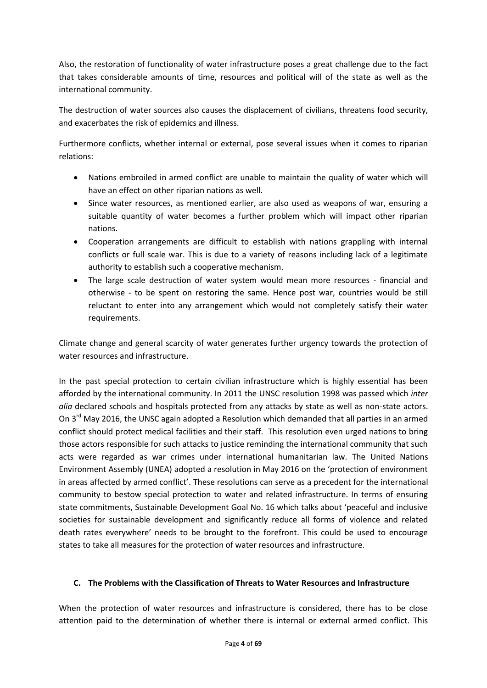Also, the restoration of functionality of water infrastructure poses a great challenge due to the fact that takes considerable amounts of time, resources and political will of the state as well as the international community.

The destruction of water sources also causes the displacement of civilians, threatens food security, and exacerbates the risk of epidemics and illness.

Furthermore conflicts, whether internal or external, pose several issues when it comes to riparian relations:

- Nations embroiled in armed conflict are unable to maintain the quality of water which will have an effect on other riparian nations as well.
- Since water resources, as mentioned earlier, are also used as weapons of war, ensuring a suitable quantity of water becomes a further problem which will impact other riparian nations.
- Cooperation arrangements are difficult to establish with nations grappling with internal conflicts or full scale war. This is due to a variety of reasons including lack of a legitimate authority to establish such a cooperative mechanism.
- The large scale destruction of water system would mean more resources financial and otherwise - to be spent on restoring the same. Hence post war, countries would be still reluctant to enter into any arrangement which would not completely satisfy their water requirements.

Climate change and general scarcity of water generates further urgency towards the protection of water resources and infrastructure.

In the past special protection to certain civilian infrastructure which is highly essential has been afforded by the international community. In 2011 the UNSC resolution 1998 was passed which *inter alia* declared schools and hospitals protected from any attacks by state as well as non-state actors. On 3<sup>rd</sup> May 2016, the UNSC again adopted a Resolution which demanded that all parties in an armed conflict should protect medical facilities and their staff. This resolution even urged nations to bring those actors responsible for such attacks to justice reminding the international community that such acts were regarded as war crimes under international humanitarian law. The United Nations Environment Assembly (UNEA) adopted a resolution in May 2016 on the 'protection of environment in areas affected by armed conflict'. These resolutions can serve as a precedent for the international community to bestow special protection to water and related infrastructure. In terms of ensuring state commitments, Sustainable Development Goal No. 16 which talks about 'peaceful and inclusive societies for sustainable development and significantly reduce all forms of violence and related death rates everywhere' needs to be brought to the forefront. This could be used to encourage states to take all measures for the protection of water resources and infrastructure.

# **C. The Problems with the Classification of Threats to Water Resources and Infrastructure**

When the protection of water resources and infrastructure is considered, there has to be close attention paid to the determination of whether there is internal or external armed conflict. This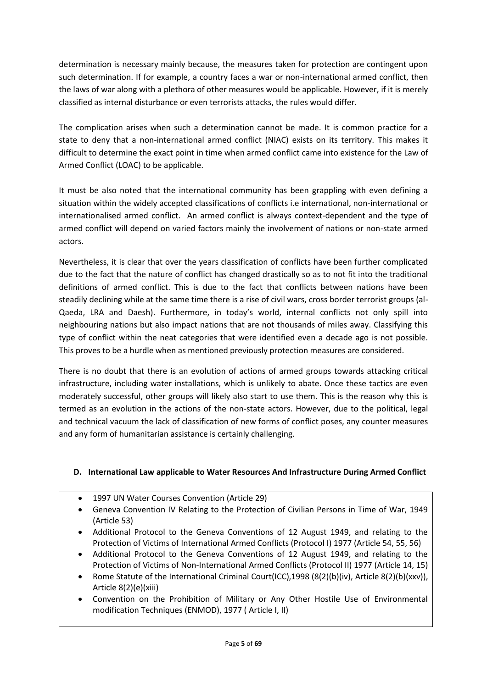determination is necessary mainly because, the measures taken for protection are contingent upon such determination. If for example, a country faces a war or non-international armed conflict, then the laws of war along with a plethora of other measures would be applicable. However, if it is merely classified as internal disturbance or even terrorists attacks, the rules would differ.

The complication arises when such a determination cannot be made. It is common practice for a state to deny that a non-international armed conflict (NIAC) exists on its territory. This makes it difficult to determine the exact point in time when armed conflict came into existence for the Law of Armed Conflict (LOAC) to be applicable.

It must be also noted that the international community has been grappling with even defining a situation within the widely accepted classifications of conflicts i.e international, non-international or internationalised armed conflict. An armed conflict is always context-dependent and the type of armed conflict will depend on varied factors mainly the involvement of nations or non-state armed actors.

Nevertheless, it is clear that over the years classification of conflicts have been further complicated due to the fact that the nature of conflict has changed drastically so as to not fit into the traditional definitions of armed conflict. This is due to the fact that conflicts between nations have been steadily declining while at the same time there is a rise of civil wars, cross border terrorist groups (al-Qaeda, LRA and Daesh). Furthermore, in today's world, internal conflicts not only spill into neighbouring nations but also impact nations that are not thousands of miles away. Classifying this type of conflict within the neat categories that were identified even a decade ago is not possible. This proves to be a hurdle when as mentioned previously protection measures are considered.

There is no doubt that there is an evolution of actions of armed groups towards attacking critical infrastructure, including water installations, which is unlikely to abate. Once these tactics are even moderately successful, other groups will likely also start to use them. This is the reason why this is termed as an evolution in the actions of the non-state actors. However, due to the political, legal and technical vacuum the lack of classification of new forms of conflict poses, any counter measures and any form of humanitarian assistance is certainly challenging.

# **D. International Law applicable to Water Resources And Infrastructure During Armed Conflict**

- 1997 UN Water Courses Convention (Article 29)
- Geneva Convention IV Relating to the Protection of Civilian Persons in Time of War, 1949 (Article 53)
- Additional Protocol to the Geneva Conventions of 12 August 1949, and relating to the Protection of Victims of International Armed Conflicts (Protocol I) 1977 (Article 54, 55, 56)
- Additional Protocol to the Geneva Conventions of 12 August 1949, and relating to the Protection of Victims of Non-International Armed Conflicts (Protocol II) 1977 (Article 14, 15)
- Rome Statute of the International Criminal Court(ICC),1998 (8(2)(b)(iv), Article 8(2)(b)(xxv)), Article 8(2)(e)(xiii)
- Convention on the Prohibition of Military or Any Other Hostile Use of Environmental modification Techniques (ENMOD), 1977 ( Article I, II)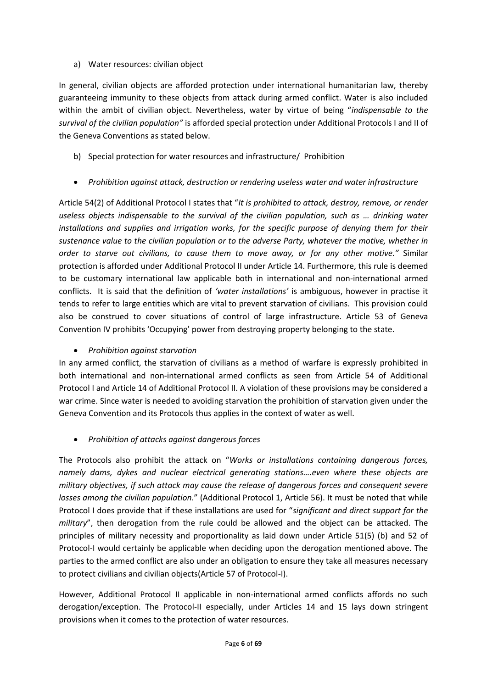#### a) Water resources: civilian object

In general, civilian objects are afforded protection under international humanitarian law, thereby guaranteeing immunity to these objects from attack during armed conflict. Water is also included within the ambit of civilian object. Nevertheless, water by virtue of being "*indispensable to the survival of the civilian population"* is afforded special protection under Additional Protocols I and II of the Geneva Conventions as stated below.

- b) Special protection for water resources and infrastructure/ Prohibition
- *Prohibition against attack, destruction or rendering useless water and water infrastructure*

Article 54(2) of Additional Protocol I states that "*It is prohibited to attack, destroy, remove, or render useless objects indispensable to the survival of the civilian population, such as ... drinking water installations and supplies and irrigation works, for the specific purpose of denying them for their sustenance value to the civilian population or to the adverse Party, whatever the motive, whether in order to starve out civilians, to cause them to move away, or for any other motive."* Similar protection is afforded under Additional Protocol II under Article 14. Furthermore, this rule is deemed to be customary international law applicable both in international and non-international armed conflicts. It is said that the definition of *'water installations'* is ambiguous, however in practise it tends to refer to large entities which are vital to prevent starvation of civilians. This provision could also be construed to cover situations of control of large infrastructure. Article 53 of Geneva Convention IV prohibits 'Occupying' power from destroying property belonging to the state.

# *Prohibition against starvation*

In any armed conflict, the starvation of civilians as a method of warfare is expressly prohibited in both international and non-international armed conflicts as seen from Article 54 of Additional Protocol I and Article 14 of Additional Protocol II. A violation of these provisions may be considered a war crime. Since water is needed to avoiding starvation the prohibition of starvation given under the Geneva Convention and its Protocols thus applies in the context of water as well.

# *Prohibition of attacks against dangerous forces*

The Protocols also prohibit the attack on "*Works or installations containing dangerous forces, namely dams, dykes and nuclear electrical generating stations….even where these objects are military objectives, if such attack may cause the release of dangerous forces and consequent severe losses among the civilian population*." (Additional Protocol 1, Article 56). It must be noted that while Protocol I does provide that if these installations are used for "*significant and direct support for the military*", then derogation from the rule could be allowed and the object can be attacked. The principles of military necessity and proportionality as laid down under Article 51(5) (b) and 52 of Protocol-I would certainly be applicable when deciding upon the derogation mentioned above. The parties to the armed conflict are also under an obligation to ensure they take all measures necessary to protect civilians and civilian objects(Article 57 of Protocol-I).

However, Additional Protocol II applicable in non-international armed conflicts affords no such derogation/exception. The Protocol-II especially, under Articles 14 and 15 lays down stringent provisions when it comes to the protection of water resources.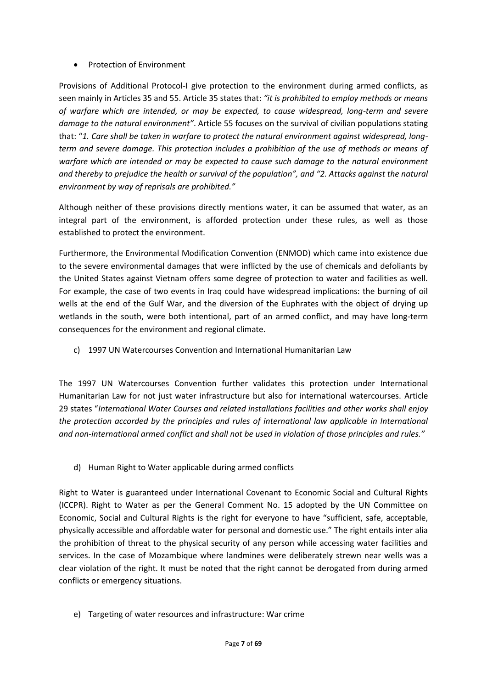#### Protection of Environment

Provisions of Additional Protocol-I give protection to the environment during armed conflicts, as seen mainly in Articles 35 and 55. Article 35 states that: *"it is prohibited to employ methods or means of warfare which are intended, or may be expected, to cause widespread, long-term and severe damage to the natural environment"*. Article 55 focuses on the survival of civilian populations stating that: "*1. Care shall be taken in warfare to protect the natural environment against widespread, longterm and severe damage. This protection includes a prohibition of the use of methods or means of warfare which are intended or may be expected to cause such damage to the natural environment and thereby to prejudice the health or survival of the population", and "2. Attacks against the natural environment by way of reprisals are prohibited."*

Although neither of these provisions directly mentions water, it can be assumed that water, as an integral part of the environment, is afforded protection under these rules, as well as those established to protect the environment.

Furthermore, the Environmental Modification Convention (ENMOD) which came into existence due to the severe environmental damages that were inflicted by the use of chemicals and defoliants by the United States against Vietnam offers some degree of protection to water and facilities as well. For example, the case of two events in Iraq could have widespread implications: the burning of oil wells at the end of the Gulf War, and the diversion of the Euphrates with the object of drying up wetlands in the south, were both intentional, part of an armed conflict, and may have long-term consequences for the environment and regional climate.

c) 1997 UN Watercourses Convention and International Humanitarian Law

The 1997 UN Watercourses Convention further validates this protection under International Humanitarian Law for not just water infrastructure but also for international watercourses. Article 29 states "*International Water Courses and related installations facilities and other works shall enjoy the protection accorded by the principles and rules of international law applicable in International and non-international armed conflict and shall not be used in violation of those principles and rules."*

d) Human Right to Water applicable during armed conflicts

Right to Water is guaranteed under International Covenant to Economic Social and Cultural Rights (ICCPR). Right to Water as per the General Comment No. 15 adopted by the UN Committee on Economic, Social and Cultural Rights is the right for everyone to have "sufficient, safe, acceptable, physically accessible and affordable water for personal and domestic use." The right entails inter alia the prohibition of threat to the physical security of any person while accessing water facilities and services. In the case of Mozambique where landmines were deliberately strewn near wells was a clear violation of the right. It must be noted that the right cannot be derogated from during armed conflicts or emergency situations.

e) Targeting of water resources and infrastructure: War crime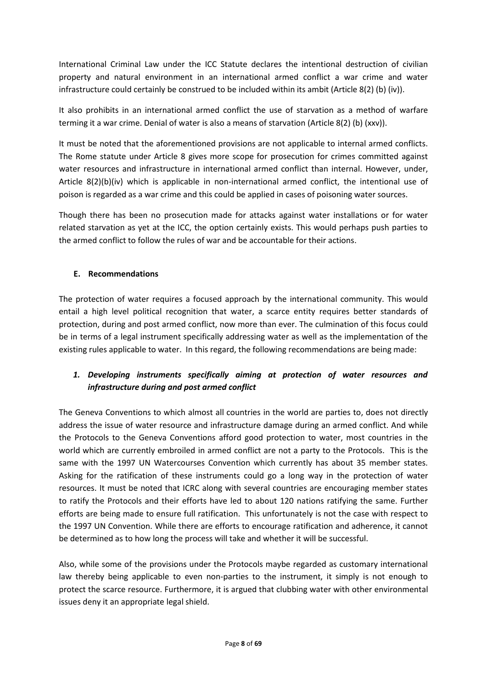International Criminal Law under the ICC Statute declares the intentional destruction of civilian property and natural environment in an international armed conflict a war crime and water infrastructure could certainly be construed to be included within its ambit (Article 8(2) (b) (iv)).

It also prohibits in an international armed conflict the use of starvation as a method of warfare terming it a war crime. Denial of water is also a means of starvation (Article 8(2) (b) (xxv)).

It must be noted that the aforementioned provisions are not applicable to internal armed conflicts. The Rome statute under Article 8 gives more scope for prosecution for crimes committed against water resources and infrastructure in international armed conflict than internal. However, under, Article 8(2)(b)(iv) which is applicable in non-international armed conflict, the intentional use of poison is regarded as a war crime and this could be applied in cases of poisoning water sources.

Though there has been no prosecution made for attacks against water installations or for water related starvation as yet at the ICC, the option certainly exists. This would perhaps push parties to the armed conflict to follow the rules of war and be accountable for their actions.

#### **E. Recommendations**

The protection of water requires a focused approach by the international community. This would entail a high level political recognition that water, a scarce entity requires better standards of protection, during and post armed conflict, now more than ever. The culmination of this focus could be in terms of a legal instrument specifically addressing water as well as the implementation of the existing rules applicable to water. In this regard, the following recommendations are being made:

# *1. Developing instruments specifically aiming at protection of water resources and infrastructure during and post armed conflict*

The Geneva Conventions to which almost all countries in the world are parties to, does not directly address the issue of water resource and infrastructure damage during an armed conflict. And while the Protocols to the Geneva Conventions afford good protection to water, most countries in the world which are currently embroiled in armed conflict are not a party to the Protocols. This is the same with the 1997 UN Watercourses Convention which currently has about 35 member states. Asking for the ratification of these instruments could go a long way in the protection of water resources. It must be noted that ICRC along with several countries are encouraging member states to ratify the Protocols and their efforts have led to about 120 nations ratifying the same. Further efforts are being made to ensure full ratification. This unfortunately is not the case with respect to the 1997 UN Convention. While there are efforts to encourage ratification and adherence, it cannot be determined as to how long the process will take and whether it will be successful.

Also, while some of the provisions under the Protocols maybe regarded as customary international law thereby being applicable to even non-parties to the instrument, it simply is not enough to protect the scarce resource. Furthermore, it is argued that clubbing water with other environmental issues deny it an appropriate legal shield.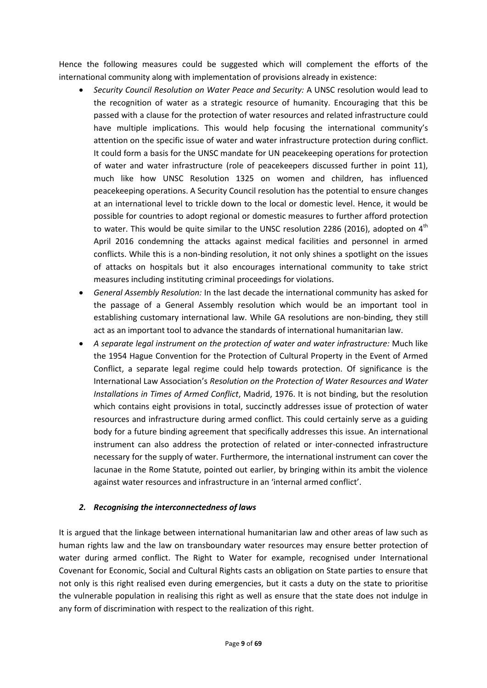Hence the following measures could be suggested which will complement the efforts of the international community along with implementation of provisions already in existence:

- *Security Council Resolution on Water Peace and Security:* A UNSC resolution would lead to the recognition of water as a strategic resource of humanity. Encouraging that this be passed with a clause for the protection of water resources and related infrastructure could have multiple implications. This would help focusing the international community's attention on the specific issue of water and water infrastructure protection during conflict. It could form a basis for the UNSC mandate for UN peacekeeping operations for protection of water and water infrastructure (role of peacekeepers discussed further in point 11), much like how UNSC Resolution 1325 on women and children, has influenced peacekeeping operations. A Security Council resolution has the potential to ensure changes at an international level to trickle down to the local or domestic level. Hence, it would be possible for countries to adopt regional or domestic measures to further afford protection to water. This would be quite similar to the UNSC resolution 2286 (2016), adopted on  $4<sup>th</sup>$ April 2016 condemning the attacks against medical facilities and personnel in armed conflicts. While this is a non-binding resolution, it not only shines a spotlight on the issues of attacks on hospitals but it also encourages international community to take strict measures including instituting criminal proceedings for violations.
- *General Assembly Resolution:* In the last decade the international community has asked for the passage of a General Assembly resolution which would be an important tool in establishing customary international law. While GA resolutions are non-binding, they still act as an important tool to advance the standards of international humanitarian law.
- *A separate legal instrument on the protection of water and water infrastructure:* Much like the 1954 Hague Convention for the Protection of Cultural Property in the Event of Armed Conflict, a separate legal regime could help towards protection. Of significance is the International Law Association's *Resolution on the Protection of Water Resources and Water Installations in Times of Armed Conflict*, Madrid, 1976. It is not binding, but the resolution which contains eight provisions in total, succinctly addresses issue of protection of water resources and infrastructure during armed conflict. This could certainly serve as a guiding body for a future binding agreement that specifically addresses this issue. An international instrument can also address the protection of related or inter-connected infrastructure necessary for the supply of water. Furthermore, the international instrument can cover the lacunae in the Rome Statute, pointed out earlier, by bringing within its ambit the violence against water resources and infrastructure in an 'internal armed conflict'.

# *2. Recognising the interconnectedness of laws*

It is argued that the linkage between international humanitarian law and other areas of law such as human rights law and the law on transboundary water resources may ensure better protection of water during armed conflict. The Right to Water for example, recognised under International Covenant for Economic, Social and Cultural Rights casts an obligation on State parties to ensure that not only is this right realised even during emergencies, but it casts a duty on the state to prioritise the vulnerable population in realising this right as well as ensure that the state does not indulge in any form of discrimination with respect to the realization of this right.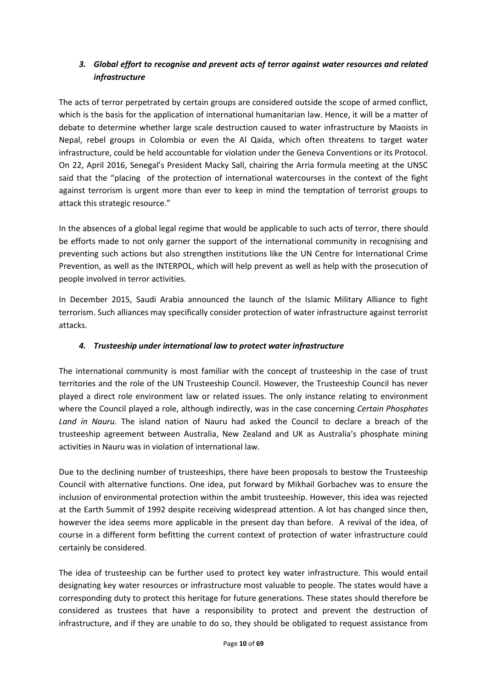# *3. Global effort to recognise and prevent acts of terror against water resources and related infrastructure*

The acts of terror perpetrated by certain groups are considered outside the scope of armed conflict, which is the basis for the application of international humanitarian law. Hence, it will be a matter of debate to determine whether large scale destruction caused to water infrastructure by Maoists in Nepal, rebel groups in Colombia or even the Al Qaida, which often threatens to target water infrastructure, could be held accountable for violation under the Geneva Conventions or its Protocol. On 22, April 2016, Senegal's President Macky Sall, chairing the Arria formula meeting at the UNSC said that the "placing of the protection of international watercourses in the context of the fight against terrorism is urgent more than ever to keep in mind the temptation of terrorist groups to attack this strategic resource."

In the absences of a global legal regime that would be applicable to such acts of terror, there should be efforts made to not only garner the support of the international community in recognising and preventing such actions but also strengthen institutions like the UN Centre for International Crime Prevention, as well as the INTERPOL, which will help prevent as well as help with the prosecution of people involved in terror activities.

In December 2015, Saudi Arabia announced the launch of the Islamic Military Alliance to fight terrorism. Such alliances may specifically consider protection of water infrastructure against terrorist attacks.

# *4. Trusteeship under international law to protect water infrastructure*

The international community is most familiar with the concept of trusteeship in the case of trust territories and the role of the UN Trusteeship Council. However, the Trusteeship Council has never played a direct role environment law or related issues. The only instance relating to environment where the Council played a role, although indirectly, was in the case concerning *Certain Phosphates Land in Nauru.* The island nation of Nauru had asked the Council to declare a breach of the trusteeship agreement between Australia, New Zealand and UK as Australia's phosphate mining activities in Nauru was in violation of international law.

Due to the declining number of trusteeships, there have been proposals to bestow the Trusteeship Council with alternative functions. One idea, put forward by Mikhail Gorbachev was to ensure the inclusion of environmental protection within the ambit trusteeship. However, this idea was rejected at the Earth Summit of 1992 despite receiving widespread attention. A lot has changed since then, however the idea seems more applicable in the present day than before. A revival of the idea, of course in a different form befitting the current context of protection of water infrastructure could certainly be considered.

The idea of trusteeship can be further used to protect key water infrastructure. This would entail designating key water resources or infrastructure most valuable to people. The states would have a corresponding duty to protect this heritage for future generations. These states should therefore be considered as trustees that have a responsibility to protect and prevent the destruction of infrastructure, and if they are unable to do so, they should be obligated to request assistance from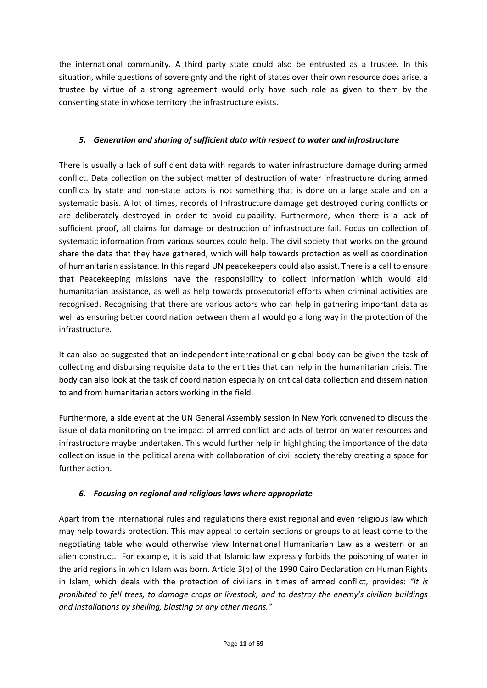the international community. A third party state could also be entrusted as a trustee. In this situation, while questions of sovereignty and the right of states over their own resource does arise, a trustee by virtue of a strong agreement would only have such role as given to them by the consenting state in whose territory the infrastructure exists.

# *5. Generation and sharing of sufficient data with respect to water and infrastructure*

There is usually a lack of sufficient data with regards to water infrastructure damage during armed conflict. Data collection on the subject matter of destruction of water infrastructure during armed conflicts by state and non-state actors is not something that is done on a large scale and on a systematic basis. A lot of times, records of Infrastructure damage get destroyed during conflicts or are deliberately destroyed in order to avoid culpability. Furthermore, when there is a lack of sufficient proof, all claims for damage or destruction of infrastructure fail. Focus on collection of systematic information from various sources could help. The civil society that works on the ground share the data that they have gathered, which will help towards protection as well as coordination of humanitarian assistance. In this regard UN peacekeepers could also assist. There is a call to ensure that Peacekeeping missions have the responsibility to collect information which would aid humanitarian assistance, as well as help towards prosecutorial efforts when criminal activities are recognised. Recognising that there are various actors who can help in gathering important data as well as ensuring better coordination between them all would go a long way in the protection of the infrastructure.

It can also be suggested that an independent international or global body can be given the task of collecting and disbursing requisite data to the entities that can help in the humanitarian crisis. The body can also look at the task of coordination especially on critical data collection and dissemination to and from humanitarian actors working in the field.

Furthermore, a side event at the UN General Assembly session in New York convened to discuss the issue of data monitoring on the impact of armed conflict and acts of terror on water resources and infrastructure maybe undertaken. This would further help in highlighting the importance of the data collection issue in the political arena with collaboration of civil society thereby creating a space for further action.

# *6. Focusing on regional and religious laws where appropriate*

Apart from the international rules and regulations there exist regional and even religious law which may help towards protection. This may appeal to certain sections or groups to at least come to the negotiating table who would otherwise view International Humanitarian Law as a western or an alien construct. For example, it is said that Islamic law expressly forbids the poisoning of water in the arid regions in which Islam was born. Article 3(b) of the 1990 Cairo Declaration on Human Rights in Islam, which deals with the protection of civilians in times of armed conflict, provides: *"It is prohibited to fell trees, to damage crops or livestock, and to destroy the enemy's civilian buildings and installations by shelling, blasting or any other means."*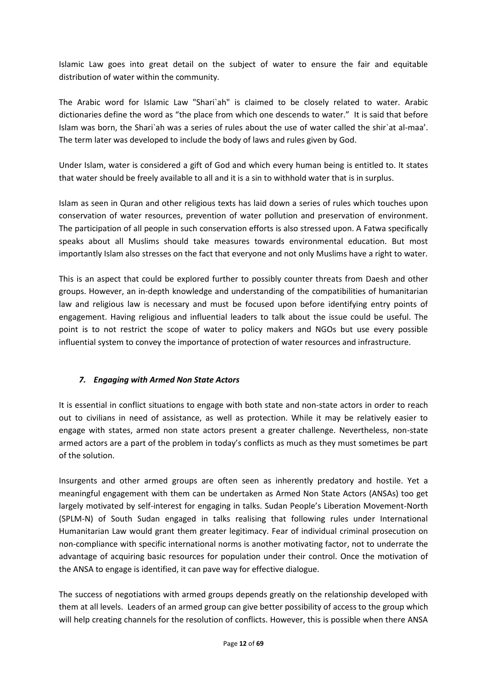Islamic Law goes into great detail on the subject of water to ensure the fair and equitable distribution of water within the community.

The Arabic word for Islamic Law "Shari`ah" is claimed to be closely related to water. Arabic dictionaries define the word as "the place from which one descends to water." It is said that before Islam was born, the Shari'ah was a series of rules about the use of water called the shir'at al-maa'. The term later was developed to include the body of laws and rules given by God.

Under Islam, water is considered a gift of God and which every human being is entitled to. It states that water should be freely available to all and it is a sin to withhold water that is in surplus.

Islam as seen in Quran and other religious texts has laid down a series of rules which touches upon conservation of water resources, prevention of water pollution and preservation of environment. The participation of all people in such conservation efforts is also stressed upon. A Fatwa specifically speaks about all Muslims should take measures towards environmental education. But most importantly Islam also stresses on the fact that everyone and not only Muslims have a right to water.

This is an aspect that could be explored further to possibly counter threats from Daesh and other groups. However, an in-depth knowledge and understanding of the compatibilities of humanitarian law and religious law is necessary and must be focused upon before identifying entry points of engagement. Having religious and influential leaders to talk about the issue could be useful. The point is to not restrict the scope of water to policy makers and NGOs but use every possible influential system to convey the importance of protection of water resources and infrastructure.

# *7. Engaging with Armed Non State Actors*

It is essential in conflict situations to engage with both state and non-state actors in order to reach out to civilians in need of assistance, as well as protection. While it may be relatively easier to engage with states, armed non state actors present a greater challenge. Nevertheless, non-state armed actors are a part of the problem in today's conflicts as much as they must sometimes be part of the solution.

Insurgents and other armed groups are often seen as inherently predatory and hostile. Yet a meaningful engagement with them can be undertaken as Armed Non State Actors (ANSAs) too get largely motivated by self-interest for engaging in talks. Sudan People's Liberation Movement-North (SPLM-N) of South Sudan engaged in talks realising that following rules under International Humanitarian Law would grant them greater legitimacy. Fear of individual criminal prosecution on non-compliance with specific international norms is another motivating factor, not to underrate the advantage of acquiring basic resources for population under their control. Once the motivation of the ANSA to engage is identified, it can pave way for effective dialogue.

The success of negotiations with armed groups depends greatly on the relationship developed with them at all levels. Leaders of an armed group can give better possibility of access to the group which will help creating channels for the resolution of conflicts. However, this is possible when there ANSA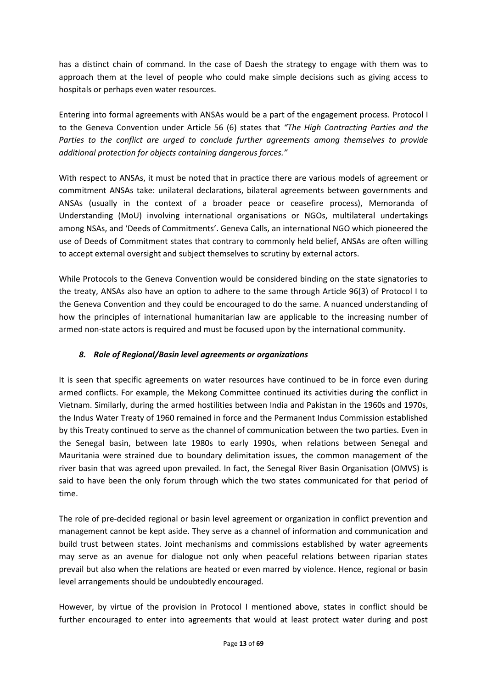has a distinct chain of command. In the case of Daesh the strategy to engage with them was to approach them at the level of people who could make simple decisions such as giving access to hospitals or perhaps even water resources.

Entering into formal agreements with ANSAs would be a part of the engagement process. Protocol I to the Geneva Convention under Article 56 (6) states that *"The High Contracting Parties and the Parties to the conflict are urged to conclude further agreements among themselves to provide additional protection for objects containing dangerous forces."*

With respect to ANSAs, it must be noted that in practice there are various models of agreement or commitment ANSAs take: unilateral declarations, bilateral agreements between governments and ANSAs (usually in the context of a broader peace or ceasefire process), Memoranda of Understanding (MoU) involving international organisations or NGOs, multilateral undertakings among NSAs, and 'Deeds of Commitments'. Geneva Calls, an international NGO which pioneered the use of Deeds of Commitment states that contrary to commonly held belief, ANSAs are often willing to accept external oversight and subject themselves to scrutiny by external actors.

While Protocols to the Geneva Convention would be considered binding on the state signatories to the treaty, ANSAs also have an option to adhere to the same through Article 96(3) of Protocol I to the Geneva Convention and they could be encouraged to do the same. A nuanced understanding of how the principles of international humanitarian law are applicable to the increasing number of armed non-state actors is required and must be focused upon by the international community.

# *8. Role of Regional/Basin level agreements or organizations*

It is seen that specific agreements on water resources have continued to be in force even during armed conflicts. For example, the Mekong Committee continued its activities during the conflict in Vietnam. Similarly, during the armed hostilities between India and Pakistan in the 1960s and 1970s, the Indus Water Treaty of 1960 remained in force and the Permanent Indus Commission established by this Treaty continued to serve as the channel of communication between the two parties. Even in the Senegal basin, between late 1980s to early 1990s, when relations between Senegal and Mauritania were strained due to boundary delimitation issues, the common management of the river basin that was agreed upon prevailed. In fact, the Senegal River Basin Organisation (OMVS) is said to have been the only forum through which the two states communicated for that period of time.

The role of pre-decided regional or basin level agreement or organization in conflict prevention and management cannot be kept aside. They serve as a channel of information and communication and build trust between states. Joint mechanisms and commissions established by water agreements may serve as an avenue for dialogue not only when peaceful relations between riparian states prevail but also when the relations are heated or even marred by violence. Hence, regional or basin level arrangements should be undoubtedly encouraged.

However, by virtue of the provision in Protocol I mentioned above, states in conflict should be further encouraged to enter into agreements that would at least protect water during and post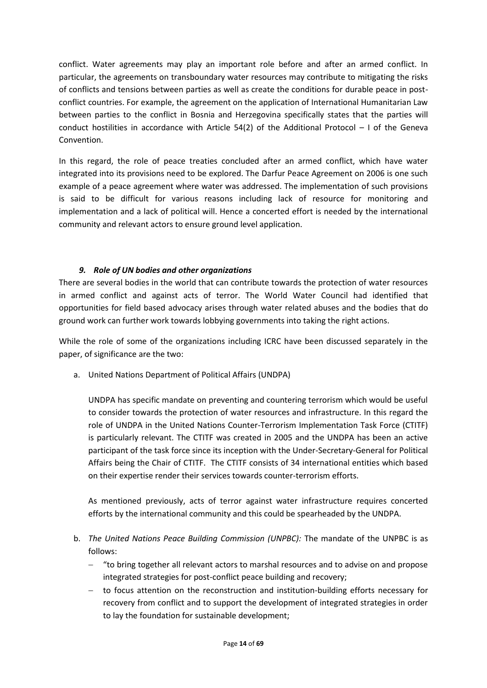conflict. Water agreements may play an important role before and after an armed conflict. In particular, the agreements on transboundary water resources may contribute to mitigating the risks of conflicts and tensions between parties as well as create the conditions for durable peace in postconflict countries. For example, the agreement on the application of International Humanitarian Law between parties to the conflict in Bosnia and Herzegovina specifically states that the parties will conduct hostilities in accordance with Article 54(2) of the Additional Protocol – I of the Geneva Convention.

In this regard, the role of peace treaties concluded after an armed conflict, which have water integrated into its provisions need to be explored. The Darfur Peace Agreement on 2006 is one such example of a peace agreement where water was addressed. The implementation of such provisions is said to be difficult for various reasons including lack of resource for monitoring and implementation and a lack of political will. Hence a concerted effort is needed by the international community and relevant actors to ensure ground level application.

#### *9. Role of UN bodies and other organizations*

There are several bodies in the world that can contribute towards the protection of water resources in armed conflict and against acts of terror. The World Water Council had identified that opportunities for field based advocacy arises through water related abuses and the bodies that do ground work can further work towards lobbying governments into taking the right actions.

While the role of some of the organizations including ICRC have been discussed separately in the paper, of significance are the two:

a. United Nations Department of Political Affairs (UNDPA)

UNDPA has specific mandate on preventing and countering terrorism which would be useful to consider towards the protection of water resources and infrastructure. In this regard the role of UNDPA in the United Nations Counter-Terrorism Implementation Task Force (CTITF) is particularly relevant. The CTITF was created in 2005 and the UNDPA has been an active participant of the task force since its inception with the Under-Secretary-General for Political Affairs being the Chair of CTITF. The CTITF consists of 34 international entities which based on their expertise render their services towards counter-terrorism efforts.

As mentioned previously, acts of terror against water infrastructure requires concerted efforts by the international community and this could be spearheaded by the UNDPA.

- b. *The United Nations Peace Building Commission (UNPBC):* The mandate of the UNPBC is as follows:
	- "to bring together all relevant actors to marshal resources and to advise on and propose integrated strategies for post-conflict peace building and recovery;
	- to focus attention on the reconstruction and institution-building efforts necessary for recovery from conflict and to support the development of integrated strategies in order to lay the foundation for sustainable development;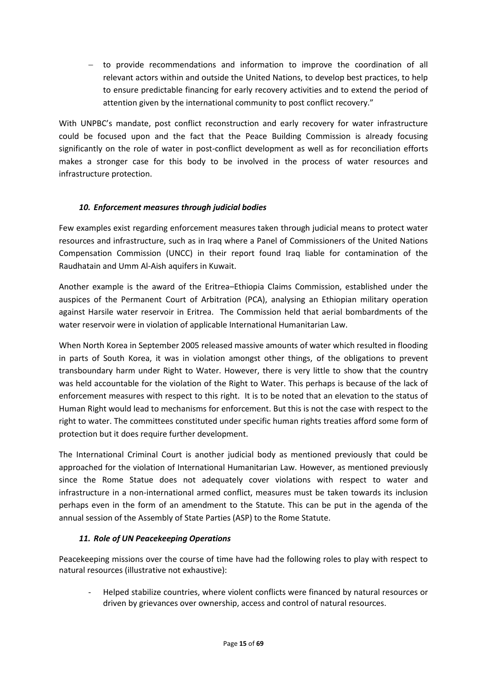- to provide recommendations and information to improve the coordination of all relevant actors within and outside the United Nations, to develop best practices, to help to ensure predictable financing for early recovery activities and to extend the period of attention given by the international community to post conflict recovery."

With UNPBC's mandate, post conflict reconstruction and early recovery for water infrastructure could be focused upon and the fact that the Peace Building Commission is already focusing significantly on the role of water in post-conflict development as well as for reconciliation efforts makes a stronger case for this body to be involved in the process of water resources and infrastructure protection.

# *10. Enforcement measures through judicial bodies*

Few examples exist regarding enforcement measures taken through judicial means to protect water resources and infrastructure, such as in Iraq where a Panel of Commissioners of the United Nations Compensation Commission (UNCC) in their report found Iraq liable for contamination of the Raudhatain and Umm Al-Aish aquifers in Kuwait.

Another example is the award of the Eritrea–Ethiopia Claims Commission, established under the auspices of the Permanent Court of Arbitration (PCA), analysing an Ethiopian military operation against Harsile water reservoir in Eritrea. The Commission held that aerial bombardments of the water reservoir were in violation of applicable International Humanitarian Law.

When North Korea in September 2005 released massive amounts of water which resulted in flooding in parts of South Korea, it was in violation amongst other things, of the obligations to prevent transboundary harm under Right to Water. However, there is very little to show that the country was held accountable for the violation of the Right to Water. This perhaps is because of the lack of enforcement measures with respect to this right. It is to be noted that an elevation to the status of Human Right would lead to mechanisms for enforcement. But this is not the case with respect to the right to water. The committees constituted under specific human rights treaties afford some form of protection but it does require further development.

The International Criminal Court is another judicial body as mentioned previously that could be approached for the violation of International Humanitarian Law. However, as mentioned previously since the Rome Statue does not adequately cover violations with respect to water and infrastructure in a non-international armed conflict, measures must be taken towards its inclusion perhaps even in the form of an amendment to the Statute. This can be put in the agenda of the annual session of the Assembly of State Parties (ASP) to the Rome Statute.

# *11. Role of UN Peacekeeping Operations*

Peacekeeping missions over the course of time have had the following roles to play with respect to natural resources (illustrative not exhaustive):

- Helped stabilize countries, where violent conflicts were financed by natural resources or driven by grievances over ownership, access and control of natural resources.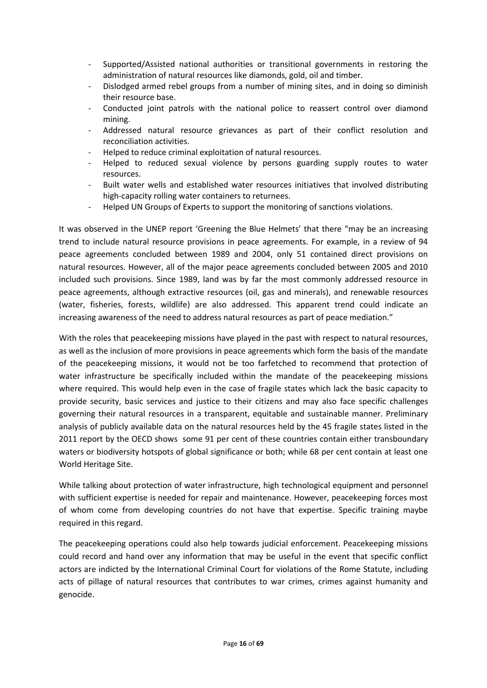- Supported/Assisted national authorities or transitional governments in restoring the administration of natural resources like diamonds, gold, oil and timber.
- Dislodged armed rebel groups from a number of mining sites, and in doing so diminish their resource base.
- Conducted joint patrols with the national police to reassert control over diamond mining.
- Addressed natural resource grievances as part of their conflict resolution and reconciliation activities.
- Helped to reduce criminal exploitation of natural resources.
- Helped to reduced sexual violence by persons guarding supply routes to water resources.
- Built water wells and established water resources initiatives that involved distributing high-capacity rolling water containers to returnees.
- Helped UN Groups of Experts to support the monitoring of sanctions violations.

It was observed in the UNEP report 'Greening the Blue Helmets' that there "may be an increasing trend to include natural resource provisions in peace agreements. For example, in a review of 94 peace agreements concluded between 1989 and 2004, only 51 contained direct provisions on natural resources. However, all of the major peace agreements concluded between 2005 and 2010 included such provisions. Since 1989, land was by far the most commonly addressed resource in peace agreements, although extractive resources (oil, gas and minerals), and renewable resources (water, fisheries, forests, wildlife) are also addressed. This apparent trend could indicate an increasing awareness of the need to address natural resources as part of peace mediation."

With the roles that peacekeeping missions have played in the past with respect to natural resources, as well as the inclusion of more provisions in peace agreements which form the basis of the mandate of the peacekeeping missions, it would not be too farfetched to recommend that protection of water infrastructure be specifically included within the mandate of the peacekeeping missions where required. This would help even in the case of fragile states which lack the basic capacity to provide security, basic services and justice to their citizens and may also face specific challenges governing their natural resources in a transparent, equitable and sustainable manner. Preliminary analysis of publicly available data on the natural resources held by the 45 fragile states listed in the 2011 report by the OECD shows some 91 per cent of these countries contain either transboundary waters or biodiversity hotspots of global significance or both; while 68 per cent contain at least one World Heritage Site.

While talking about protection of water infrastructure, high technological equipment and personnel with sufficient expertise is needed for repair and maintenance. However, peacekeeping forces most of whom come from developing countries do not have that expertise. Specific training maybe required in this regard.

The peacekeeping operations could also help towards judicial enforcement. Peacekeeping missions could record and hand over any information that may be useful in the event that specific conflict actors are indicted by the International Criminal Court for violations of the Rome Statute, including acts of pillage of natural resources that contributes to war crimes, crimes against humanity and genocide.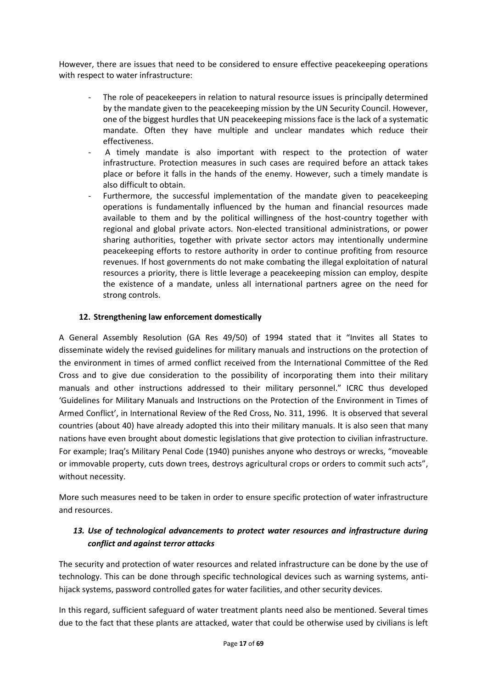However, there are issues that need to be considered to ensure effective peacekeeping operations with respect to water infrastructure:

- The role of peacekeepers in relation to natural resource issues is principally determined by the mandate given to the peacekeeping mission by the UN Security Council. However, one of the biggest hurdles that UN peacekeeping missions face is the lack of a systematic mandate. Often they have multiple and unclear mandates which reduce their effectiveness.
- A timely mandate is also important with respect to the protection of water infrastructure. Protection measures in such cases are required before an attack takes place or before it falls in the hands of the enemy. However, such a timely mandate is also difficult to obtain.
- Furthermore, the successful implementation of the mandate given to peacekeeping operations is fundamentally influenced by the human and financial resources made available to them and by the political willingness of the host-country together with regional and global private actors. Non-elected transitional administrations, or power sharing authorities, together with private sector actors may intentionally undermine peacekeeping efforts to restore authority in order to continue profiting from resource revenues. If host governments do not make combating the illegal exploitation of natural resources a priority, there is little leverage a peacekeeping mission can employ, despite the existence of a mandate, unless all international partners agree on the need for strong controls.

#### **12. Strengthening law enforcement domestically**

A General Assembly Resolution (GA Res 49/50) of 1994 stated that it "Invites all States to disseminate widely the revised guidelines for military manuals and instructions on the protection of the environment in times of armed conflict received from the International Committee of the Red Cross and to give due consideration to the possibility of incorporating them into their military manuals and other instructions addressed to their military personnel." ICRC thus developed 'Guidelines for Military Manuals and Instructions on the Protection of the Environment in Times of Armed Conflict', in International Review of the Red Cross, No. 311, 1996. It is observed that several countries (about 40) have already adopted this into their military manuals. It is also seen that many nations have even brought about domestic legislations that give protection to civilian infrastructure. For example; Iraq's Military Penal Code (1940) punishes anyone who destroys or wrecks, "moveable or immovable property, cuts down trees, destroys agricultural crops or orders to commit such acts", without necessity.

More such measures need to be taken in order to ensure specific protection of water infrastructure and resources.

#### *13. Use of technological advancements to protect water resources and infrastructure during conflict and against terror attacks*

The security and protection of water resources and related infrastructure can be done by the use of technology. This can be done through specific technological devices such as warning systems, antihijack systems, password controlled gates for water facilities, and other security devices.

In this regard, sufficient safeguard of water treatment plants need also be mentioned. Several times due to the fact that these plants are attacked, water that could be otherwise used by civilians is left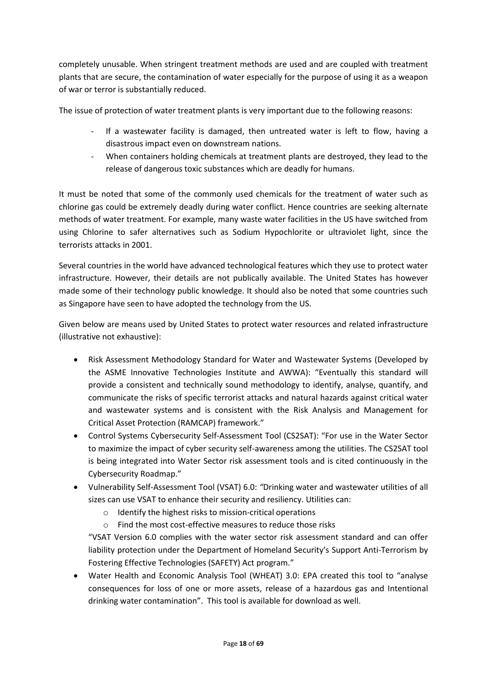completely unusable. When stringent treatment methods are used and are coupled with treatment plants that are secure, the contamination of water especially for the purpose of using it as a weapon of war or terror is substantially reduced.

The issue of protection of water treatment plants is very important due to the following reasons:

- If a wastewater facility is damaged, then untreated water is left to flow, having a disastrous impact even on downstream nations.
- When containers holding chemicals at treatment plants are destroyed, they lead to the release of dangerous toxic substances which are deadly for humans.

It must be noted that some of the commonly used chemicals for the treatment of water such as chlorine gas could be extremely deadly during water conflict. Hence countries are seeking alternate methods of water treatment. For example, many waste water facilities in the US have switched from using Chlorine to safer alternatives such as Sodium Hypochlorite or ultraviolet light, since the terrorists attacks in 2001.

Several countries in the world have advanced technological features which they use to protect water infrastructure. However, their details are not publically available. The United States has however made some of their technology public knowledge. It should also be noted that some countries such as Singapore have seen to have adopted the technology from the US.

Given below are means used by United States to protect water resources and related infrastructure (illustrative not exhaustive):

- Risk Assessment Methodology Standard for Water and Wastewater Systems (Developed by the ASME Innovative Technologies Institute and AWWA): "Eventually this standard will provide a consistent and technically sound methodology to identify, analyse, quantify, and communicate the risks of specific terrorist attacks and natural hazards against critical water and wastewater systems and is consistent with the Risk Analysis and Management for Critical Asset Protection (RAMCAP) framework."
- Control Systems Cybersecurity Self-Assessment Tool (CS2SAT): "For use in the Water Sector to maximize the impact of cyber security self-awareness among the utilities. The CS2SAT tool is being integrated into Water Sector risk assessment tools and is cited continuously in the Cybersecurity Roadmap."
- Vulnerability Self-Assessment Tool (VSAT) 6.0: *"*Drinking water and wastewater utilities of all sizes can use VSAT to enhance their security and resiliency. Utilities can:
	- o Identify the highest risks to mission-critical operations
	- o Find the most cost-effective measures to reduce those risks

"VSAT Version 6.0 complies with the water sector risk assessment standard and can offer liability protection under the Department of Homeland Security's Support Anti-Terrorism by Fostering Effective Technologies (SAFETY) Act program."

 Water Health and Economic Analysis Tool (WHEAT) 3.0: EPA created this tool to "analyse consequences for loss of one or more assets, release of a hazardous gas and Intentional drinking water contamination". This tool is available for download as well.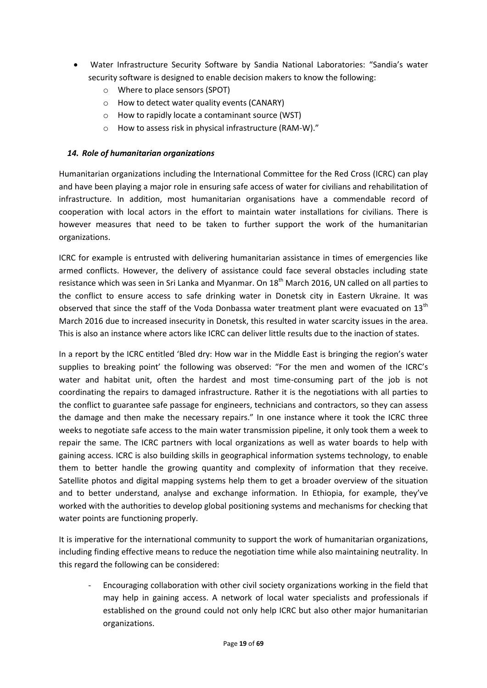- Water Infrastructure Security Software by Sandia National Laboratories: "Sandia's water security software is designed to enable decision makers to know the following:
	- o Where to place sensors (SPOT)
	- o How to detect water quality events (CANARY)
	- o How to rapidly locate a contaminant source (WST)
	- o How to assess risk in physical infrastructure (RAM-W)."

#### *14. Role of humanitarian organizations*

Humanitarian organizations including the International Committee for the Red Cross (ICRC) can play and have been playing a major role in ensuring safe access of water for civilians and rehabilitation of infrastructure. In addition, most humanitarian organisations have a commendable record of cooperation with local actors in the effort to maintain water installations for civilians. There is however measures that need to be taken to further support the work of the humanitarian organizations.

ICRC for example is entrusted with delivering humanitarian assistance in times of emergencies like armed conflicts. However, the delivery of assistance could face several obstacles including state resistance which was seen in Sri Lanka and Myanmar. On 18<sup>th</sup> March 2016, UN called on all parties to the conflict to ensure access to safe drinking water in Donetsk city in Eastern Ukraine. It was observed that since the staff of the Voda Donbassa water treatment plant were evacuated on 13<sup>th</sup> March 2016 due to increased insecurity in Donetsk, this resulted in water scarcity issues in the area. This is also an instance where actors like ICRC can deliver little results due to the inaction of states.

In a report by the ICRC entitled 'Bled dry: How war in the Middle East is bringing the region's water supplies to breaking point' the following was observed: "For the men and women of the ICRC's water and habitat unit, often the hardest and most time-consuming part of the job is not coordinating the repairs to damaged infrastructure. Rather it is the negotiations with all parties to the conflict to guarantee safe passage for engineers, technicians and contractors, so they can assess the damage and then make the necessary repairs." In one instance where it took the ICRC three weeks to negotiate safe access to the main water transmission pipeline, it only took them a week to repair the same. The ICRC partners with local organizations as well as water boards to help with gaining access. ICRC is also building skills in geographical information systems technology, to enable them to better handle the growing quantity and complexity of information that they receive. Satellite photos and digital mapping systems help them to get a broader overview of the situation and to better understand, analyse and exchange information. In Ethiopia, for example, they've worked with the authorities to develop global positioning systems and mechanisms for checking that water points are functioning properly.

It is imperative for the international community to support the work of humanitarian organizations, including finding effective means to reduce the negotiation time while also maintaining neutrality. In this regard the following can be considered:

- Encouraging collaboration with other civil society organizations working in the field that may help in gaining access. A network of local water specialists and professionals if established on the ground could not only help ICRC but also other major humanitarian organizations.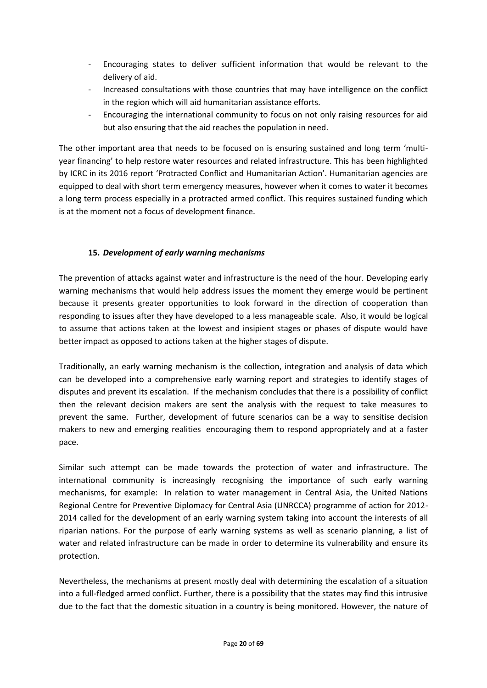- Encouraging states to deliver sufficient information that would be relevant to the delivery of aid.
- Increased consultations with those countries that may have intelligence on the conflict in the region which will aid humanitarian assistance efforts.
- Encouraging the international community to focus on not only raising resources for aid but also ensuring that the aid reaches the population in need.

The other important area that needs to be focused on is ensuring sustained and long term 'multiyear financing' to help restore water resources and related infrastructure. This has been highlighted by ICRC in its 2016 report 'Protracted Conflict and Humanitarian Action'. Humanitarian agencies are equipped to deal with short term emergency measures, however when it comes to water it becomes a long term process especially in a protracted armed conflict. This requires sustained funding which is at the moment not a focus of development finance.

# **15.** *Development of early warning mechanisms*

The prevention of attacks against water and infrastructure is the need of the hour. Developing early warning mechanisms that would help address issues the moment they emerge would be pertinent because it presents greater opportunities to look forward in the direction of cooperation than responding to issues after they have developed to a less manageable scale. Also, it would be logical to assume that actions taken at the lowest and insipient stages or phases of dispute would have better impact as opposed to actions taken at the higher stages of dispute.

Traditionally, an early warning mechanism is the collection, integration and analysis of data which can be developed into a comprehensive early warning report and strategies to identify stages of disputes and prevent its escalation. If the mechanism concludes that there is a possibility of conflict then the relevant decision makers are sent the analysis with the request to take measures to prevent the same. Further, development of future scenarios can be a way to sensitise decision makers to new and emerging realities encouraging them to respond appropriately and at a faster pace.

Similar such attempt can be made towards the protection of water and infrastructure. The international community is increasingly recognising the importance of such early warning mechanisms, for example: In relation to water management in Central Asia, the United Nations Regional Centre for Preventive Diplomacy for Central Asia (UNRCCA) programme of action for 2012- 2014 called for the development of an early warning system taking into account the interests of all riparian nations. For the purpose of early warning systems as well as scenario planning, a list of water and related infrastructure can be made in order to determine its vulnerability and ensure its protection.

Nevertheless, the mechanisms at present mostly deal with determining the escalation of a situation into a full-fledged armed conflict. Further, there is a possibility that the states may find this intrusive due to the fact that the domestic situation in a country is being monitored. However, the nature of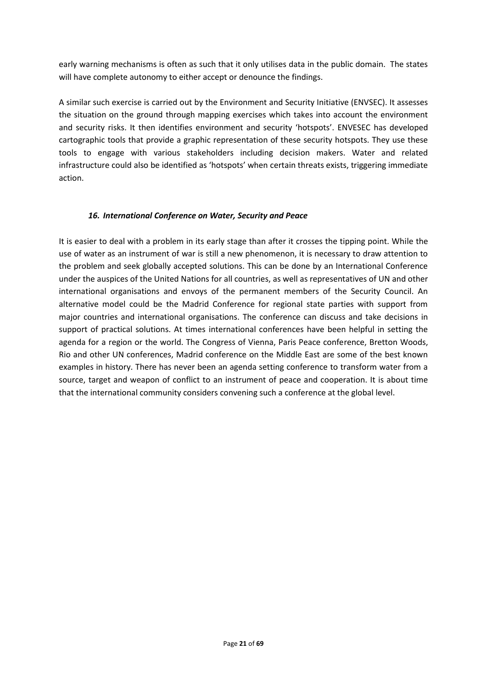early warning mechanisms is often as such that it only utilises data in the public domain. The states will have complete autonomy to either accept or denounce the findings.

A similar such exercise is carried out by the Environment and Security Initiative (ENVSEC). It assesses the situation on the ground through mapping exercises which takes into account the environment and security risks. It then identifies environment and security 'hotspots'. ENVESEC has developed cartographic tools that provide a graphic representation of these security hotspots. They use these tools to engage with various stakeholders including decision makers. Water and related infrastructure could also be identified as 'hotspots' when certain threats exists, triggering immediate action.

#### *16. International Conference on Water, Security and Peace*

It is easier to deal with a problem in its early stage than after it crosses the tipping point. While the use of water as an instrument of war is still a new phenomenon, it is necessary to draw attention to the problem and seek globally accepted solutions. This can be done by an International Conference under the auspices of the United Nations for all countries, as well as representatives of UN and other international organisations and envoys of the permanent members of the Security Council. An alternative model could be the Madrid Conference for regional state parties with support from major countries and international organisations. The conference can discuss and take decisions in support of practical solutions. At times international conferences have been helpful in setting the agenda for a region or the world. The Congress of Vienna, Paris Peace conference, Bretton Woods, Rio and other UN conferences, Madrid conference on the Middle East are some of the best known examples in history. There has never been an agenda setting conference to transform water from a source, target and weapon of conflict to an instrument of peace and cooperation. It is about time that the international community considers convening such a conference at the global level.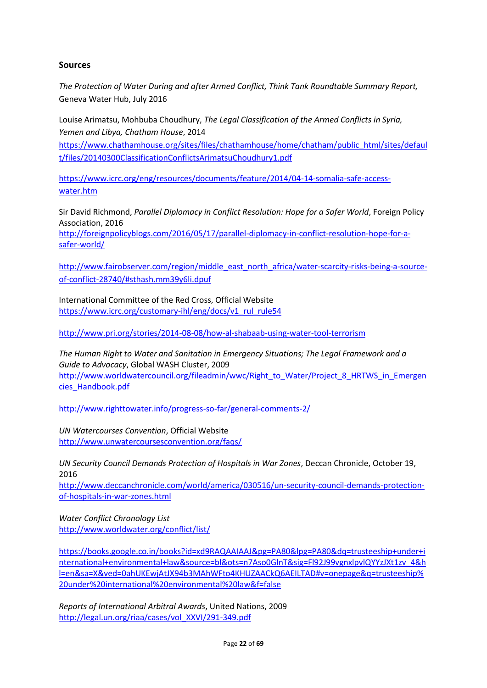#### **Sources**

*The Protection of Water During and after Armed Conflict, Think Tank Roundtable Summary Report,* Geneva Water Hub, July 2016

Louise Arimatsu, Mohbuba Choudhury, *The Legal Classification of the Armed Conflicts in Syria, Yemen and Libya, Chatham House*, 2014

[https://www.chathamhouse.org/sites/files/chathamhouse/home/chatham/public\\_html/sites/defaul](https://www.chathamhouse.org/sites/files/chathamhouse/home/chatham/public_html/sites/default/files/20140300ClassificationConflictsArimatsuChoudhury1.pdf) [t/files/20140300ClassificationConflictsArimatsuChoudhury1.pdf](https://www.chathamhouse.org/sites/files/chathamhouse/home/chatham/public_html/sites/default/files/20140300ClassificationConflictsArimatsuChoudhury1.pdf)

[https://www.icrc.org/eng/resources/documents/feature/2014/04-14-somalia-safe-access](https://www.icrc.org/eng/resources/documents/feature/2014/04-14-somalia-safe-access-water.htm)[water.htm](https://www.icrc.org/eng/resources/documents/feature/2014/04-14-somalia-safe-access-water.htm)

Sir David Richmond, *Parallel Diplomacy in Conflict Resolution: Hope for a Safer World*, Foreign Policy Association, 2016

[http://foreignpolicyblogs.com/2016/05/17/parallel-diplomacy-in-conflict-resolution-hope-for-a](http://foreignpolicyblogs.com/2016/05/17/parallel-diplomacy-in-conflict-resolution-hope-for-a-safer-world/)[safer-world/](http://foreignpolicyblogs.com/2016/05/17/parallel-diplomacy-in-conflict-resolution-hope-for-a-safer-world/)

[http://www.fairobserver.com/region/middle\\_east\\_north\\_africa/water-scarcity-risks-being-a-source](http://www.fairobserver.com/region/middle_east_north_africa/water-scarcity-risks-being-a-source-of-conflict-28740/#sthash.mm39y6li.dpuf)[of-conflict-28740/#sthash.mm39y6li.dpuf](http://www.fairobserver.com/region/middle_east_north_africa/water-scarcity-risks-being-a-source-of-conflict-28740/#sthash.mm39y6li.dpuf)

International Committee of the Red Cross, Official Website [https://www.icrc.org/customary-ihl/eng/docs/v1\\_rul\\_rule54](https://www.icrc.org/customary-ihl/eng/docs/v1_rul_rule54)

<http://www.pri.org/stories/2014-08-08/how-al-shabaab-using-water-tool-terrorism>

*The Human Right to Water and Sanitation in Emergency Situations; The Legal Framework and a Guide to Advocacy*, Global WASH Cluster, 2009 [http://www.worldwatercouncil.org/fileadmin/wwc/Right\\_to\\_Water/Project\\_8\\_HRTWS\\_in\\_Emergen](http://www.worldwatercouncil.org/fileadmin/wwc/Right_to_Water/Project_8_HRTWS_in_Emergencies_Handbook.pdf) [cies\\_Handbook.pdf](http://www.worldwatercouncil.org/fileadmin/wwc/Right_to_Water/Project_8_HRTWS_in_Emergencies_Handbook.pdf)

http://www.righttowater.info/progress-so-far/general-comments-2/

*UN Watercourses Convention*, Official Website <http://www.unwatercoursesconvention.org/faqs/>

*UN Security Council Demands Protection of Hospitals in War Zones*, Deccan Chronicle, October 19, 2016

[http://www.deccanchronicle.com/world/america/030516/un-security-council-demands-protection](http://www.deccanchronicle.com/world/america/030516/un-security-council-demands-protection-of-hospitals-in-war-zones.html)[of-hospitals-in-war-zones.html](http://www.deccanchronicle.com/world/america/030516/un-security-council-demands-protection-of-hospitals-in-war-zones.html)

*Water Conflict Chronology List* <http://www.worldwater.org/conflict/list/>

[https://books.google.co.in/books?id=xd9RAQAAIAAJ&pg=PA80&lpg=PA80&dq=trusteeship+under+i](https://books.google.co.in/books?id=xd9RAQAAIAAJ&pg=PA80&lpg=PA80&dq=trusteeship+under+international+environmental+law&source=bl&ots=n7Aso0GlnT&sig=Fl92J99vgnxlpvlQYYzJXt1zv_4&hl=en&sa=X&ved=0ahUKEwjAtJX94b3MAhWFto4KHUZAACkQ6AEILTAD#v=onepage&q=trusteeship%20under%20international%20environmental%20law&f=false) [nternational+environmental+law&source=bl&ots=n7Aso0GlnT&sig=Fl92J99vgnxlpvlQYYzJXt1zv\\_4&h](https://books.google.co.in/books?id=xd9RAQAAIAAJ&pg=PA80&lpg=PA80&dq=trusteeship+under+international+environmental+law&source=bl&ots=n7Aso0GlnT&sig=Fl92J99vgnxlpvlQYYzJXt1zv_4&hl=en&sa=X&ved=0ahUKEwjAtJX94b3MAhWFto4KHUZAACkQ6AEILTAD#v=onepage&q=trusteeship%20under%20international%20environmental%20law&f=false) [l=en&sa=X&ved=0ahUKEwjAtJX94b3MAhWFto4KHUZAACkQ6AEILTAD#v=onepage&q=trusteeship%](https://books.google.co.in/books?id=xd9RAQAAIAAJ&pg=PA80&lpg=PA80&dq=trusteeship+under+international+environmental+law&source=bl&ots=n7Aso0GlnT&sig=Fl92J99vgnxlpvlQYYzJXt1zv_4&hl=en&sa=X&ved=0ahUKEwjAtJX94b3MAhWFto4KHUZAACkQ6AEILTAD#v=onepage&q=trusteeship%20under%20international%20environmental%20law&f=false) [20under%20international%20environmental%20law&f=false](https://books.google.co.in/books?id=xd9RAQAAIAAJ&pg=PA80&lpg=PA80&dq=trusteeship+under+international+environmental+law&source=bl&ots=n7Aso0GlnT&sig=Fl92J99vgnxlpvlQYYzJXt1zv_4&hl=en&sa=X&ved=0ahUKEwjAtJX94b3MAhWFto4KHUZAACkQ6AEILTAD#v=onepage&q=trusteeship%20under%20international%20environmental%20law&f=false)

*Reports of International Arbitral Awards*, United Nations, 2009 [http://legal.un.org/riaa/cases/vol\\_XXVI/291-349.pdf](http://legal.un.org/riaa/cases/vol_XXVI/291-349.pdf)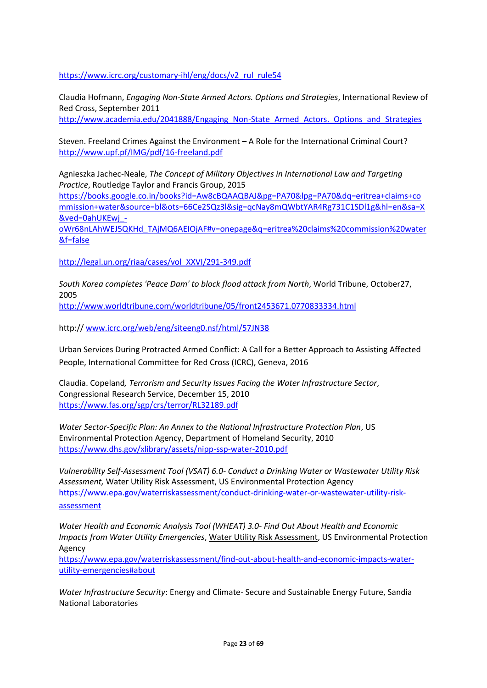[https://www.icrc.org/customary-ihl/eng/docs/v2\\_rul\\_rule54](https://www.icrc.org/customary-ihl/eng/docs/v2_rul_rule54)

Claudia Hofmann, *Engaging Non-State Armed Actors. Options and Strategies*, International Review of Red Cross, September 2011

[http://www.academia.edu/2041888/Engaging\\_Non-State\\_Armed\\_Actors.\\_Options\\_and\\_Strategies](http://www.academia.edu/2041888/Engaging_Non-State_Armed_Actors._Options_and_Strategies)

Steven. Freeland Crimes Against the Environment – A Role for the International Criminal Court? <http://www.upf.pf/IMG/pdf/16-freeland.pdf>

Agnieszka Jachec-Neale, *The Concept of Military Objectives in International Law and Targeting Practice*, Routledge Taylor and Francis Group, 2015

[https://books.google.co.in/books?id=Aw8cBQAAQBAJ&pg=PA70&lpg=PA70&dq=eritrea+claims+co](https://books.google.co.in/books?id=Aw8cBQAAQBAJ&pg=PA70&lpg=PA70&dq=eritrea+claims+commission+water&source=bl&ots=66Ce2SQz3l&sig=qcNay8mQWbtYAR4Rg731C1SDl1g&hl=en&sa=X&ved=0ahUKEwj_-oWr68nLAhWEJ5QKHd_TAjMQ6AEIOjAF#v=onepage&q=eritrea%20claims%20commission%20water&f=false) [mmission+water&source=bl&ots=66Ce2SQz3l&sig=qcNay8mQWbtYAR4Rg731C1SDl1g&hl=en&sa=X](https://books.google.co.in/books?id=Aw8cBQAAQBAJ&pg=PA70&lpg=PA70&dq=eritrea+claims+commission+water&source=bl&ots=66Ce2SQz3l&sig=qcNay8mQWbtYAR4Rg731C1SDl1g&hl=en&sa=X&ved=0ahUKEwj_-oWr68nLAhWEJ5QKHd_TAjMQ6AEIOjAF#v=onepage&q=eritrea%20claims%20commission%20water&f=false) [&ved=0ahUKEwj\\_-](https://books.google.co.in/books?id=Aw8cBQAAQBAJ&pg=PA70&lpg=PA70&dq=eritrea+claims+commission+water&source=bl&ots=66Ce2SQz3l&sig=qcNay8mQWbtYAR4Rg731C1SDl1g&hl=en&sa=X&ved=0ahUKEwj_-oWr68nLAhWEJ5QKHd_TAjMQ6AEIOjAF#v=onepage&q=eritrea%20claims%20commission%20water&f=false)

[oWr68nLAhWEJ5QKHd\\_TAjMQ6AEIOjAF#v=onepage&q=eritrea%20claims%20commission%20water](https://books.google.co.in/books?id=Aw8cBQAAQBAJ&pg=PA70&lpg=PA70&dq=eritrea+claims+commission+water&source=bl&ots=66Ce2SQz3l&sig=qcNay8mQWbtYAR4Rg731C1SDl1g&hl=en&sa=X&ved=0ahUKEwj_-oWr68nLAhWEJ5QKHd_TAjMQ6AEIOjAF#v=onepage&q=eritrea%20claims%20commission%20water&f=false) [&f=false](https://books.google.co.in/books?id=Aw8cBQAAQBAJ&pg=PA70&lpg=PA70&dq=eritrea+claims+commission+water&source=bl&ots=66Ce2SQz3l&sig=qcNay8mQWbtYAR4Rg731C1SDl1g&hl=en&sa=X&ved=0ahUKEwj_-oWr68nLAhWEJ5QKHd_TAjMQ6AEIOjAF#v=onepage&q=eritrea%20claims%20commission%20water&f=false)

[http://legal.un.org/riaa/cases/vol\\_XXVI/291-349.pdf](http://legal.un.org/riaa/cases/vol_XXVI/291-349.pdf)

*South Korea completes 'Peace Dam' to block flood attack from North*, World Tribune, October27, 2005

<http://www.worldtribune.com/worldtribune/05/front2453671.0770833334.html>

http:// [www.icrc.org/web/eng/siteeng0.nsf/html/57JN38](http://www.icrc.org/web/eng/siteeng0.nsf/html/57JN38)

Urban Services During Protracted Armed Conflict: A Call for a Better Approach to Assisting Affected People, International Committee for Red Cross (ICRC), Geneva, 2016

Claudia. Copeland*, Terrorism and Security Issues Facing the Water Infrastructure Sector*, Congressional Research Service, December 15, 2010 <https://www.fas.org/sgp/crs/terror/RL32189.pdf>

*Water Sector-Specific Plan: An Annex to the National Infrastructure Protection Plan*, US Environmental Protection Agency, Department of Homeland Security, 2010 <https://www.dhs.gov/xlibrary/assets/nipp-ssp-water-2010.pdf>

*Vulnerability Self-Assessment Tool (VSAT) 6.0*- *Conduct a Drinking Water or Wastewater Utility Risk Assessment,* [Water Utility Risk Assessment,](https://www.epa.gov/waterriskassessment) US Environmental Protection Agency [https://www.epa.gov/waterriskassessment/conduct-drinking-water-or-wastewater-utility-risk](https://www.epa.gov/waterriskassessment/conduct-drinking-water-or-wastewater-utility-risk-assessment)[assessment](https://www.epa.gov/waterriskassessment/conduct-drinking-water-or-wastewater-utility-risk-assessment)

*Water Health and Economic Analysis Tool (WHEAT) 3.0- Find Out About Health and Economic Impacts from Water Utility Emergencies*[, Water Utility Risk Assessment,](https://www.epa.gov/waterriskassessment) US Environmental Protection Agency

[https://www.epa.gov/waterriskassessment/find-out-about-health-and-economic-impacts-water](https://www.epa.gov/waterriskassessment/find-out-about-health-and-economic-impacts-water-utility-emergencies#about)[utility-emergencies#about](https://www.epa.gov/waterriskassessment/find-out-about-health-and-economic-impacts-water-utility-emergencies#about)

*Water Infrastructure Security*: Energy and Climate- Secure and Sustainable Energy Future, Sandia National Laboratories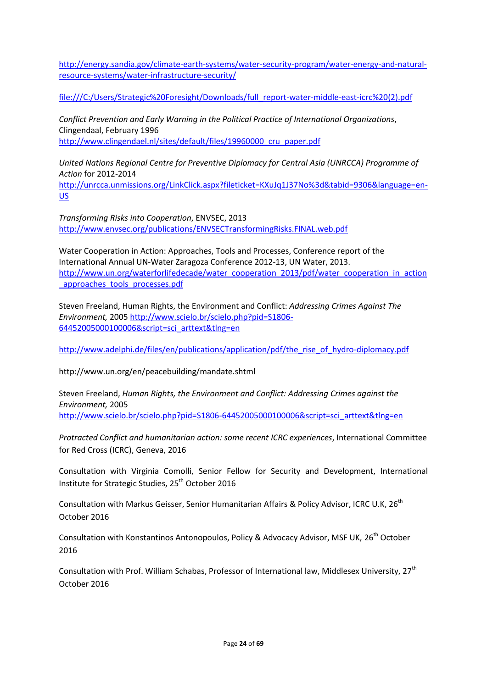[http://energy.sandia.gov/climate-earth-systems/water-security-program/water-energy-and-natural](http://energy.sandia.gov/climate-earth-systems/water-security-program/water-energy-and-natural-resource-systems/water-infrastructure-security/)[resource-systems/water-infrastructure-security/](http://energy.sandia.gov/climate-earth-systems/water-security-program/water-energy-and-natural-resource-systems/water-infrastructure-security/)

[file:///C:/Users/Strategic%20Foresight/Downloads/full\\_report-water-middle-east-icrc%20\(2\).pdf](file:///C:/Users/Strategic%20Foresight/Downloads/full_report-water-middle-east-icrc%20(2).pdf)

*Conflict Prevention and Early Warning in the Political Practice of International Organizations*, Clingendaal, February 1996 [http://www.clingendael.nl/sites/default/files/19960000\\_cru\\_paper.pdf](http://www.clingendael.nl/sites/default/files/19960000_cru_paper.pdf)

*United Nations Regional Centre for Preventive Diplomacy for Central Asia (UNRCCA) Programme of Action* for 2012-2014

[http://unrcca.unmissions.org/LinkClick.aspx?fileticket=KXuJq1J37No%3d&tabid=9306&language=en-](http://unrcca.unmissions.org/LinkClick.aspx?fileticket=KXuJq1J37No%3d&tabid=9306&language=en-US)[US](http://unrcca.unmissions.org/LinkClick.aspx?fileticket=KXuJq1J37No%3d&tabid=9306&language=en-US)

*Transforming Risks into Cooperation*, ENVSEC, 2013 <http://www.envsec.org/publications/ENVSECTransformingRisks.FINAL.web.pdf>

Water Cooperation in Action: Approaches, Tools and Processes, Conference report of the International Annual UN-Water Zaragoza Conference 2012-13, UN Water, 2013. [http://www.un.org/waterforlifedecade/water\\_cooperation\\_2013/pdf/water\\_cooperation\\_in\\_action](http://www.un.org/waterforlifedecade/water_cooperation_2013/pdf/water_cooperation_in_action_approaches_tools_processes.pdf) approaches tools processes.pdf

Steven Freeland, Human Rights, the Environment and Conflict: *Addressing Crimes Against The Environment,* 2005 [http://www.scielo.br/scielo.php?pid=S1806-](http://www.scielo.br/scielo.php?pid=S1806-64452005000100006&script=sci_arttext&tlng=en) [64452005000100006&script=sci\\_arttext&tlng=en](http://www.scielo.br/scielo.php?pid=S1806-64452005000100006&script=sci_arttext&tlng=en)

[http://www.adelphi.de/files/en/publications/application/pdf/the\\_rise\\_of\\_hydro-diplomacy.pdf](http://www.adelphi.de/files/en/publications/application/pdf/the_rise_of_hydro-diplomacy.pdf)

http://www.un.org/en/peacebuilding/mandate.shtml

Steven Freeland, *Human Rights, the Environment and Conflict: Addressing Crimes against the Environment,* 2005 [http://www.scielo.br/scielo.php?pid=S1806-64452005000100006&script=sci\\_arttext&tlng=en](http://www.scielo.br/scielo.php?pid=S1806-64452005000100006&script=sci_arttext&tlng=en)

*Protracted Conflict and humanitarian action: some recent ICRC experiences*, International Committee for Red Cross (ICRC), Geneva, 2016

Consultation with Virginia Comolli, Senior Fellow for Security and Development, International Institute for Strategic Studies, 25<sup>th</sup> October 2016

Consultation with Markus Geisser, Senior Humanitarian Affairs & Policy Advisor, ICRC U.K, 26<sup>th</sup> October 2016

Consultation with Konstantinos Antonopoulos, Policy & Advocacy Advisor, MSF UK, 26<sup>th</sup> October 2016

Consultation with Prof. William Schabas, Professor of International law, Middlesex University, 27<sup>th</sup> October 2016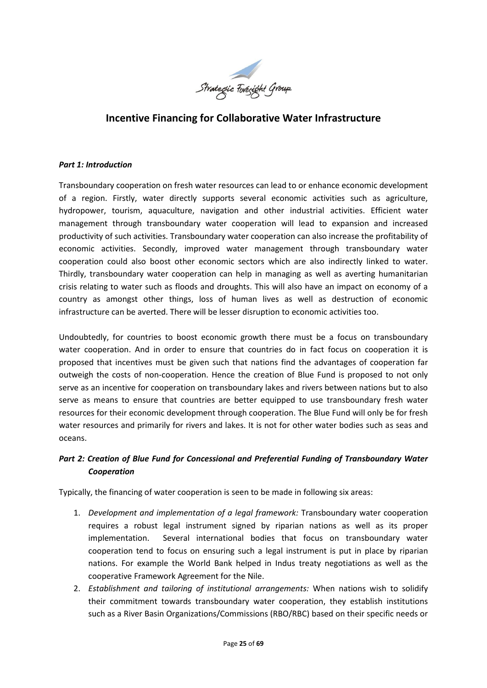

# **Incentive Financing for Collaborative Water Infrastructure**

#### *Part 1: Introduction*

Transboundary cooperation on fresh water resources can lead to or enhance economic development of a region. Firstly, water directly supports several economic activities such as agriculture, hydropower, tourism, aquaculture, navigation and other industrial activities. Efficient water management through transboundary water cooperation will lead to expansion and increased productivity of such activities. Transboundary water cooperation can also increase the profitability of economic activities. Secondly, improved water management through transboundary water cooperation could also boost other economic sectors which are also indirectly linked to water. Thirdly, transboundary water cooperation can help in managing as well as averting humanitarian crisis relating to water such as floods and droughts. This will also have an impact on economy of a country as amongst other things, loss of human lives as well as destruction of economic infrastructure can be averted. There will be lesser disruption to economic activities too.

Undoubtedly, for countries to boost economic growth there must be a focus on transboundary water cooperation. And in order to ensure that countries do in fact focus on cooperation it is proposed that incentives must be given such that nations find the advantages of cooperation far outweigh the costs of non-cooperation. Hence the creation of Blue Fund is proposed to not only serve as an incentive for cooperation on transboundary lakes and rivers between nations but to also serve as means to ensure that countries are better equipped to use transboundary fresh water resources for their economic development through cooperation. The Blue Fund will only be for fresh water resources and primarily for rivers and lakes. It is not for other water bodies such as seas and oceans.

#### *Part 2: Creation of Blue Fund for Concessional and Preferential Funding of Transboundary Water Cooperation*

Typically, the financing of water cooperation is seen to be made in following six areas:

- 1. *Development and implementation of a legal framework:* Transboundary water cooperation requires a robust legal instrument signed by riparian nations as well as its proper implementation. Several international bodies that focus on transboundary water cooperation tend to focus on ensuring such a legal instrument is put in place by riparian nations. For example the World Bank helped in Indus treaty negotiations as well as the cooperative Framework Agreement for the Nile.
- 2. *Establishment and tailoring of institutional arrangements:* When nations wish to solidify their commitment towards transboundary water cooperation, they establish institutions such as a River Basin Organizations/Commissions (RBO/RBC) based on their specific needs or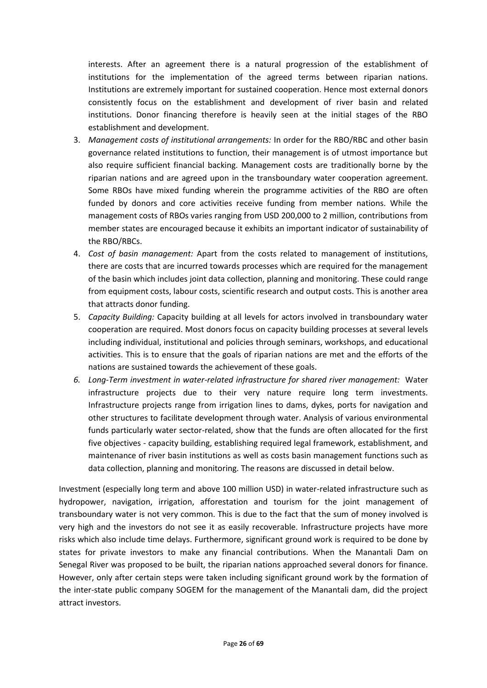interests. After an agreement there is a natural progression of the establishment of institutions for the implementation of the agreed terms between riparian nations. Institutions are extremely important for sustained cooperation. Hence most external donors consistently focus on the establishment and development of river basin and related institutions. Donor financing therefore is heavily seen at the initial stages of the RBO establishment and development.

- 3. *Management costs of institutional arrangements:* In order for the RBO/RBC and other basin governance related institutions to function, their management is of utmost importance but also require sufficient financial backing. Management costs are traditionally borne by the riparian nations and are agreed upon in the transboundary water cooperation agreement. Some RBOs have mixed funding wherein the programme activities of the RBO are often funded by donors and core activities receive funding from member nations. While the management costs of RBOs varies ranging from USD 200,000 to 2 million, contributions from member states are encouraged because it exhibits an important indicator of sustainability of the RBO/RBCs.
- 4. *Cost of basin management:* Apart from the costs related to management of institutions, there are costs that are incurred towards processes which are required for the management of the basin which includes joint data collection, planning and monitoring. These could range from equipment costs, labour costs, scientific research and output costs. This is another area that attracts donor funding.
- 5. *Capacity Building:* Capacity building at all levels for actors involved in transboundary water cooperation are required. Most donors focus on capacity building processes at several levels including individual, institutional and policies through seminars, workshops, and educational activities. This is to ensure that the goals of riparian nations are met and the efforts of the nations are sustained towards the achievement of these goals.
- *6. Long-Term investment in water-related infrastructure for shared river management:* Water infrastructure projects due to their very nature require long term investments. Infrastructure projects range from irrigation lines to dams, dykes, ports for navigation and other structures to facilitate development through water. Analysis of various environmental funds particularly water sector-related, show that the funds are often allocated for the first five objectives - capacity building, establishing required legal framework, establishment, and maintenance of river basin institutions as well as costs basin management functions such as data collection, planning and monitoring. The reasons are discussed in detail below.

Investment (especially long term and above 100 million USD) in water-related infrastructure such as hydropower, navigation, irrigation, afforestation and tourism for the joint management of transboundary water is not very common. This is due to the fact that the sum of money involved is very high and the investors do not see it as easily recoverable. Infrastructure projects have more risks which also include time delays. Furthermore, significant ground work is required to be done by states for private investors to make any financial contributions. When the Manantali Dam on Senegal River was proposed to be built, the riparian nations approached several donors for finance. However, only after certain steps were taken including significant ground work by the formation of the inter-state public company SOGEM for the management of the Manantali dam, did the project attract investors.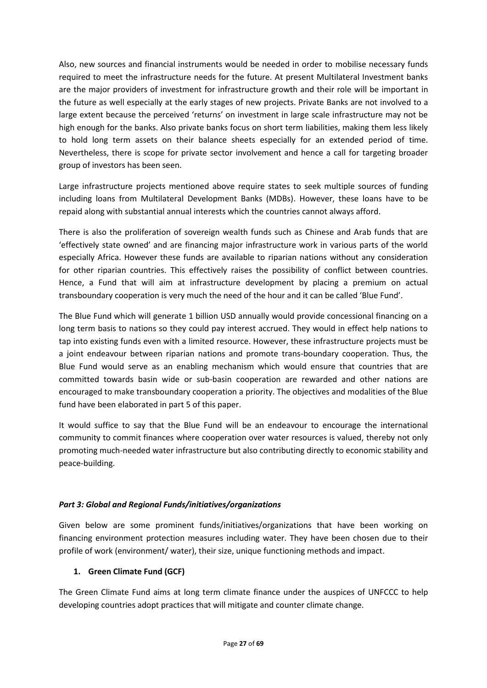Also, new sources and financial instruments would be needed in order to mobilise necessary funds required to meet the infrastructure needs for the future. At present Multilateral Investment banks are the major providers of investment for infrastructure growth and their role will be important in the future as well especially at the early stages of new projects. Private Banks are not involved to a large extent because the perceived 'returns' on investment in large scale infrastructure may not be high enough for the banks. Also private banks focus on short term liabilities, making them less likely to hold long term assets on their balance sheets especially for an extended period of time. Nevertheless, there is scope for private sector involvement and hence a call for targeting broader group of investors has been seen.

Large infrastructure projects mentioned above require states to seek multiple sources of funding including loans from Multilateral Development Banks (MDBs). However, these loans have to be repaid along with substantial annual interests which the countries cannot always afford.

There is also the proliferation of sovereign wealth funds such as Chinese and Arab funds that are 'effectively state owned' and are financing major infrastructure work in various parts of the world especially Africa. However these funds are available to riparian nations without any consideration for other riparian countries. This effectively raises the possibility of conflict between countries. Hence, a Fund that will aim at infrastructure development by placing a premium on actual transboundary cooperation is very much the need of the hour and it can be called 'Blue Fund'.

The Blue Fund which will generate 1 billion USD annually would provide concessional financing on a long term basis to nations so they could pay interest accrued. They would in effect help nations to tap into existing funds even with a limited resource. However, these infrastructure projects must be a joint endeavour between riparian nations and promote trans-boundary cooperation. Thus, the Blue Fund would serve as an enabling mechanism which would ensure that countries that are committed towards basin wide or sub-basin cooperation are rewarded and other nations are encouraged to make transboundary cooperation a priority. The objectives and modalities of the Blue fund have been elaborated in part 5 of this paper.

It would suffice to say that the Blue Fund will be an endeavour to encourage the international community to commit finances where cooperation over water resources is valued, thereby not only promoting much-needed water infrastructure but also contributing directly to economic stability and peace-building.

# *Part 3: Global and Regional Funds/initiatives/organizations*

Given below are some prominent funds/initiatives/organizations that have been working on financing environment protection measures including water. They have been chosen due to their profile of work (environment/ water), their size, unique functioning methods and impact.

# **1. Green Climate Fund (GCF)**

The Green Climate Fund aims at long term climate finance under the auspices of UNFCCC to help developing countries adopt practices that will mitigate and counter climate change.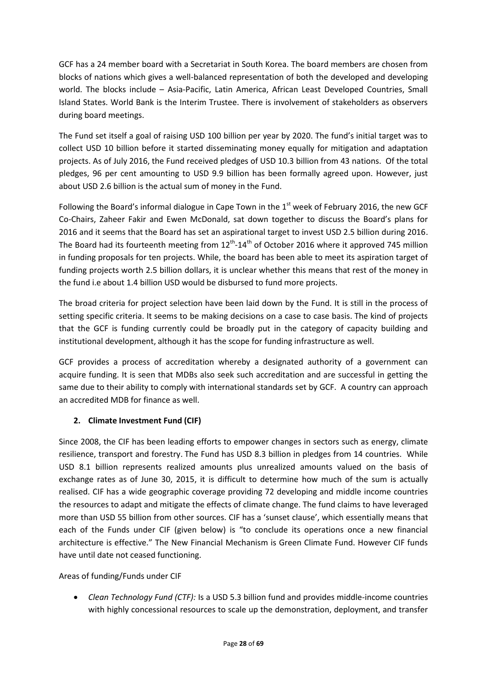GCF has a 24 member board with a Secretariat in South Korea. The board members are chosen from blocks of nations which gives a well-balanced representation of both the developed and developing world. The blocks include – Asia-Pacific, Latin America, African Least Developed Countries, Small Island States. World Bank is the Interim Trustee. There is involvement of stakeholders as observers during board meetings.

The Fund set itself a goal of raising USD 100 billion per year by 2020. The fund's initial target was to collect USD 10 billion before it started disseminating money equally for mitigation and adaptation projects. As of July 2016, the Fund received pledges of USD 10.3 billion from 43 nations. Of the total pledges, 96 per cent amounting to USD 9.9 billion has been formally agreed upon. However, just about USD 2.6 billion is the actual sum of money in the Fund.

Following the Board's informal dialogue in Cape Town in the  $1<sup>st</sup>$  week of February 2016, the new GCF Co-Chairs, Zaheer Fakir and Ewen McDonald, sat down together to discuss the Board's plans for 2016 and it seems that the Board has set an aspirational target to invest USD 2.5 billion during 2016. The Board had its fourteenth meeting from  $12^{th}$ - $14^{th}$  of October 2016 where it approved 745 million in funding proposals for ten projects. While, the board has been able to meet its aspiration target of funding projects worth 2.5 billion dollars, it is unclear whether this means that rest of the money in the fund i.e about 1.4 billion USD would be disbursed to fund more projects.

The broad criteria for project selection have been laid down by the Fund. It is still in the process of setting specific criteria. It seems to be making decisions on a case to case basis. The kind of projects that the GCF is funding currently could be broadly put in the category of capacity building and institutional development, although it has the scope for funding infrastructure as well.

GCF provides a process of accreditation whereby a designated authority of a government can acquire funding. It is seen that MDBs also seek such accreditation and are successful in getting the same due to their ability to comply with international standards set by GCF. A country can approach an accredited MDB for finance as well.

# **2. Climate Investment Fund (CIF)**

Since 2008, the CIF has been leading efforts to empower changes in sectors such as energy, climate resilience, transport and forestry. The Fund has USD 8.3 billion in pledges from 14 countries. While USD 8.1 billion represents realized amounts plus unrealized amounts valued on the basis of exchange rates as of June 30, 2015, it is difficult to determine how much of the sum is actually realised. CIF has a wide geographic coverage providing 72 developing and middle income countries the resources to adapt and mitigate the effects of climate change. The fund claims to have leveraged more than USD 55 billion from other sources. CIF has a 'sunset clause', which essentially means that each of the Funds under CIF (given below) is "to conclude its operations once a new financial architecture is effective." The New Financial Mechanism is Green Climate Fund. However CIF funds have until date not ceased functioning.

Areas of funding/Funds under CIF

 *Clean Technology Fund (CTF):* Is a USD 5.3 billion fund and provides middle-income countries with highly concessional resources to scale up the demonstration, deployment, and transfer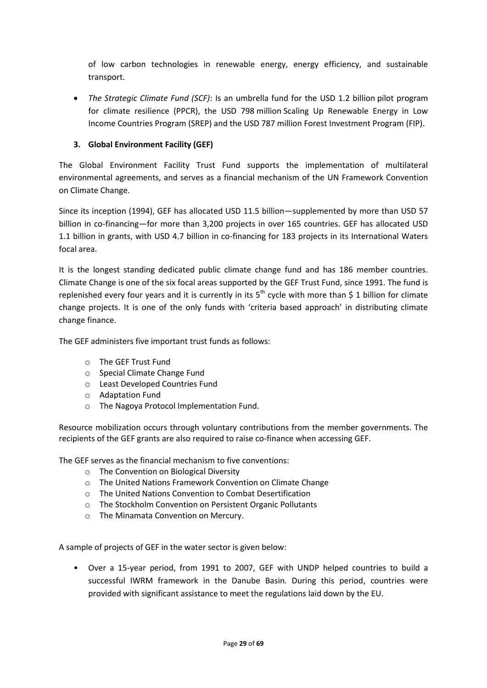of low carbon technologies in renewable energy, energy efficiency, and sustainable transport.

 *The Strategic Climate Fund (SCF)*: Is an umbrella fund for the USD 1.2 billion pilot program for climate resilience (PPCR), the USD 798 million Scaling Up Renewable Energy in Low Income Countries Program (SREP) and the USD 787 million Forest Investment Program (FIP).

### **3. Global Environment Facility (GEF)**

The Global Environment Facility Trust Fund supports the implementation of multilateral environmental agreements, and serves as a financial mechanism of the UN Framework Convention on Climate Change.

Since its inception (1994), GEF has allocated USD 11.5 billion—supplemented by more than USD 57 billion in co-financing—for more than 3,200 projects in over 165 countries. GEF has allocated USD 1.1 billion in grants, with USD 4.7 billion in co-financing for 183 projects in its International Waters focal area.

It is the longest standing dedicated public climate change fund and has 186 member countries. Climate Change is one of the six focal areas supported by the GEF Trust Fund, since 1991. The fund is replenished every four years and it is currently in its  $5<sup>th</sup>$  cycle with more than \$ 1 billion for climate change projects. It is one of the only funds with 'criteria based approach' in distributing climate change finance.

The GEF administers five important trust funds as follows:

- o The GEF Trust Fund
- o Special Climate Change Fund
- o Least Developed Countries Fund
- o Adaptation Fund
- o The Nagoya Protocol Implementation Fund.

Resource mobilization occurs through voluntary contributions from the member governments. The recipients of the GEF grants are also required to raise co-finance when accessing GEF.

The GEF serves as the financial mechanism to five conventions:

- o The Convention on Biological Diversity
- o The United Nations Framework Convention on Climate Change
- o The United Nations Convention to Combat Desertification
- o The Stockholm Convention on Persistent Organic Pollutants
- o The Minamata Convention on Mercury.

A sample of projects of GEF in the water sector is given below:

• Over a 15-year period, from 1991 to 2007, GEF with UNDP helped countries to build a successful IWRM framework in the Danube Basin. During this period, countries were provided with significant assistance to meet the regulations laid down by the EU.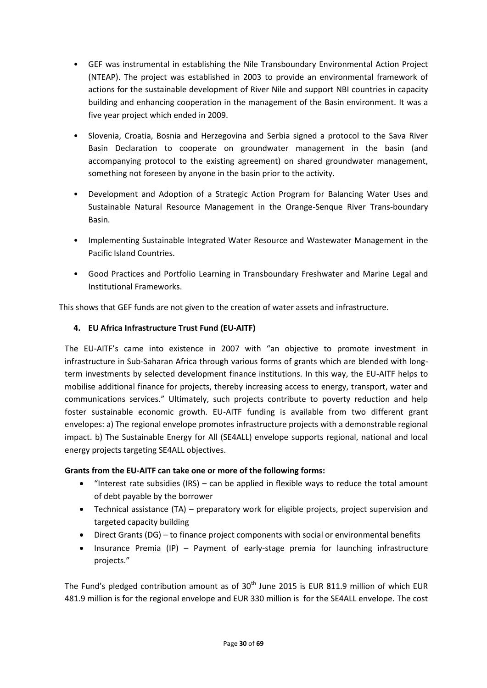- GEF was instrumental in establishing the Nile Transboundary Environmental Action Project (NTEAP). The project was established in 2003 to provide an environmental framework of actions for the sustainable development of River Nile and support NBI countries in capacity building and enhancing cooperation in the management of the Basin environment. It was a five year project which ended in 2009.
- Slovenia, Croatia, Bosnia and Herzegovina and Serbia signed a protocol to the Sava River Basin Declaration to cooperate on groundwater management in the basin (and accompanying protocol to the existing agreement) on shared groundwater management, something not foreseen by anyone in the basin prior to the activity.
- Development and Adoption of a Strategic Action Program for Balancing Water Uses and Sustainable Natural Resource Management in the Orange-Senque River Trans-boundary Basin.
- Implementing Sustainable Integrated Water Resource and Wastewater Management in the Pacific Island Countries.
- Good Practices and Portfolio Learning in Transboundary Freshwater and Marine Legal and Institutional Frameworks.

This shows that GEF funds are not given to the creation of water assets and infrastructure.

#### **4. EU Africa Infrastructure Trust Fund (EU-AITF)**

The EU-AITF's came into existence in 2007 with "an objective to promote investment in infrastructure in Sub-Saharan Africa through various forms of grants which are blended with longterm investments by selected development finance institutions. In this way, the EU-AITF helps to mobilise additional finance for projects, thereby increasing access to energy, transport, water and communications services." Ultimately, such projects contribute to poverty reduction and help foster sustainable economic growth. EU-AITF funding is available from two different grant envelopes: a) The regional envelope promotes infrastructure projects with a demonstrable regional impact. b) The Sustainable Energy for All (SE4ALL) envelope supports regional, national and local energy projects targeting SE4ALL objectives.

#### **Grants from the EU-AITF can take one or more of the following forms:**

- "Interest rate subsidies (IRS) can be applied in flexible ways to reduce the total amount of debt payable by the borrower
- Technical assistance (TA) preparatory work for eligible projects, project supervision and targeted capacity building
- Direct Grants (DG) to finance project components with social or environmental benefits
- Insurance Premia (IP) Payment of early-stage premia for launching infrastructure projects."

The Fund's pledged contribution amount as of  $30<sup>th</sup>$  June 2015 is EUR 811.9 million of which EUR 481.9 million is for the regional envelope and EUR 330 million is for the SE4ALL envelope. The cost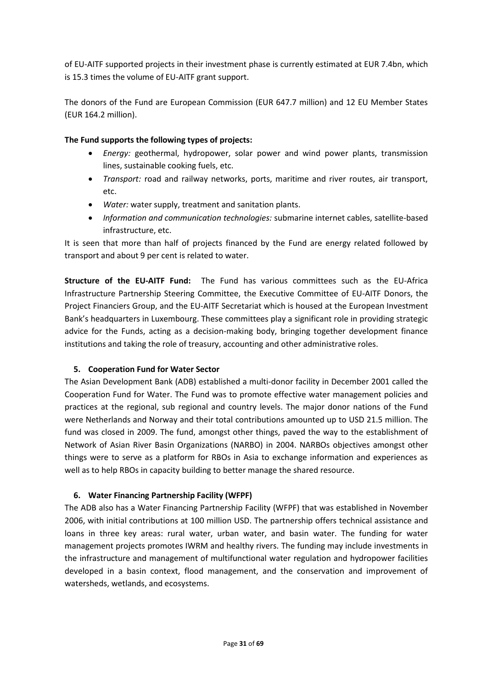of EU-AITF supported projects in their investment phase is currently estimated at EUR 7.4bn, which is 15.3 times the volume of EU-AITF grant support.

The donors of the Fund are European Commission (EUR 647.7 million) and 12 EU Member States (EUR 164.2 million).

#### **The Fund supports the following types of projects:**

- *Energy:* geothermal, hydropower, solar power and wind power plants, transmission lines, sustainable cooking fuels, etc.
- *Transport:* road and railway networks, ports, maritime and river routes, air transport, etc.
- *Water:* water supply, treatment and sanitation plants.
- *Information and communication technologies:* submarine internet cables, satellite-based infrastructure, etc.

It is seen that more than half of projects financed by the Fund are energy related followed by transport and about 9 per cent is related to water.

**Structure of the EU-AITF Fund:** The Fund has various committees such as the EU-Africa Infrastructure Partnership Steering Committee, the Executive Committee of EU-AITF Donors, the Project Financiers Group, and the EU-AITF Secretariat which is housed at the European Investment Bank's headquarters in Luxembourg. These committees play a significant role in providing strategic advice for the Funds, acting as a decision-making body, bringing together development finance institutions and taking the role of treasury, accounting and other administrative roles.

#### **5. Cooperation Fund for Water Sector**

The Asian Development Bank (ADB) established a multi-donor facility in December 2001 called the Cooperation Fund for Water. The Fund was to promote effective water management policies and practices at the regional, sub regional and country levels. The major donor nations of the Fund were Netherlands and Norway and their total contributions amounted up to USD 21.5 million. The fund was closed in 2009. The fund, amongst other things, paved the way to the establishment of Network of Asian River Basin Organizations (NARBO) in 2004. NARBOs objectives amongst other things were to serve as a platform for RBOs in Asia to exchange information and experiences as well as to help RBOs in capacity building to better manage the shared resource.

# **6. Water Financing Partnership Facility (WFPF)**

The ADB also has a Water Financing Partnership Facility (WFPF) that was established in November 2006, with initial contributions at 100 million USD. The partnership offers technical assistance and loans in three key areas: rural water, urban water, and basin water. The funding for water management projects promotes IWRM and healthy rivers. The funding may include investments in the infrastructure and management of multifunctional water regulation and hydropower facilities developed in a basin context, flood management, and the conservation and improvement of watersheds, wetlands, and ecosystems.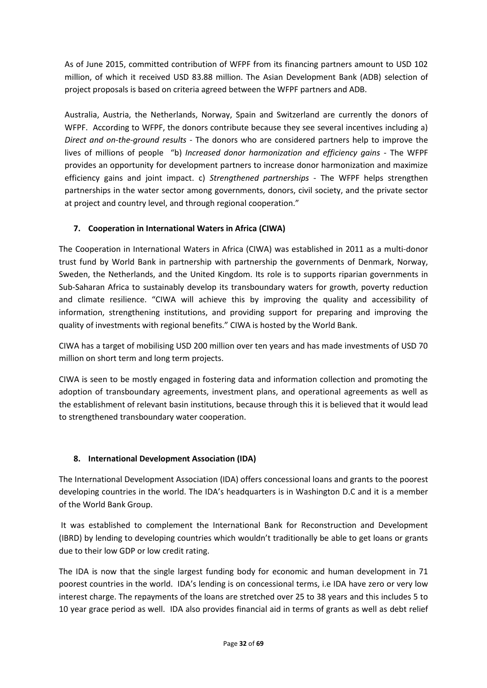As of June 2015, committed contribution of WFPF from its financing partners amount to USD 102 million, of which it received USD 83.88 million. The Asian Development Bank (ADB) selection of project proposals is based on criteria agreed between the WFPF partners and ADB.

Australia, Austria, the Netherlands, Norway, Spain and Switzerland are currently the donors of WFPF. According to WFPF, the donors contribute because they see several incentives including a) *Direct and on-the-ground results -* The donors who are considered partners help to improve the lives of millions of people "b) *Increased donor harmonization and efficiency gains* - The WFPF provides an opportunity for development partners to increase donor harmonization and maximize efficiency gains and joint impact. c) *Strengthened partnerships* - The WFPF helps strengthen partnerships in the water sector among governments, donors, civil society, and the private sector at project and country level, and through regional cooperation."

# **7. Cooperation in International Waters in Africa (CIWA)**

The Cooperation in International Waters in Africa (CIWA) was established in 2011 as a multi-donor trust fund by World Bank in partnership with partnership the governments of Denmark, Norway, Sweden, the Netherlands, and the United Kingdom. Its role is to supports riparian governments in Sub-Saharan Africa to sustainably develop its transboundary waters for growth, poverty reduction and climate resilience. "CIWA will achieve this by improving the quality and accessibility of information, strengthening institutions, and providing support for preparing and improving the quality of investments with regional benefits." CIWA is hosted by the World Bank.

CIWA has a target of mobilising USD 200 million over ten years and has made investments of USD 70 million on short term and long term projects.

CIWA is seen to be mostly engaged in fostering data and information collection and promoting the adoption of transboundary agreements, investment plans, and operational agreements as well as the establishment of relevant basin institutions, because through this it is believed that it would lead to strengthened transboundary water cooperation.

# **8. International Development Association (IDA)**

The International Development Association (IDA) offers concessional loans and grants to the poorest developing countries in the world. The IDA's headquarters is in Washington D.C and it is a member of the World Bank Group.

It was established to complement the International Bank for Reconstruction and Development (IBRD) by lending to developing countries which wouldn't traditionally be able to get loans or grants due to their low GDP or low credit rating.

The IDA is now that the single largest funding body for economic and human development in 71 poorest countries in the world. IDA's lending is on concessional terms, i.e IDA have zero or very low interest charge. The repayments of the loans are stretched over 25 to 38 years and this includes 5 to 10 year grace period as well. IDA also provides financial aid in terms of grants as well as debt relief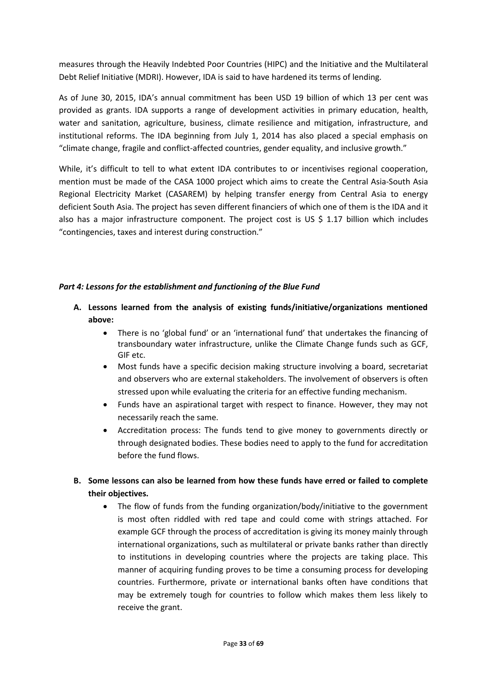measures through the Heavily Indebted Poor Countries (HIPC) and the Initiative and the Multilateral Debt Relief Initiative (MDRI). However, IDA is said to have hardened its terms of lending.

As of June 30, 2015, IDA's annual commitment has been USD 19 billion of which 13 per cent was provided as grants. IDA supports a range of development activities in primary education, health, water and sanitation, agriculture, business, climate resilience and mitigation, infrastructure, and institutional reforms. The IDA beginning from July 1, 2014 has also placed a special emphasis on "climate change, fragile and conflict-affected countries, gender equality, and inclusive growth."

While, it's difficult to tell to what extent IDA contributes to or incentivises regional cooperation, mention must be made of the CASA 1000 project which aims to create the Central Asia-South Asia Regional Electricity Market (CASAREM) by helping transfer energy from Central Asia to energy deficient South Asia. The project has seven different financiers of which one of them is the IDA and it also has a major infrastructure component. The project cost is US \$ 1.17 billion which includes "contingencies, taxes and interest during construction."

#### *Part 4: Lessons for the establishment and functioning of the Blue Fund*

- **A. Lessons learned from the analysis of existing funds/initiative/organizations mentioned above:**
	- There is no 'global fund' or an 'international fund' that undertakes the financing of transboundary water infrastructure, unlike the Climate Change funds such as GCF, GIF etc.
	- Most funds have a specific decision making structure involving a board, secretariat and observers who are external stakeholders. The involvement of observers is often stressed upon while evaluating the criteria for an effective funding mechanism.
	- Funds have an aspirational target with respect to finance. However, they may not necessarily reach the same.
	- Accreditation process: The funds tend to give money to governments directly or through designated bodies. These bodies need to apply to the fund for accreditation before the fund flows.

# **B. Some lessons can also be learned from how these funds have erred or failed to complete their objectives.**

• The flow of funds from the funding organization/body/initiative to the government is most often riddled with red tape and could come with strings attached. For example GCF through the process of accreditation is giving its money mainly through international organizations, such as multilateral or private banks rather than directly to institutions in developing countries where the projects are taking place. This manner of acquiring funding proves to be time a consuming process for developing countries. Furthermore, private or international banks often have conditions that may be extremely tough for countries to follow which makes them less likely to receive the grant.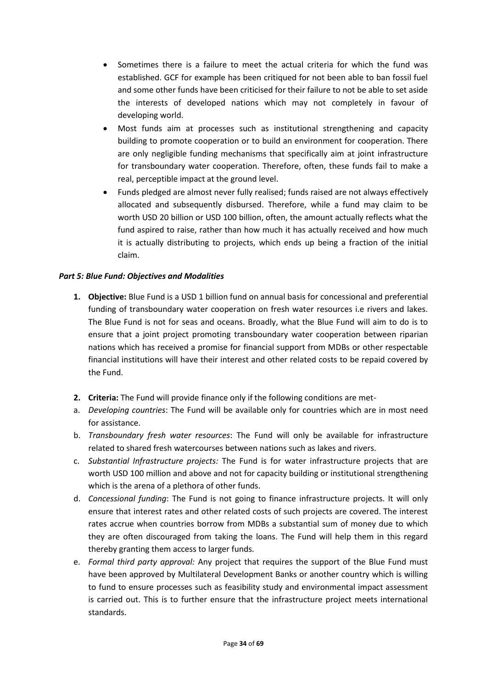- Sometimes there is a failure to meet the actual criteria for which the fund was established. GCF for example has been critiqued for not been able to ban fossil fuel and some other funds have been criticised for their failure to not be able to set aside the interests of developed nations which may not completely in favour of developing world.
- Most funds aim at processes such as institutional strengthening and capacity building to promote cooperation or to build an environment for cooperation. There are only negligible funding mechanisms that specifically aim at joint infrastructure for transboundary water cooperation. Therefore, often, these funds fail to make a real, perceptible impact at the ground level.
- Funds pledged are almost never fully realised; funds raised are not always effectively allocated and subsequently disbursed. Therefore, while a fund may claim to be worth USD 20 billion or USD 100 billion, often, the amount actually reflects what the fund aspired to raise, rather than how much it has actually received and how much it is actually distributing to projects, which ends up being a fraction of the initial claim.

#### *Part 5: Blue Fund: Objectives and Modalities*

- **1. Objective:** Blue Fund is a USD 1 billion fund on annual basis for concessional and preferential funding of transboundary water cooperation on fresh water resources i.e rivers and lakes. The Blue Fund is not for seas and oceans. Broadly, what the Blue Fund will aim to do is to ensure that a joint project promoting transboundary water cooperation between riparian nations which has received a promise for financial support from MDBs or other respectable financial institutions will have their interest and other related costs to be repaid covered by the Fund.
- **2. Criteria:** The Fund will provide finance only if the following conditions are met-
- a. *Developing countries*: The Fund will be available only for countries which are in most need for assistance.
- b. *Transboundary fresh water resources*: The Fund will only be available for infrastructure related to shared fresh watercourses between nations such as lakes and rivers.
- c. *Substantial Infrastructure projects:* The Fund is for water infrastructure projects that are worth USD 100 million and above and not for capacity building or institutional strengthening which is the arena of a plethora of other funds.
- d. *Concessional funding*: The Fund is not going to finance infrastructure projects. It will only ensure that interest rates and other related costs of such projects are covered. The interest rates accrue when countries borrow from MDBs a substantial sum of money due to which they are often discouraged from taking the loans. The Fund will help them in this regard thereby granting them access to larger funds.
- e. *Formal third party approval:* Any project that requires the support of the Blue Fund must have been approved by Multilateral Development Banks or another country which is willing to fund to ensure processes such as feasibility study and environmental impact assessment is carried out. This is to further ensure that the infrastructure project meets international standards.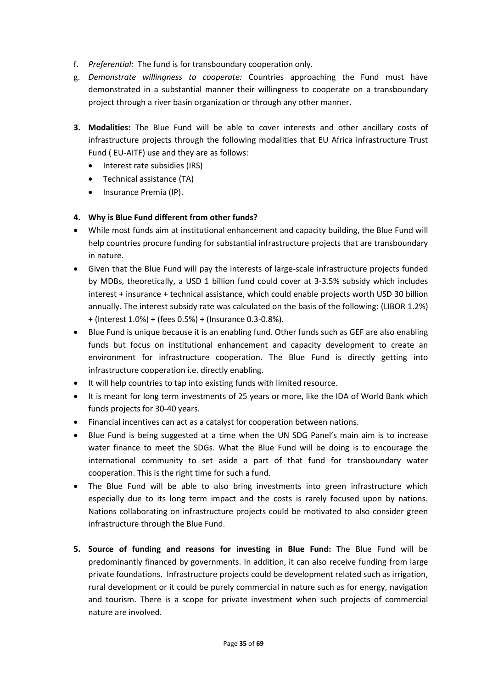- f. *Preferential:* The fund is for transboundary cooperation only.
- g. *Demonstrate willingness to cooperate:* Countries approaching the Fund must have demonstrated in a substantial manner their willingness to cooperate on a transboundary project through a river basin organization or through any other manner.
- **3. Modalities:** The Blue Fund will be able to cover interests and other ancillary costs of infrastructure projects through the following modalities that EU Africa infrastructure Trust Fund ( EU-AITF) use and they are as follows:
	- Interest rate subsidies (IRS)
	- Technical assistance (TA)
	- Insurance Premia (IP).

#### **4. Why is Blue Fund different from other funds?**

- While most funds aim at institutional enhancement and capacity building, the Blue Fund will help countries procure funding for substantial infrastructure projects that are transboundary in nature.
- Given that the Blue Fund will pay the interests of large-scale infrastructure projects funded by MDBs, theoretically, a USD 1 billion fund could cover at 3-3.5% subsidy which includes interest + insurance + technical assistance, which could enable projects worth USD 30 billion annually. The interest subsidy rate was calculated on the basis of the following: (LIBOR 1.2%) + (Interest 1.0%) + (fees 0.5%) + (Insurance 0.3-0.8%).
- Blue Fund is unique because it is an enabling fund. Other funds such as GEF are also enabling funds but focus on institutional enhancement and capacity development to create an environment for infrastructure cooperation. The Blue Fund is directly getting into infrastructure cooperation i.e. directly enabling.
- It will help countries to tap into existing funds with limited resource.
- It is meant for long term investments of 25 years or more, like the IDA of World Bank which funds projects for 30-40 years.
- Financial incentives can act as a catalyst for cooperation between nations.
- Blue Fund is being suggested at a time when the UN SDG Panel's main aim is to increase water finance to meet the SDGs. What the Blue Fund will be doing is to encourage the international community to set aside a part of that fund for transboundary water cooperation. This is the right time for such a fund.
- The Blue Fund will be able to also bring investments into green infrastructure which especially due to its long term impact and the costs is rarely focused upon by nations. Nations collaborating on infrastructure projects could be motivated to also consider green infrastructure through the Blue Fund.
- **5. Source of funding and reasons for investing in Blue Fund:** The Blue Fund will be predominantly financed by governments. In addition, it can also receive funding from large private foundations. Infrastructure projects could be development related such as irrigation, rural development or it could be purely commercial in nature such as for energy, navigation and tourism. There is a scope for private investment when such projects of commercial nature are involved.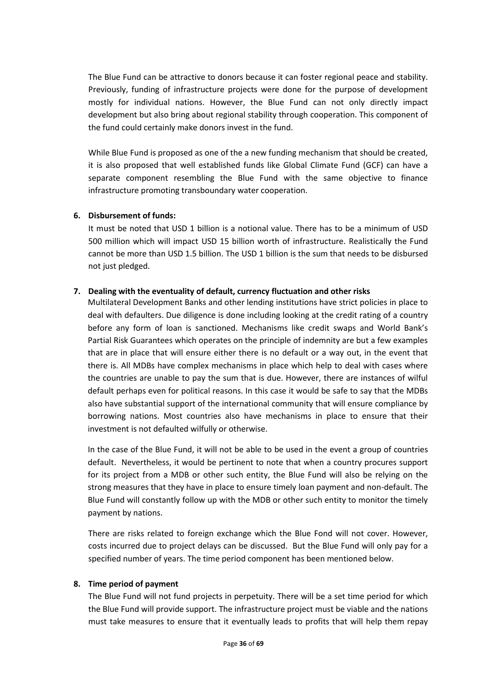The Blue Fund can be attractive to donors because it can foster regional peace and stability. Previously, funding of infrastructure projects were done for the purpose of development mostly for individual nations. However, the Blue Fund can not only directly impact development but also bring about regional stability through cooperation. This component of the fund could certainly make donors invest in the fund.

While Blue Fund is proposed as one of the a new funding mechanism that should be created, it is also proposed that well established funds like Global Climate Fund (GCF) can have a separate component resembling the Blue Fund with the same objective to finance infrastructure promoting transboundary water cooperation.

#### **6. Disbursement of funds:**

It must be noted that USD 1 billion is a notional value. There has to be a minimum of USD 500 million which will impact USD 15 billion worth of infrastructure. Realistically the Fund cannot be more than USD 1.5 billion. The USD 1 billion is the sum that needs to be disbursed not just pledged.

#### **7. Dealing with the eventuality of default, currency fluctuation and other risks**

Multilateral Development Banks and other lending institutions have strict policies in place to deal with defaulters. Due diligence is done including looking at the credit rating of a country before any form of loan is sanctioned. Mechanisms like credit swaps and World Bank's Partial Risk Guarantees which operates on the principle of indemnity are but a few examples that are in place that will ensure either there is no default or a way out, in the event that there is. All MDBs have complex mechanisms in place which help to deal with cases where the countries are unable to pay the sum that is due. However, there are instances of wilful default perhaps even for political reasons. In this case it would be safe to say that the MDBs also have substantial support of the international community that will ensure compliance by borrowing nations. Most countries also have mechanisms in place to ensure that their investment is not defaulted wilfully or otherwise.

In the case of the Blue Fund, it will not be able to be used in the event a group of countries default. Nevertheless, it would be pertinent to note that when a country procures support for its project from a MDB or other such entity, the Blue Fund will also be relying on the strong measures that they have in place to ensure timely loan payment and non-default. The Blue Fund will constantly follow up with the MDB or other such entity to monitor the timely payment by nations.

There are risks related to foreign exchange which the Blue Fond will not cover. However, costs incurred due to project delays can be discussed. But the Blue Fund will only pay for a specified number of years. The time period component has been mentioned below.

#### **8. Time period of payment**

The Blue Fund will not fund projects in perpetuity. There will be a set time period for which the Blue Fund will provide support. The infrastructure project must be viable and the nations must take measures to ensure that it eventually leads to profits that will help them repay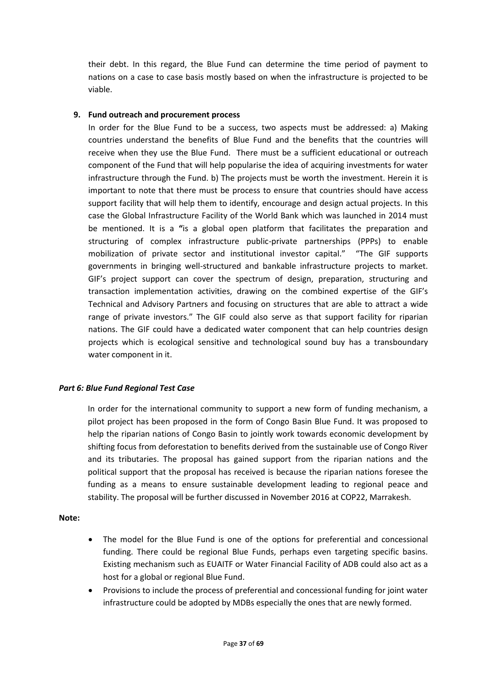their debt. In this regard, the Blue Fund can determine the time period of payment to nations on a case to case basis mostly based on when the infrastructure is projected to be viable.

#### **9. Fund outreach and procurement process**

In order for the Blue Fund to be a success, two aspects must be addressed: a) Making countries understand the benefits of Blue Fund and the benefits that the countries will receive when they use the Blue Fund. There must be a sufficient educational or outreach component of the Fund that will help popularise the idea of acquiring investments for water infrastructure through the Fund. b) The projects must be worth the investment. Herein it is important to note that there must be process to ensure that countries should have access support facility that will help them to identify, encourage and design actual projects. In this case the Global Infrastructure Facility of the World Bank which was launched in 2014 must be mentioned. It is a **"**is a global open platform that facilitates the preparation and structuring of complex infrastructure public-private partnerships (PPPs) to enable mobilization of private sector and institutional investor capital." "The GIF supports governments in bringing well-structured and bankable infrastructure projects to market. GIF's project support can cover the spectrum of design, preparation, structuring and transaction implementation activities, drawing on the combined expertise of the GIF's Technical and Advisory Partners and focusing on structures that are able to attract a wide range of private investors." The GIF could also serve as that support facility for riparian nations. The GIF could have a dedicated water component that can help countries design projects which is ecological sensitive and technological sound buy has a transboundary water component in it.

#### *Part 6: Blue Fund Regional Test Case*

In order for the international community to support a new form of funding mechanism, a pilot project has been proposed in the form of Congo Basin Blue Fund. It was proposed to help the riparian nations of Congo Basin to jointly work towards economic development by shifting focus from deforestation to benefits derived from the sustainable use of Congo River and its tributaries. The proposal has gained support from the riparian nations and the political support that the proposal has received is because the riparian nations foresee the funding as a means to ensure sustainable development leading to regional peace and stability. The proposal will be further discussed in November 2016 at COP22, Marrakesh.

#### **Note:**

- The model for the Blue Fund is one of the options for preferential and concessional funding. There could be regional Blue Funds, perhaps even targeting specific basins. Existing mechanism such as EUAITF or Water Financial Facility of ADB could also act as a host for a global or regional Blue Fund.
- Provisions to include the process of preferential and concessional funding for joint water infrastructure could be adopted by MDBs especially the ones that are newly formed.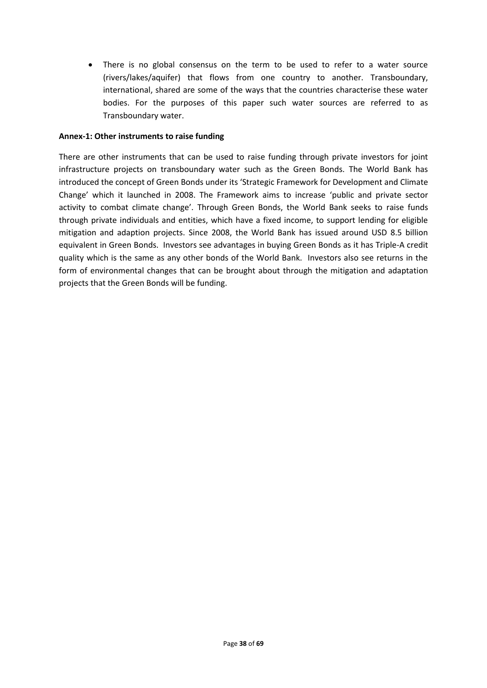There is no global consensus on the term to be used to refer to a water source (rivers/lakes/aquifer) that flows from one country to another. Transboundary, international, shared are some of the ways that the countries characterise these water bodies. For the purposes of this paper such water sources are referred to as Transboundary water.

#### **Annex-1: Other instruments to raise funding**

There are other instruments that can be used to raise funding through private investors for joint infrastructure projects on transboundary water such as the Green Bonds. The World Bank has introduced the concept of Green Bonds under its 'Strategic Framework for Development and Climate Change' which it launched in 2008. The Framework aims to increase 'public and private sector activity to combat climate change'. Through Green Bonds, the World Bank seeks to raise funds through private individuals and entities, which have a fixed income, to support lending for eligible mitigation and adaption projects. Since 2008, the World Bank has issued around USD 8.5 billion equivalent in Green Bonds. Investors see advantages in buying Green Bonds as it has Triple-A credit quality which is the same as any other bonds of the World Bank. Investors also see returns in the form of environmental changes that can be brought about through the mitigation and adaptation projects that the Green Bonds will be funding.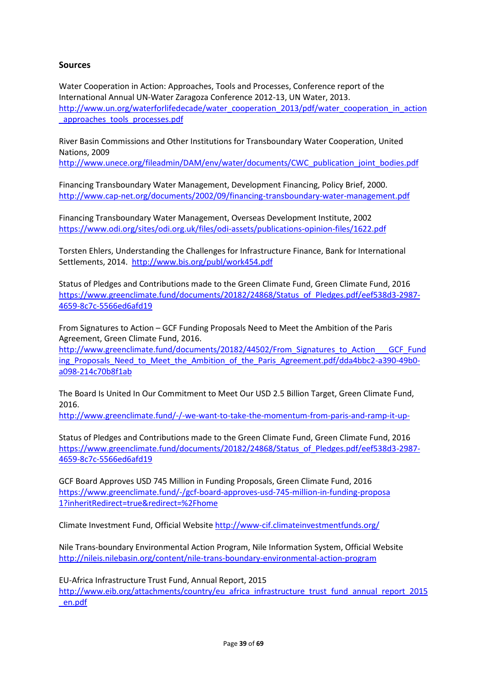#### **Sources**

Water Cooperation in Action: Approaches, Tools and Processes, Conference report of the International Annual UN-Water Zaragoza Conference 2012-13, UN Water, 2013. [http://www.un.org/waterforlifedecade/water\\_cooperation\\_2013/pdf/water\\_cooperation\\_in\\_action](http://www.un.org/waterforlifedecade/water_cooperation_2013/pdf/water_cooperation_in_action_approaches_tools_processes.pdf) approaches tools processes.pdf

River Basin Commissions and Other Institutions for Transboundary Water Cooperation, United Nations, 2009

[http://www.unece.org/fileadmin/DAM/env/water/documents/CWC\\_publication\\_joint\\_bodies.pdf](http://www.unece.org/fileadmin/DAM/env/water/documents/CWC_publication_joint_bodies.pdf)

Financing Transboundary Water Management, Development Financing, Policy Brief, 2000. <http://www.cap-net.org/documents/2002/09/financing-transboundary-water-management.pdf>

Financing Transboundary Water Management, Overseas Development Institute, 2002 <https://www.odi.org/sites/odi.org.uk/files/odi-assets/publications-opinion-files/1622.pdf>

Torsten Ehlers, Understanding the Challenges for Infrastructure Finance, Bank for International Settlements, 2014. <http://www.bis.org/publ/work454.pdf>

Status of Pledges and Contributions made to the Green Climate Fund, Green Climate Fund, 2016 [https://www.greenclimate.fund/documents/20182/24868/Status\\_of\\_Pledges.pdf/eef538d3-2987-](https://www.greenclimate.fund/documents/20182/24868/Status_of_Pledges.pdf/eef538d3-2987-4659-8c7c-5566ed6afd19) [4659-8c7c-5566ed6afd19](https://www.greenclimate.fund/documents/20182/24868/Status_of_Pledges.pdf/eef538d3-2987-4659-8c7c-5566ed6afd19)

From Signatures to Action – GCF Funding Proposals Need to Meet the Ambition of the Paris Agreement, Green Climate Fund, 2016.

[http://www.greenclimate.fund/documents/20182/44502/From\\_Signatures\\_to\\_Action\\_\\_\\_GCF\\_Fund](http://www.greenclimate.fund/documents/20182/44502/From_Signatures_to_Action___GCF_Funding_Proposals_Need_to_Meet_the_Ambition_of_the_Paris_Agreement.pdf/dda4bbc2-a390-49b0-a098-214c70b8f1ab) ing Proposals Need to Meet the Ambition of the Paris Agreement.pdf/dda4bbc2-a390-49b0[a098-214c70b8f1ab](http://www.greenclimate.fund/documents/20182/44502/From_Signatures_to_Action___GCF_Funding_Proposals_Need_to_Meet_the_Ambition_of_the_Paris_Agreement.pdf/dda4bbc2-a390-49b0-a098-214c70b8f1ab)

The Board Is United In Our Commitment to Meet Our USD 2.5 Billion Target, Green Climate Fund, 2016.

<http://www.greenclimate.fund/-/-we-want-to-take-the-momentum-from-paris-and-ramp-it-up->

Status of Pledges and Contributions made to the Green Climate Fund, Green Climate Fund, 2016 [https://www.greenclimate.fund/documents/20182/24868/Status\\_of\\_Pledges.pdf/eef538d3-2987-](https://www.greenclimate.fund/documents/20182/24868/Status_of_Pledges.pdf/eef538d3-2987-4659-8c7c-5566ed6afd19) [4659-8c7c-5566ed6afd19](https://www.greenclimate.fund/documents/20182/24868/Status_of_Pledges.pdf/eef538d3-2987-4659-8c7c-5566ed6afd19)

GCF Board Approves USD 745 Million in Funding Proposals, Green Climate Fund, 2016 [https://www.greenclimate.fund/-/gcf-board-approves-usd-745-million-in-funding-proposa](https://www.greenclimate.fund/-/gcf-board-approves-usd-745-million-in-funding-proposa%201?inheritRedirect=true&redirect=%2Fhome)  [1?inheritRedirect=true&redirect=%2Fhome](https://www.greenclimate.fund/-/gcf-board-approves-usd-745-million-in-funding-proposa%201?inheritRedirect=true&redirect=%2Fhome)

Climate Investment Fund, Official Website<http://www-cif.climateinvestmentfunds.org/>

Nile Trans-boundary Environmental Action Program, Nile Information System, Official Website <http://nileis.nilebasin.org/content/nile-trans-boundary-environmental-action-program>

EU-Africa Infrastructure Trust Fund, Annual Report, 2015

[http://www.eib.org/attachments/country/eu\\_africa\\_infrastructure\\_trust\\_fund\\_annual\\_report\\_2015](http://www.eib.org/attachments/country/eu_africa_infrastructure_trust_fund_annual_report_2015_en.pdf) [\\_en.pdf](http://www.eib.org/attachments/country/eu_africa_infrastructure_trust_fund_annual_report_2015_en.pdf)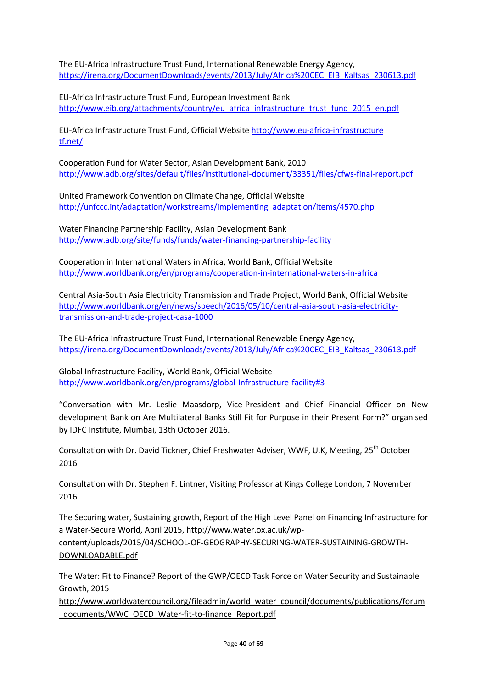The EU-Africa Infrastructure Trust Fund, International Renewable Energy Agency, [https://irena.org/DocumentDownloads/events/2013/July/Africa%20CEC\\_EIB\\_Kaltsas\\_230613.pdf](https://irena.org/DocumentDownloads/events/2013/July/Africa%20CEC_EIB_Kaltsas_230613.pdf)

EU-Africa Infrastructure Trust Fund, European Investment Bank [http://www.eib.org/attachments/country/eu\\_africa\\_infrastructure\\_trust\\_fund\\_2015\\_en.pdf](http://www.eib.org/attachments/country/eu_africa_infrastructure_trust_fund_2015_en.pdf)

EU-Africa Infrastructure Trust Fund, Official Website http://www.eu-africa-infrastructure tf.net/

Cooperation Fund for Water Sector, Asian Development Bank, 2010 <http://www.adb.org/sites/default/files/institutional-document/33351/files/cfws-final-report.pdf>

United Framework Convention on Climate Change, Official Website [http://unfccc.int/adaptation/workstreams/implementing\\_adaptation/items/4570.php](http://unfccc.int/adaptation/workstreams/implementing_adaptation/items/4570.php)

Water Financing Partnership Facility, Asian Development Bank <http://www.adb.org/site/funds/funds/water-financing-partnership-facility>

Cooperation in International Waters in Africa, World Bank, Official Website <http://www.worldbank.org/en/programs/cooperation-in-international-waters-in-africa>

Central Asia-South Asia Electricity Transmission and Trade Project, World Bank, Official Website [http://www.worldbank.org/en/news/speech/2016/05/10/central-asia-south-asia-electricity](http://www.worldbank.org/en/news/speech/2016/05/10/central-asia-south-asia-electricity-transmission-and-trade-project-casa-1000)[transmission-and-trade-project-casa-1000](http://www.worldbank.org/en/news/speech/2016/05/10/central-asia-south-asia-electricity-transmission-and-trade-project-casa-1000)

The EU-Africa Infrastructure Trust Fund, International Renewable Energy Agency, [https://irena.org/DocumentDownloads/events/2013/July/Africa%20CEC\\_EIB\\_Kaltsas\\_230613.pdf](https://irena.org/DocumentDownloads/events/2013/July/Africa%20CEC_EIB_Kaltsas_230613.pdf)

Global Infrastructure Facility, World Bank, Official Website <http://www.worldbank.org/en/programs/global-Infrastructure-facility#3>

"Conversation with Mr. Leslie Maasdorp, Vice-President and Chief Financial Officer on New development Bank on Are Multilateral Banks Still Fit for Purpose in their Present Form?" organised by IDFC Institute, Mumbai, 13th October 2016.

Consultation with Dr. David Tickner, Chief Freshwater Adviser, WWF, U.K, Meeting, 25<sup>th</sup> October 2016

Consultation with Dr. Stephen F. Lintner, Visiting Professor at Kings College London, 7 November 2016

The Securing water, Sustaining growth, Report of the High Level Panel on Financing Infrastructure for a Water-Secure World, April 2015, [http://www.water.ox.ac.uk/wp-](http://www.water.ox.ac.uk/wp-content/uploads/2015/04/SCHOOL-OF-GEOGRAPHY-SECURING-WATER-SUSTAINING-GROWTH-DOWNLOADABLE.pdf)

[content/uploads/2015/04/SCHOOL-OF-GEOGRAPHY-SECURING-WATER-SUSTAINING-GROWTH-](http://www.water.ox.ac.uk/wp-content/uploads/2015/04/SCHOOL-OF-GEOGRAPHY-SECURING-WATER-SUSTAINING-GROWTH-DOWNLOADABLE.pdf)[DOWNLOADABLE.pdf](http://www.water.ox.ac.uk/wp-content/uploads/2015/04/SCHOOL-OF-GEOGRAPHY-SECURING-WATER-SUSTAINING-GROWTH-DOWNLOADABLE.pdf)

The Water: Fit to Finance? Report of the GWP/OECD Task Force on Water Security and Sustainable Growth, 2015

[http://www.worldwatercouncil.org/fileadmin/world\\_water\\_council/documents/publications/forum](http://www.worldwatercouncil.org/fileadmin/world_water_council/documents/publications/forum_documents/WWC_OECD_Water-fit-to-finance_Report.pdf) [\\_documents/WWC\\_OECD\\_Water-fit-to-finance\\_Report.pdf](http://www.worldwatercouncil.org/fileadmin/world_water_council/documents/publications/forum_documents/WWC_OECD_Water-fit-to-finance_Report.pdf)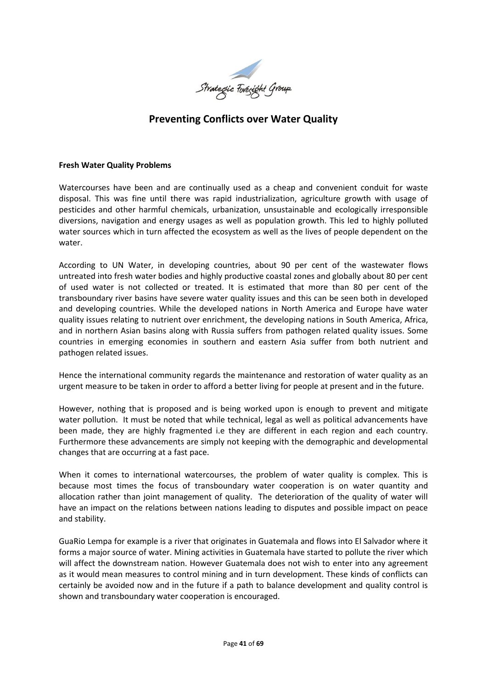

# **Preventing Conflicts over Water Quality**

#### **Fresh Water Quality Problems**

Watercourses have been and are continually used as a cheap and convenient conduit for waste disposal. This was fine until there was rapid industrialization, agriculture growth with usage of pesticides and other harmful chemicals, urbanization, unsustainable and ecologically irresponsible diversions, navigation and energy usages as well as population growth. This led to highly polluted water sources which in turn affected the ecosystem as well as the lives of people dependent on the water.

According to UN Water, in developing countries, about 90 per cent of the wastewater flows untreated into fresh water bodies and highly productive coastal zones and globally about 80 per cent of used water is not collected or treated. It is estimated that more than 80 per cent of the transboundary river basins have severe water quality issues and this can be seen both in developed and developing countries. While the developed nations in North America and Europe have water quality issues relating to nutrient over enrichment, the developing nations in South America, Africa, and in northern Asian basins along with Russia suffers from pathogen related quality issues. Some countries in emerging economies in southern and eastern Asia suffer from both nutrient and pathogen related issues.

Hence the international community regards the maintenance and restoration of water quality as an urgent measure to be taken in order to afford a better living for people at present and in the future.

However, nothing that is proposed and is being worked upon is enough to prevent and mitigate water pollution. It must be noted that while technical, legal as well as political advancements have been made, they are highly fragmented i.e they are different in each region and each country. Furthermore these advancements are simply not keeping with the demographic and developmental changes that are occurring at a fast pace.

When it comes to international watercourses, the problem of water quality is complex. This is because most times the focus of transboundary water cooperation is on water quantity and allocation rather than joint management of quality. The deterioration of the quality of water will have an impact on the relations between nations leading to disputes and possible impact on peace and stability.

GuaRio Lempa for example is a river that originates in Guatemala and flows into El Salvador where it forms a major source of water. Mining activities in Guatemala have started to pollute the river which will affect the downstream nation. However Guatemala does not wish to enter into any agreement as it would mean measures to control mining and in turn development. These kinds of conflicts can certainly be avoided now and in the future if a path to balance development and quality control is shown and transboundary water cooperation is encouraged.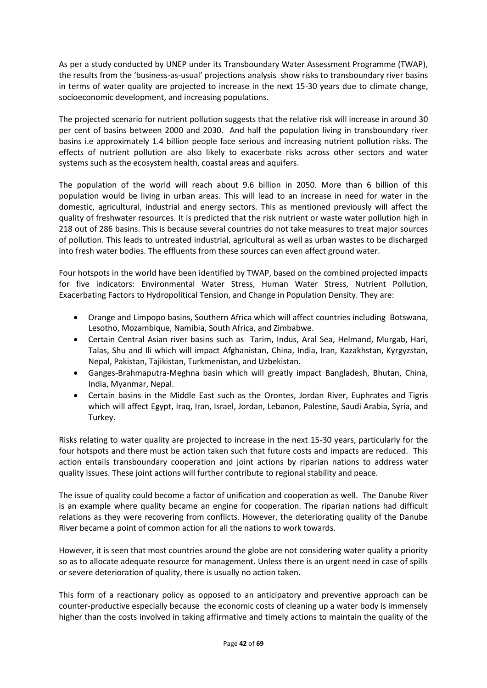As per a study conducted by UNEP under its Transboundary Water Assessment Programme (TWAP), the results from the 'business-as-usual' projections analysis show risks to transboundary river basins in terms of water quality are projected to increase in the next 15-30 years due to climate change, socioeconomic development, and increasing populations.

The projected scenario for nutrient pollution suggests that the relative risk will increase in around 30 per cent of basins between 2000 and 2030. And half the population living in transboundary river basins i.e approximately 1.4 billion people face serious and increasing nutrient pollution risks. The effects of nutrient pollution are also likely to exacerbate risks across other sectors and water systems such as the ecosystem health, coastal areas and aquifers.

The population of the world will reach about 9.6 billion in 2050. More than 6 billion of this population would be living in urban areas. This will lead to an increase in need for water in the domestic, agricultural, industrial and energy sectors. This as mentioned previously will affect the quality of freshwater resources. It is predicted that the risk nutrient or waste water pollution high in 218 out of 286 basins. This is because several countries do not take measures to treat major sources of pollution. This leads to untreated industrial, agricultural as well as urban wastes to be discharged into fresh water bodies. The effluents from these sources can even affect ground water.

Four hotspots in the world have been identified by TWAP, based on the combined projected impacts for five indicators: Environmental Water Stress, Human Water Stress, Nutrient Pollution, Exacerbating Factors to Hydropolitical Tension, and Change in Population Density. They are:

- Orange and Limpopo basins, Southern Africa which will affect countries including Botswana, Lesotho, Mozambique, Namibia, South Africa, and Zimbabwe.
- Certain Central Asian river basins such as Tarim, Indus, Aral Sea, Helmand, Murgab, Hari, Talas, Shu and Ili which will impact Afghanistan, China, India, Iran, Kazakhstan, Kyrgyzstan, Nepal, Pakistan, Tajikistan, Turkmenistan, and Uzbekistan.
- Ganges-Brahmaputra-Meghna basin which will greatly impact Bangladesh, Bhutan, China, India, Myanmar, Nepal.
- Certain basins in the Middle East such as the Orontes, Jordan River, Euphrates and Tigris which will affect Egypt, Iraq, Iran, Israel, Jordan, Lebanon, Palestine, Saudi Arabia, Syria, and Turkey.

Risks relating to water quality are projected to increase in the next 15-30 years, particularly for the four hotspots and there must be action taken such that future costs and impacts are reduced. This action entails transboundary cooperation and joint actions by riparian nations to address water quality issues. These joint actions will further contribute to regional stability and peace.

The issue of quality could become a factor of unification and cooperation as well. The Danube River is an example where quality became an engine for cooperation. The riparian nations had difficult relations as they were recovering from conflicts. However, the deteriorating quality of the Danube River became a point of common action for all the nations to work towards.

However, it is seen that most countries around the globe are not considering water quality a priority so as to allocate adequate resource for management. Unless there is an urgent need in case of spills or severe deterioration of quality, there is usually no action taken.

This form of a reactionary policy as opposed to an anticipatory and preventive approach can be counter-productive especially because the economic costs of cleaning up a water body is immensely higher than the costs involved in taking affirmative and timely actions to maintain the quality of the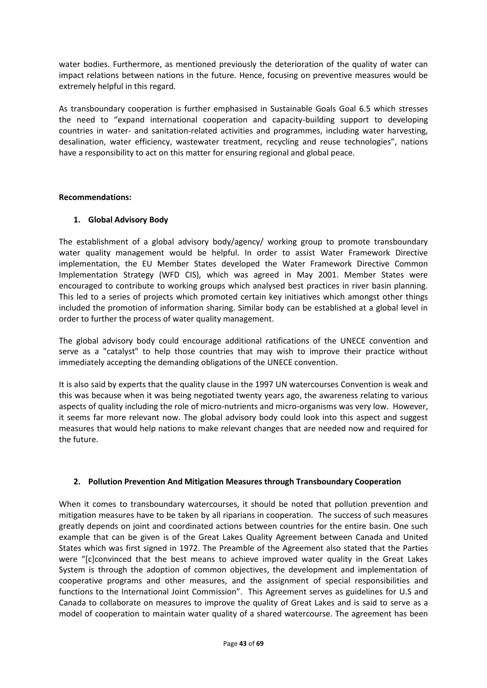water bodies. Furthermore, as mentioned previously the deterioration of the quality of water can impact relations between nations in the future. Hence, focusing on preventive measures would be extremely helpful in this regard.

As transboundary cooperation is further emphasised in Sustainable Goals Goal 6.5 which stresses the need to "expand international cooperation and capacity-building support to developing countries in water- and sanitation-related activities and programmes, including water harvesting, desalination, water efficiency, wastewater treatment, recycling and reuse technologies", nations have a responsibility to act on this matter for ensuring regional and global peace.

#### **Recommendations:**

#### **1. Global Advisory Body**

The establishment of a global advisory body/agency/ working group to promote transboundary water quality management would be helpful. In order to assist Water Framework Directive implementation, the EU Member States developed the Water Framework Directive Common Implementation Strategy (WFD CIS), which was agreed in May 2001. Member States were encouraged to contribute to working groups which analysed best practices in river basin planning. This led to a series of projects which promoted certain key initiatives which amongst other things included the promotion of information sharing. Similar body can be established at a global level in order to further the process of water quality management.

The global advisory body could encourage additional ratifications of the UNECE convention and serve as a "catalyst" to help those countries that may wish to improve their practice without immediately accepting the demanding obligations of the UNECE convention.

It is also said by experts that the quality clause in the 1997 UN watercourses Convention is weak and this was because when it was being negotiated twenty years ago, the awareness relating to various aspects of quality including the role of micro-nutrients and micro-organisms was very low. However, it seems far more relevant now. The global advisory body could look into this aspect and suggest measures that would help nations to make relevant changes that are needed now and required for the future.

#### **2. Pollution Prevention And Mitigation Measures through Transboundary Cooperation**

When it comes to transboundary watercourses, it should be noted that pollution prevention and mitigation measures have to be taken by all riparians in cooperation. The success of such measures greatly depends on joint and coordinated actions between countries for the entire basin. One such example that can be given is of the Great Lakes Quality Agreement between Canada and United States which was first signed in 1972. The Preamble of the Agreement also stated that the Parties were "[c]convinced that the best means to achieve improved water quality in the Great Lakes System is through the adoption of common objectives, the development and implementation of cooperative programs and other measures, and the assignment of special responsibilities and functions to the International Joint Commission". This Agreement serves as guidelines for U.S and Canada to collaborate on measures to improve the quality of Great Lakes and is said to serve as a model of cooperation to maintain water quality of a shared watercourse. The agreement has been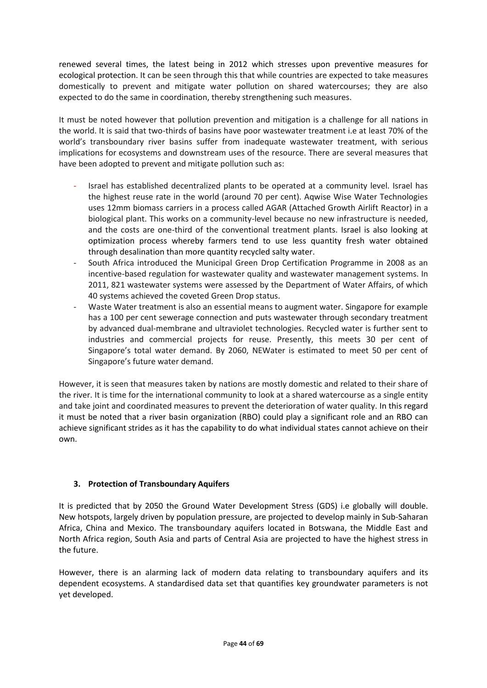renewed several times, the latest being in 2012 which stresses upon preventive measures for ecological protection. It can be seen through this that while countries are expected to take measures domestically to prevent and mitigate water pollution on shared watercourses; they are also expected to do the same in coordination, thereby strengthening such measures.

It must be noted however that pollution prevention and mitigation is a challenge for all nations in the world. It is said that two-thirds of basins have poor wastewater treatment i.e at least 70% of the world's transboundary river basins suffer from inadequate wastewater treatment, with serious implications for ecosystems and downstream uses of the resource. There are several measures that have been adopted to prevent and mitigate pollution such as:

- Israel has established decentralized plants to be operated at a community level. Israel has the highest reuse rate in the world (around 70 per cent). Aqwise Wise Water Technologies uses 12mm biomass carriers in a process called AGAR (Attached Growth Airlift Reactor) in a biological plant. This works on a community-level because no new infrastructure is needed, and the costs are one-third of the conventional treatment plants. Israel is also looking at optimization process whereby farmers tend to use less quantity fresh water obtained through desalination than more quantity recycled salty water.
- South Africa introduced the Municipal Green Drop Certification Programme in 2008 as an incentive-based regulation for wastewater quality and wastewater management systems. In 2011, 821 wastewater systems were assessed by the Department of Water Affairs, of which 40 systems achieved the coveted Green Drop status.
- Waste Water treatment is also an essential means to augment water. Singapore for example has a 100 per cent sewerage connection and puts wastewater through secondary treatment by advanced dual-membrane and ultraviolet technologies. Recycled water is further sent to industries and commercial projects for reuse. Presently, this meets 30 per cent of Singapore's total water demand. By 2060, NEWater is estimated to meet 50 per cent of Singapore's future water demand.

However, it is seen that measures taken by nations are mostly domestic and related to their share of the river. It is time for the international community to look at a shared watercourse as a single entity and take joint and coordinated measures to prevent the deterioration of water quality. In this regard it must be noted that a river basin organization (RBO) could play a significant role and an RBO can achieve significant strides as it has the capability to do what individual states cannot achieve on their own.

# **3. Protection of Transboundary Aquifers**

It is predicted that by 2050 the Ground Water Development Stress (GDS) i.e globally will double. New hotspots, largely driven by population pressure, are projected to develop mainly in Sub-Saharan Africa, China and Mexico. The transboundary aquifers located in Botswana, the Middle East and North Africa region, South Asia and parts of Central Asia are projected to have the highest stress in the future.

However, there is an alarming lack of modern data relating to transboundary aquifers and its dependent ecosystems. A standardised data set that quantifies key groundwater parameters is not yet developed.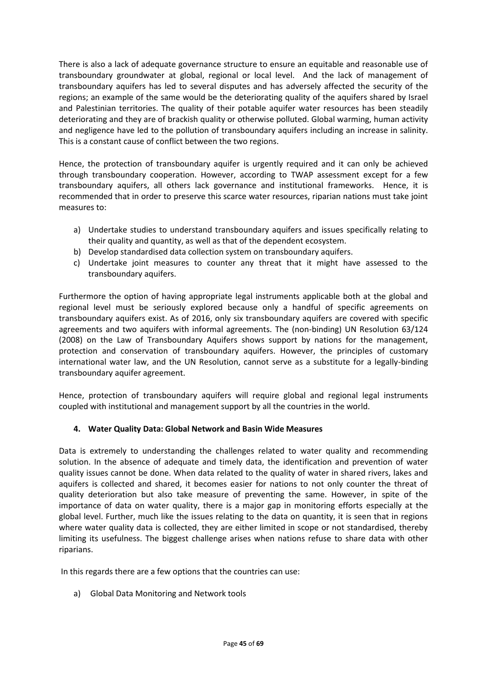There is also a lack of adequate governance structure to ensure an equitable and reasonable use of transboundary groundwater at global, regional or local level. And the lack of management of transboundary aquifers has led to several disputes and has adversely affected the security of the regions; an example of the same would be the deteriorating quality of the aquifers shared by Israel and Palestinian territories. The quality of their potable aquifer water resources has been steadily deteriorating and they are of brackish quality or otherwise polluted. Global warming, human activity and negligence have led to the pollution of transboundary aquifers including an increase in salinity. This is a constant cause of conflict between the two regions.

Hence, the protection of transboundary aquifer is urgently required and it can only be achieved through transboundary cooperation. However, according to TWAP assessment except for a few transboundary aquifers, all others lack governance and institutional frameworks. Hence, it is recommended that in order to preserve this scarce water resources, riparian nations must take joint measures to:

- a) Undertake studies to understand transboundary aquifers and issues specifically relating to their quality and quantity, as well as that of the dependent ecosystem.
- b) Develop standardised data collection system on transboundary aquifers.
- c) Undertake joint measures to counter any threat that it might have assessed to the transboundary aquifers.

Furthermore the option of having appropriate legal instruments applicable both at the global and regional level must be seriously explored because only a handful of specific agreements on transboundary aquifers exist. As of 2016, only six transboundary aquifers are covered with specific agreements and two aquifers with informal agreements. The (non-binding) UN Resolution 63/124 (2008) on the Law of Transboundary Aquifers shows support by nations for the management, protection and conservation of transboundary aquifers. However, the principles of customary international water law, and the UN Resolution, cannot serve as a substitute for a legally-binding transboundary aquifer agreement.

Hence, protection of transboundary aquifers will require global and regional legal instruments coupled with institutional and management support by all the countries in the world.

#### **4. Water Quality Data: Global Network and Basin Wide Measures**

Data is extremely to understanding the challenges related to water quality and recommending solution. In the absence of adequate and timely data, the identification and prevention of water quality issues cannot be done. When data related to the quality of water in shared rivers, lakes and aquifers is collected and shared, it becomes easier for nations to not only counter the threat of quality deterioration but also take measure of preventing the same. However, in spite of the importance of data on water quality, there is a major gap in monitoring efforts especially at the global level. Further, much like the issues relating to the data on quantity, it is seen that in regions where water quality data is collected, they are either limited in scope or not standardised, thereby limiting its usefulness. The biggest challenge arises when nations refuse to share data with other riparians.

In this regards there are a few options that the countries can use:

a) Global Data Monitoring and Network tools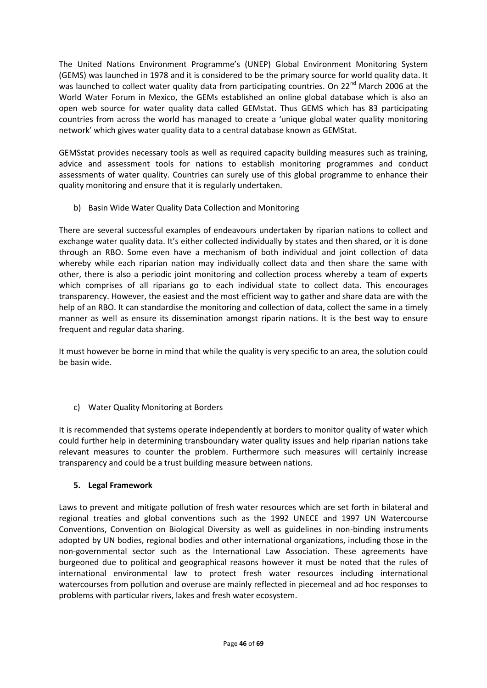The United Nations Environment Programme's (UNEP) Global Environment Monitoring System (GEMS) was launched in 1978 and it is considered to be the primary source for world quality data. It was launched to collect water quality data from participating countries. On 22<sup>nd</sup> March 2006 at the World Water Forum in Mexico, the GEMs established an online global database which is also an open web source for water quality data called GEMstat. Thus GEMS which has 83 participating countries from across the world has managed to create a 'unique global water quality monitoring network' which gives water quality data to a central database known as GEMStat.

GEMSstat provides necessary tools as well as required capacity building measures such as training, advice and assessment tools for nations to establish monitoring programmes and conduct assessments of water quality. Countries can surely use of this global programme to enhance their quality monitoring and ensure that it is regularly undertaken.

b) Basin Wide Water Quality Data Collection and Monitoring

There are several successful examples of endeavours undertaken by riparian nations to collect and exchange water quality data. It's either collected individually by states and then shared, or it is done through an RBO. Some even have a mechanism of both individual and joint collection of data whereby while each riparian nation may individually collect data and then share the same with other, there is also a periodic joint monitoring and collection process whereby a team of experts which comprises of all riparians go to each individual state to collect data. This encourages transparency. However, the easiest and the most efficient way to gather and share data are with the help of an RBO. It can standardise the monitoring and collection of data, collect the same in a timely manner as well as ensure its dissemination amongst riparin nations. It is the best way to ensure frequent and regular data sharing.

It must however be borne in mind that while the quality is very specific to an area, the solution could be basin wide.

c) Water Quality Monitoring at Borders

It is recommended that systems operate independently at borders to monitor quality of water which could further help in determining transboundary water quality issues and help riparian nations take relevant measures to counter the problem. Furthermore such measures will certainly increase transparency and could be a trust building measure between nations.

# **5. Legal Framework**

Laws to prevent and mitigate pollution of fresh water resources which are set forth in bilateral and regional treaties and global conventions such as the 1992 UNECE and 1997 UN Watercourse Conventions, Convention on Biological Diversity as well as guidelines in non-binding instruments adopted by UN bodies, regional bodies and other international organizations, including those in the non-governmental sector such as the International Law Association. These agreements have burgeoned due to political and geographical reasons however it must be noted that the rules of international environmental law to protect fresh water resources including international watercourses from pollution and overuse are mainly reflected in piecemeal and ad hoc responses to problems with particular rivers, lakes and fresh water ecosystem.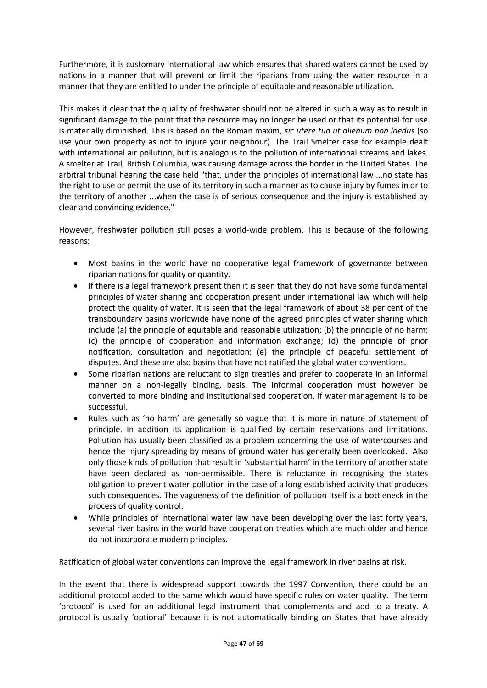Furthermore, it is customary international law which ensures that shared waters cannot be used by nations in a manner that will prevent or limit the riparians from using the water resource in a manner that they are entitled to under the principle of equitable and reasonable utilization.

This makes it clear that the quality of freshwater should not be altered in such a way as to result in significant damage to the point that the resource may no longer be used or that its potential for use is materially diminished. This is based on the Roman maxim, *sic utere tuo ut alienum non laedus* (so use your own property as not to injure your neighbour). The Trail Smelter case for example dealt with international air pollution, but is analogous to the pollution of international streams and lakes. A smelter at Trail, British Columbia, was causing damage across the border in the United States. The arbitral tribunal hearing the case held "that, under the principles of international law ...no state has the right to use or permit the use of its territory in such a manner as to cause injury by fumes in or to the territory of another ...when the case is of serious consequence and the injury is established by clear and convincing evidence."

However, freshwater pollution still poses a world-wide problem. This is because of the following reasons:

- Most basins in the world have no cooperative legal framework of governance between riparian nations for quality or quantity.
- If there is a legal framework present then it is seen that they do not have some fundamental principles of water sharing and cooperation present under international law which will help protect the quality of water. It is seen that the legal framework of about 38 per cent of the transboundary basins worldwide have none of the agreed principles of water sharing which include (a) the principle of equitable and reasonable utilization; (b) the principle of no harm; (c) the principle of cooperation and information exchange; (d) the principle of prior notification, consultation and negotiation; (e) the principle of peaceful settlement of disputes. And these are also basins that have not ratified the global water conventions.
- Some riparian nations are reluctant to sign treaties and prefer to cooperate in an informal manner on a non-legally binding, basis. The informal cooperation must however be converted to more binding and institutionalised cooperation, if water management is to be successful.
- Rules such as 'no harm' are generally so vague that it is more in nature of statement of principle. In addition its application is qualified by certain reservations and limitations. Pollution has usually been classified as a problem concerning the use of watercourses and hence the injury spreading by means of ground water has generally been overlooked. Also only those kinds of pollution that result in 'substantial harm' in the territory of another state have been declared as non-permissible. There is reluctance in recognising the states obligation to prevent water pollution in the case of a long established activity that produces such consequences. The vagueness of the definition of pollution itself is a bottleneck in the process of quality control.
- While principles of international water law have been developing over the last forty years, several river basins in the world have cooperation treaties which are much older and hence do not incorporate modern principles.

Ratification of global water conventions can improve the legal framework in river basins at risk.

In the event that there is widespread support towards the 1997 Convention, there could be an additional protocol added to the same which would have specific rules on water quality. The term 'protocol' is used for an additional legal instrument that complements and add to a treaty. A protocol is usually 'optional' because it is not automatically binding on States that have already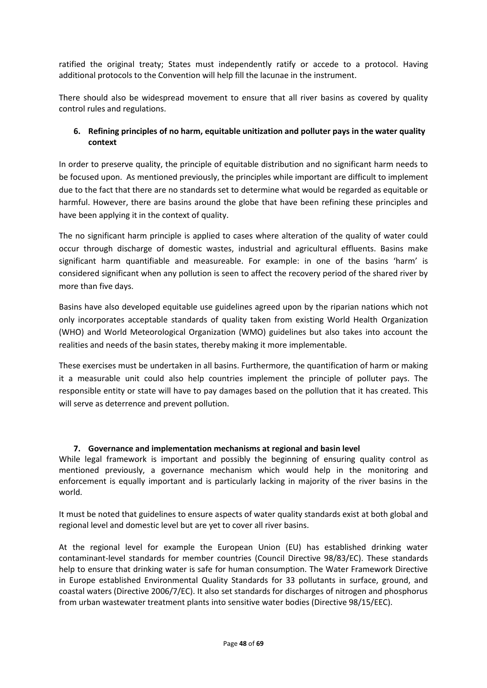ratified the original treaty; States must independently ratify or accede to a protocol. Having additional protocols to the Convention will help fill the lacunae in the instrument.

There should also be widespread movement to ensure that all river basins as covered by quality control rules and regulations.

#### **6. Refining principles of no harm, equitable unitization and polluter pays in the water quality context**

In order to preserve quality, the principle of equitable distribution and no significant harm needs to be focused upon. As mentioned previously, the principles while important are difficult to implement due to the fact that there are no standards set to determine what would be regarded as equitable or harmful. However, there are basins around the globe that have been refining these principles and have been applying it in the context of quality.

The no significant harm principle is applied to cases where alteration of the quality of water could occur through discharge of domestic wastes, industrial and agricultural effluents. Basins make significant harm quantifiable and measureable. For example: in one of the basins 'harm' is considered significant when any pollution is seen to affect the recovery period of the shared river by more than five days.

Basins have also developed equitable use guidelines agreed upon by the riparian nations which not only incorporates acceptable standards of quality taken from existing World Health Organization (WHO) and World Meteorological Organization (WMO) guidelines but also takes into account the realities and needs of the basin states, thereby making it more implementable.

These exercises must be undertaken in all basins. Furthermore, the quantification of harm or making it a measurable unit could also help countries implement the principle of polluter pays. The responsible entity or state will have to pay damages based on the pollution that it has created. This will serve as deterrence and prevent pollution.

#### **7. Governance and implementation mechanisms at regional and basin level**

While legal framework is important and possibly the beginning of ensuring quality control as mentioned previously, a governance mechanism which would help in the monitoring and enforcement is equally important and is particularly lacking in majority of the river basins in the world.

It must be noted that guidelines to ensure aspects of water quality standards exist at both global and regional level and domestic level but are yet to cover all river basins.

At the regional level for example the European Union (EU) has established drinking water contaminant-level standards for member countries (Council Directive 98/83/EC). These standards help to ensure that drinking water is safe for human consumption. The Water Framework Directive in Europe established Environmental Quality Standards for 33 pollutants in surface, ground, and coastal waters (Directive 2006/7/EC). It also set standards for discharges of nitrogen and phosphorus from urban wastewater treatment plants into sensitive water bodies (Directive 98/15/EEC).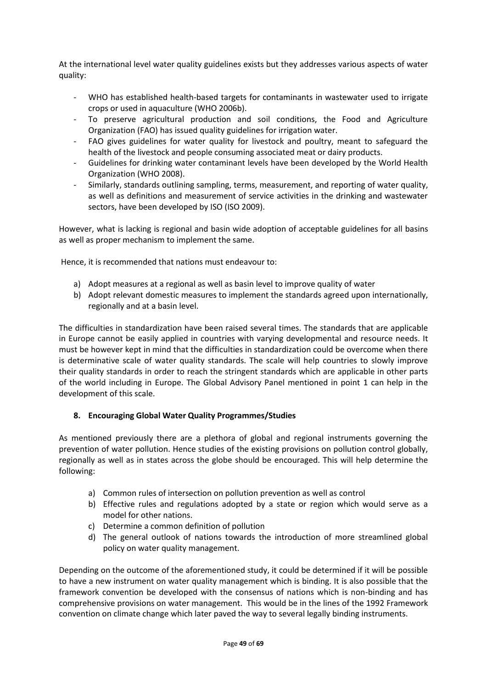At the international level water quality guidelines exists but they addresses various aspects of water quality:

- WHO has established health-based targets for contaminants in wastewater used to irrigate crops or used in aquaculture (WHO 2006b).
- To preserve agricultural production and soil conditions, the Food and Agriculture Organization (FAO) has issued quality guidelines for irrigation water.
- FAO gives guidelines for water quality for livestock and poultry, meant to safeguard the health of the livestock and people consuming associated meat or dairy products.
- Guidelines for drinking water contaminant levels have been developed by the World Health Organization (WHO 2008).
- Similarly, standards outlining sampling, terms, measurement, and reporting of water quality, as well as definitions and measurement of service activities in the drinking and wastewater sectors, have been developed by ISO (ISO 2009).

However, what is lacking is regional and basin wide adoption of acceptable guidelines for all basins as well as proper mechanism to implement the same.

Hence, it is recommended that nations must endeavour to:

- a) Adopt measures at a regional as well as basin level to improve quality of water
- b) Adopt relevant domestic measures to implement the standards agreed upon internationally, regionally and at a basin level.

The difficulties in standardization have been raised several times. The standards that are applicable in Europe cannot be easily applied in countries with varying developmental and resource needs. It must be however kept in mind that the difficulties in standardization could be overcome when there is determinative scale of water quality standards. The scale will help countries to slowly improve their quality standards in order to reach the stringent standards which are applicable in other parts of the world including in Europe. The Global Advisory Panel mentioned in point 1 can help in the development of this scale.

#### **8. Encouraging Global Water Quality Programmes/Studies**

As mentioned previously there are a plethora of global and regional instruments governing the prevention of water pollution. Hence studies of the existing provisions on pollution control globally, regionally as well as in states across the globe should be encouraged. This will help determine the following:

- a) Common rules of intersection on pollution prevention as well as control
- b) Effective rules and regulations adopted by a state or region which would serve as a model for other nations.
- c) Determine a common definition of pollution
- d) The general outlook of nations towards the introduction of more streamlined global policy on water quality management.

Depending on the outcome of the aforementioned study, it could be determined if it will be possible to have a new instrument on water quality management which is binding. It is also possible that the framework convention be developed with the consensus of nations which is non-binding and has comprehensive provisions on water management. This would be in the lines of the 1992 Framework convention on climate change which later paved the way to several legally binding instruments.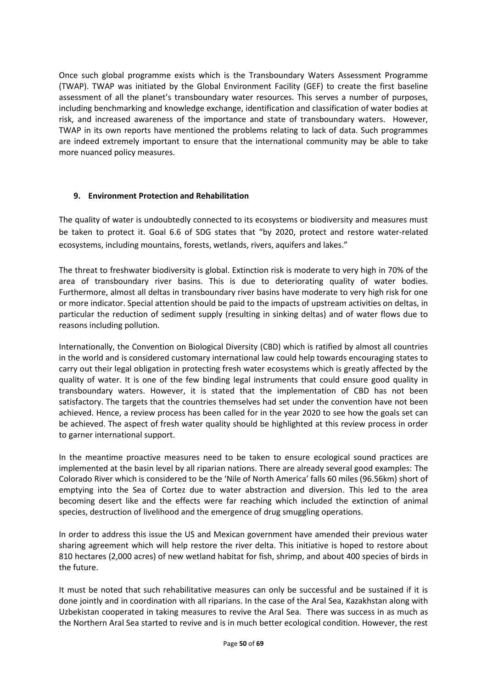Once such global programme exists which is the Transboundary Waters Assessment Programme (TWAP). TWAP was initiated by the Global Environment Facility (GEF) to create the first baseline assessment of all the planet's transboundary water resources. This serves a number of purposes, including benchmarking and knowledge exchange, identification and classification of water bodies at risk, and increased awareness of the importance and state of transboundary waters. However, TWAP in its own reports have mentioned the problems relating to lack of data. Such programmes are indeed extremely important to ensure that the international community may be able to take more nuanced policy measures.

#### **9. Environment Protection and Rehabilitation**

The quality of water is undoubtedly connected to its ecosystems or biodiversity and measures must be taken to protect it. Goal 6.6 of SDG states that "by 2020, protect and restore water-related ecosystems, including mountains, forests, wetlands, rivers, aquifers and lakes."

The threat to freshwater biodiversity is global. Extinction risk is moderate to very high in 70% of the area of transboundary river basins. This is due to deteriorating quality of water bodies. Furthermore, almost all deltas in transboundary river basins have moderate to very high risk for one or more indicator. Special attention should be paid to the impacts of upstream activities on deltas, in particular the reduction of sediment supply (resulting in sinking deltas) and of water flows due to reasons including pollution.

Internationally, the Convention on Biological Diversity (CBD) which is ratified by almost all countries in the world and is considered customary international law could help towards encouraging states to carry out their legal obligation in protecting fresh water ecosystems which is greatly affected by the quality of water. It is one of the few binding legal instruments that could ensure good quality in transboundary waters. However, it is stated that the implementation of CBD has not been satisfactory. The targets that the countries themselves had set under the convention have not been achieved. Hence, a review process has been called for in the year 2020 to see how the goals set can be achieved. The aspect of fresh water quality should be highlighted at this review process in order to garner international support.

In the meantime proactive measures need to be taken to ensure ecological sound practices are implemented at the basin level by all riparian nations. There are already several good examples: The Colorado River which is considered to be the 'Nile of North America' falls 60 miles (96.56km) short of emptying into the Sea of Cortez due to water abstraction and diversion. This led to the area becoming desert like and the effects were far reaching which included the extinction of animal species, destruction of livelihood and the emergence of drug smuggling operations.

In order to address this issue the US and Mexican government have amended their previous water sharing agreement which will help restore the river delta. This initiative is hoped to restore about 810 hectares (2,000 acres) of new wetland habitat for fish, shrimp, and about 400 species of birds in the future.

It must be noted that such rehabilitative measures can only be successful and be sustained if it is done jointly and in coordination with all riparians. In the case of the Aral Sea, Kazakhstan along with Uzbekistan cooperated in taking measures to revive the Aral Sea. There was success in as much as the Northern Aral Sea started to revive and is in much better ecological condition. However, the rest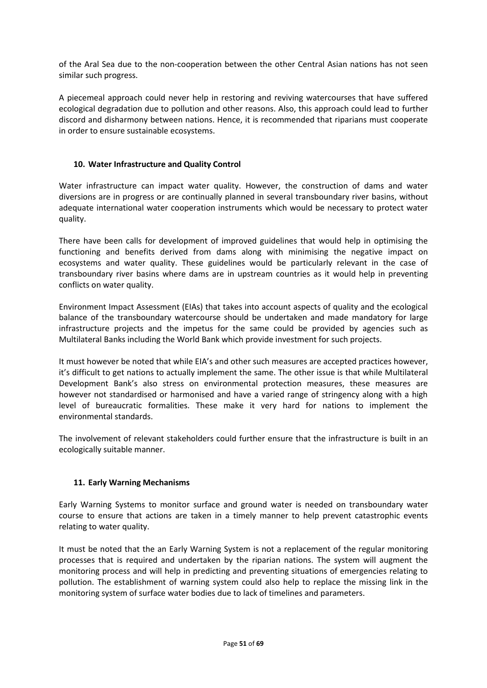of the Aral Sea due to the non-cooperation between the other Central Asian nations has not seen similar such progress.

A piecemeal approach could never help in restoring and reviving watercourses that have suffered ecological degradation due to pollution and other reasons. Also, this approach could lead to further discord and disharmony between nations. Hence, it is recommended that riparians must cooperate in order to ensure sustainable ecosystems.

#### **10. Water Infrastructure and Quality Control**

Water infrastructure can impact water quality. However, the construction of dams and water diversions are in progress or are continually planned in several transboundary river basins, without adequate international water cooperation instruments which would be necessary to protect water quality.

There have been calls for development of improved guidelines that would help in optimising the functioning and benefits derived from dams along with minimising the negative impact on ecosystems and water quality. These guidelines would be particularly relevant in the case of transboundary river basins where dams are in upstream countries as it would help in preventing conflicts on water quality.

Environment Impact Assessment (EIAs) that takes into account aspects of quality and the ecological balance of the transboundary watercourse should be undertaken and made mandatory for large infrastructure projects and the impetus for the same could be provided by agencies such as Multilateral Banks including the World Bank which provide investment for such projects.

It must however be noted that while EIA's and other such measures are accepted practices however, it's difficult to get nations to actually implement the same. The other issue is that while Multilateral Development Bank's also stress on environmental protection measures, these measures are however not standardised or harmonised and have a varied range of stringency along with a high level of bureaucratic formalities. These make it very hard for nations to implement the environmental standards.

The involvement of relevant stakeholders could further ensure that the infrastructure is built in an ecologically suitable manner.

#### **11. Early Warning Mechanisms**

Early Warning Systems to monitor surface and ground water is needed on transboundary water course to ensure that actions are taken in a timely manner to help prevent catastrophic events relating to water quality.

It must be noted that the an Early Warning System is not a replacement of the regular monitoring processes that is required and undertaken by the riparian nations. The system will augment the monitoring process and will help in predicting and preventing situations of emergencies relating to pollution. The establishment of warning system could also help to replace the missing link in the monitoring system of surface water bodies due to lack of timelines and parameters.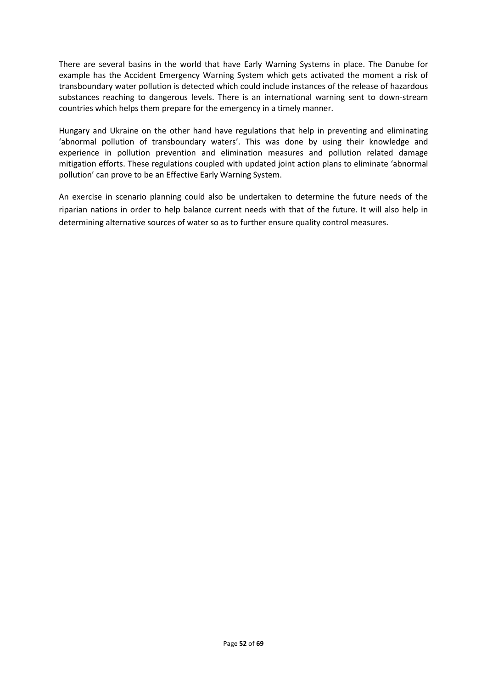There are several basins in the world that have Early Warning Systems in place. The Danube for example has the Accident Emergency Warning System which gets activated the moment a risk of transboundary water pollution is detected which could include instances of the release of hazardous substances reaching to dangerous levels. There is an international warning sent to down-stream countries which helps them prepare for the emergency in a timely manner.

Hungary and Ukraine on the other hand have regulations that help in preventing and eliminating 'abnormal pollution of transboundary waters'. This was done by using their knowledge and experience in pollution prevention and elimination measures and pollution related damage mitigation efforts. These regulations coupled with updated joint action plans to eliminate 'abnormal pollution' can prove to be an Effective Early Warning System.

An exercise in scenario planning could also be undertaken to determine the future needs of the riparian nations in order to help balance current needs with that of the future. It will also help in determining alternative sources of water so as to further ensure quality control measures.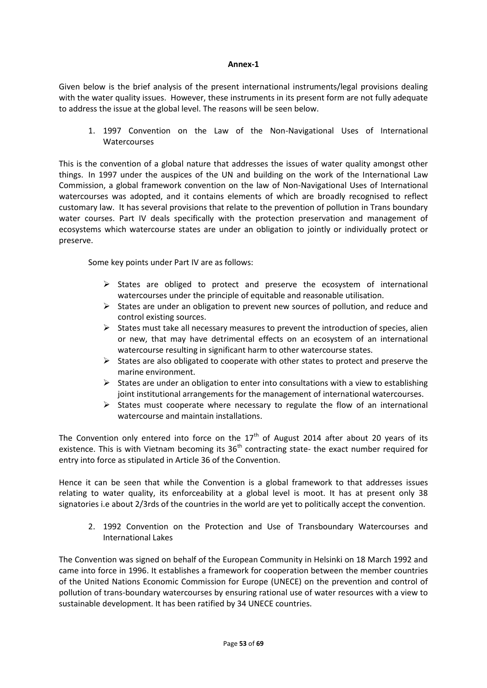#### **Annex-1**

Given below is the brief analysis of the present international instruments/legal provisions dealing with the water quality issues. However, these instruments in its present form are not fully adequate to address the issue at the global level. The reasons will be seen below.

1. 1997 Convention on the Law of the Non-Navigational Uses of International **Watercourses** 

This is the convention of a global nature that addresses the issues of water quality amongst other things. In 1997 under the auspices of the UN and building on the work of the International Law Commission, a global framework convention on the law of Non-Navigational Uses of International watercourses was adopted, and it contains elements of which are broadly recognised to reflect customary law. It has several provisions that relate to the prevention of pollution in Trans boundary water courses. Part IV deals specifically with the protection preservation and management of ecosystems which watercourse states are under an obligation to jointly or individually protect or preserve.

Some key points under Part IV are as follows:

- $\triangleright$  States are obliged to protect and preserve the ecosystem of international watercourses under the principle of equitable and reasonable utilisation.
- $\triangleright$  States are under an obligation to prevent new sources of pollution, and reduce and control existing sources.
- $\triangleright$  States must take all necessary measures to prevent the introduction of species, alien or new, that may have detrimental effects on an ecosystem of an international watercourse resulting in significant harm to other watercourse states.
- $\triangleright$  States are also obligated to cooperate with other states to protect and preserve the marine environment.
- $\triangleright$  States are under an obligation to enter into consultations with a view to establishing joint institutional arrangements for the management of international watercourses.
- $\triangleright$  States must cooperate where necessary to regulate the flow of an international watercourse and maintain installations.

The Convention only entered into force on the  $17<sup>th</sup>$  of August 2014 after about 20 years of its existence. This is with Vietnam becoming its 36<sup>th</sup> contracting state- the exact number required for entry into force as stipulated in Article 36 of the Convention.

Hence it can be seen that while the Convention is a global framework to that addresses issues relating to water quality, its enforceability at a global level is moot. It has at present only 38 signatories i.e about 2/3rds of the countries in the world are yet to politically accept the convention.

2. 1992 Convention on the Protection and Use of Transboundary Watercourses and International Lakes

The Convention was signed on behalf of the European Community in Helsinki on 18 March 1992 and came into force in 1996. It establishes a framework for cooperation between the member countries of the United Nations Economic Commission for Europe (UNECE) on the prevention and control of pollution of trans-boundary watercourses by ensuring rational use of water resources with a view to sustainable development. It has been ratified by 34 UNECE countries.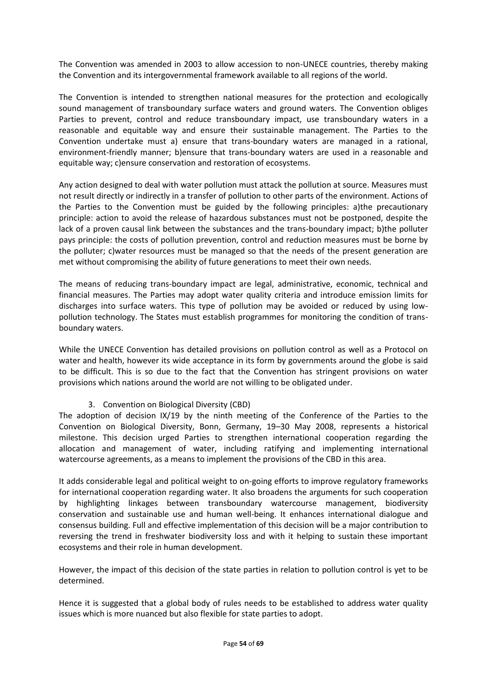The Convention was amended in 2003 to allow accession to non-UNECE countries, thereby making the Convention and its intergovernmental framework available to all regions of the world.

The Convention is intended to strengthen national measures for the protection and ecologically sound management of transboundary surface waters and ground waters. The Convention obliges Parties to prevent, control and reduce transboundary impact, use transboundary waters in a reasonable and equitable way and ensure their sustainable management. The Parties to the Convention undertake must a) ensure that trans-boundary waters are managed in a rational, environment-friendly manner; b)ensure that trans-boundary waters are used in a reasonable and equitable way; c)ensure conservation and restoration of ecosystems.

Any action designed to deal with water pollution must attack the pollution at source. Measures must not result directly or indirectly in a transfer of pollution to other parts of the environment. Actions of the Parties to the Convention must be guided by the following principles: a)the precautionary principle: action to avoid the release of hazardous substances must not be postponed, despite the lack of a proven causal link between the substances and the trans-boundary impact; b)the polluter pays principle: the costs of pollution prevention, control and reduction measures must be borne by the polluter; c)water resources must be managed so that the needs of the present generation are met without compromising the ability of future generations to meet their own needs.

The means of reducing trans-boundary impact are legal, administrative, economic, technical and financial measures. The Parties may adopt water quality criteria and introduce emission limits for discharges into surface waters. This type of pollution may be avoided or reduced by using lowpollution technology. The States must establish programmes for monitoring the condition of transboundary waters.

While the UNECE Convention has detailed provisions on pollution control as well as a Protocol on water and health, however its wide acceptance in its form by governments around the globe is said to be difficult. This is so due to the fact that the Convention has stringent provisions on water provisions which nations around the world are not willing to be obligated under.

#### 3. Convention on Biological Diversity (CBD)

The adoption of decision IX/19 by the ninth meeting of the Conference of the Parties to the Convention on Biological Diversity, Bonn, Germany, 19–30 May 2008, represents a historical milestone. This decision urged Parties to strengthen international cooperation regarding the allocation and management of water, including ratifying and implementing international watercourse agreements, as a means to implement the provisions of the CBD in this area.

It adds considerable legal and political weight to on-going efforts to improve regulatory frameworks for international cooperation regarding water. It also broadens the arguments for such cooperation by highlighting linkages between transboundary watercourse management, biodiversity conservation and sustainable use and human well-being. It enhances international dialogue and consensus building. Full and effective implementation of this decision will be a major contribution to reversing the trend in freshwater biodiversity loss and with it helping to sustain these important ecosystems and their role in human development.

However, the impact of this decision of the state parties in relation to pollution control is yet to be determined.

Hence it is suggested that a global body of rules needs to be established to address water quality issues which is more nuanced but also flexible for state parties to adopt.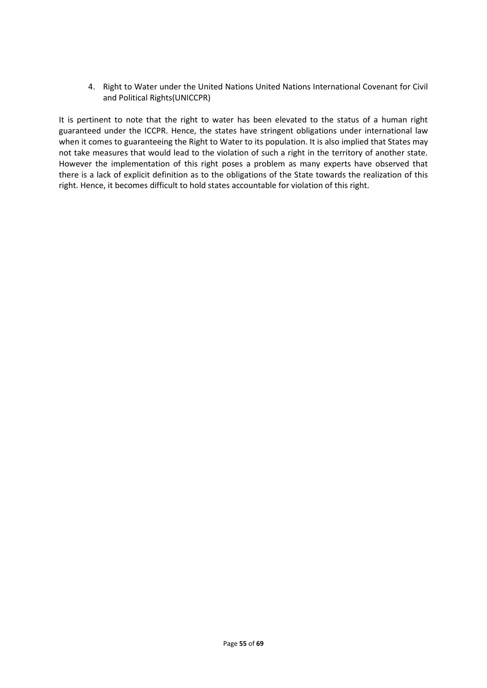4. Right to Water under the United Nations United Nations International Covenant for Civil and Political Rights(UNICCPR)

It is pertinent to note that the right to water has been elevated to the status of a human right guaranteed under the ICCPR. Hence, the states have stringent obligations under international law when it comes to guaranteeing the Right to Water to its population. It is also implied that States may not take measures that would lead to the violation of such a right in the territory of another state. However the implementation of this right poses a problem as many experts have observed that there is a lack of explicit definition as to the obligations of the State towards the realization of this right. Hence, it becomes difficult to hold states accountable for violation of this right.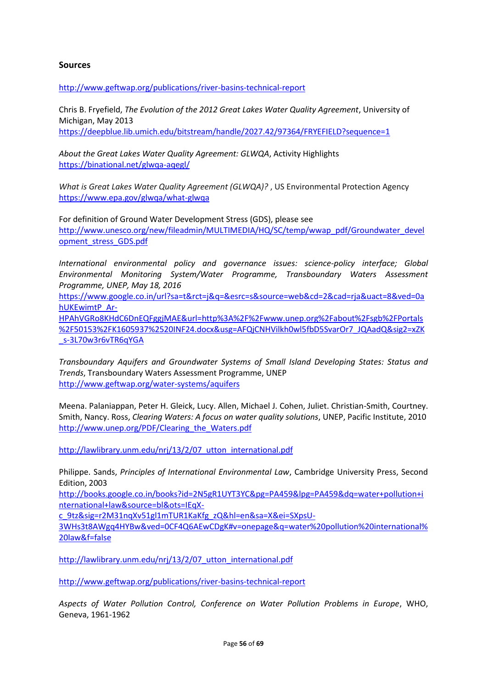#### **Sources**

<http://www.geftwap.org/publications/river-basins-technical-report>

Chris B. Fryefield, *The Evolution of the 2012 Great Lakes Water Quality Agreement*, University of Michigan, May 2013 <https://deepblue.lib.umich.edu/bitstream/handle/2027.42/97364/FRYEFIELD?sequence=1>

*About the Great Lakes Water Quality Agreement: GLWQA*, Activity Highlights <https://binational.net/glwqa-aqegl/>

*What is Great Lakes Water Quality Agreement (GLWQA)?* , US Environmental Protection Agency <https://www.epa.gov/glwqa/what-glwqa>

For definition of Ground Water Development Stress (GDS), please see [http://www.unesco.org/new/fileadmin/MULTIMEDIA/HQ/SC/temp/wwap\\_pdf/Groundwater\\_devel](http://www.unesco.org/new/fileadmin/MULTIMEDIA/HQ/SC/temp/wwap_pdf/Groundwater_development_stress_GDS.pdf) [opment\\_stress\\_GDS.pdf](http://www.unesco.org/new/fileadmin/MULTIMEDIA/HQ/SC/temp/wwap_pdf/Groundwater_development_stress_GDS.pdf)

*International environmental policy and governance issues: science-policy interface; Global Environmental Monitoring System/Water Programme, Transboundary Waters Assessment Programme, UNEP, May 18, 2016*

[https://www.google.co.in/url?sa=t&rct=j&q=&esrc=s&source=web&cd=2&cad=rja&uact=8&ved=0a](https://www.google.co.in/url?sa=t&rct=j&q=&esrc=s&source=web&cd=2&cad=rja&uact=8&ved=0ahUKEwimtP_Ar-HPAhVGRo8KHdC6DnEQFggjMAE&url=http%3A%2F%2Fwww.unep.org%2Fabout%2Fsgb%2FPortals%2F50153%2FK1605937%2520INF24.docx&usg=AFQjCNHVilkh0wl5fbD5SvarOr7_JQAadQ&sig2=xZK_s-3L70w3r6vTR6qYGA) [hUKEwimtP\\_Ar-](https://www.google.co.in/url?sa=t&rct=j&q=&esrc=s&source=web&cd=2&cad=rja&uact=8&ved=0ahUKEwimtP_Ar-HPAhVGRo8KHdC6DnEQFggjMAE&url=http%3A%2F%2Fwww.unep.org%2Fabout%2Fsgb%2FPortals%2F50153%2FK1605937%2520INF24.docx&usg=AFQjCNHVilkh0wl5fbD5SvarOr7_JQAadQ&sig2=xZK_s-3L70w3r6vTR6qYGA)

[HPAhVGRo8KHdC6DnEQFggjMAE&url=http%3A%2F%2Fwww.unep.org%2Fabout%2Fsgb%2FPortals](https://www.google.co.in/url?sa=t&rct=j&q=&esrc=s&source=web&cd=2&cad=rja&uact=8&ved=0ahUKEwimtP_Ar-HPAhVGRo8KHdC6DnEQFggjMAE&url=http%3A%2F%2Fwww.unep.org%2Fabout%2Fsgb%2FPortals%2F50153%2FK1605937%2520INF24.docx&usg=AFQjCNHVilkh0wl5fbD5SvarOr7_JQAadQ&sig2=xZK_s-3L70w3r6vTR6qYGA) [%2F50153%2FK1605937%2520INF24.docx&usg=AFQjCNHVilkh0wl5fbD5SvarOr7\\_JQAadQ&sig2=xZK](https://www.google.co.in/url?sa=t&rct=j&q=&esrc=s&source=web&cd=2&cad=rja&uact=8&ved=0ahUKEwimtP_Ar-HPAhVGRo8KHdC6DnEQFggjMAE&url=http%3A%2F%2Fwww.unep.org%2Fabout%2Fsgb%2FPortals%2F50153%2FK1605937%2520INF24.docx&usg=AFQjCNHVilkh0wl5fbD5SvarOr7_JQAadQ&sig2=xZK_s-3L70w3r6vTR6qYGA) [\\_s-3L70w3r6vTR6qYGA](https://www.google.co.in/url?sa=t&rct=j&q=&esrc=s&source=web&cd=2&cad=rja&uact=8&ved=0ahUKEwimtP_Ar-HPAhVGRo8KHdC6DnEQFggjMAE&url=http%3A%2F%2Fwww.unep.org%2Fabout%2Fsgb%2FPortals%2F50153%2FK1605937%2520INF24.docx&usg=AFQjCNHVilkh0wl5fbD5SvarOr7_JQAadQ&sig2=xZK_s-3L70w3r6vTR6qYGA)

*Transboundary Aquifers and Groundwater Systems of Small Island Developing States: Status and Trends*, Transboundary Waters Assessment Programme, UNEP <http://www.geftwap.org/water-systems/aquifers>

Meena. Palaniappan, Peter H. Gleick, Lucy. Allen, Michael J. Cohen, Juliet. Christian-Smith, Courtney. Smith, Nancy. Ross, *Clearing Waters: A focus on water quality solutions*, UNEP, Pacific Institute, 2010 [http://www.unep.org/PDF/Clearing\\_the\\_Waters.pdf](http://www.unep.org/PDF/Clearing_the_Waters.pdf)

[http://lawlibrary.unm.edu/nrj/13/2/07\\_utton\\_international.pdf](http://lawlibrary.unm.edu/nrj/13/2/07_utton_international.pdf)

Philippe. Sands, *Principles of International Environmental Law*, Cambridge University Press, Second Edition, 2003

[http://books.google.co.in/books?id=2N5gR1UYT3YC&pg=PA459&lpg=PA459&dq=water+pollution+i](http://books.google.co.in/books?id=2N5gR1UYT3YC&pg=PA459&lpg=PA459&dq=water+pollution+international+law&source=bl&ots=IEqX-c_9tz&sig=r2M31nqXv51gl1mTUR1KaKfg_zQ&hl=en&sa=X&ei=SXpsU-3WHs3t8AWgq4HYBw&ved=0CF4Q6AEwCDgK#v=onepage&q=water%20pollution%20international%20law&f=false) [nternational+law&source=bl&ots=IEqX-](http://books.google.co.in/books?id=2N5gR1UYT3YC&pg=PA459&lpg=PA459&dq=water+pollution+international+law&source=bl&ots=IEqX-c_9tz&sig=r2M31nqXv51gl1mTUR1KaKfg_zQ&hl=en&sa=X&ei=SXpsU-3WHs3t8AWgq4HYBw&ved=0CF4Q6AEwCDgK#v=onepage&q=water%20pollution%20international%20law&f=false)

[c\\_9tz&sig=r2M31nqXv51gl1mTUR1KaKfg\\_zQ&hl=en&sa=X&ei=SXpsU-](http://books.google.co.in/books?id=2N5gR1UYT3YC&pg=PA459&lpg=PA459&dq=water+pollution+international+law&source=bl&ots=IEqX-c_9tz&sig=r2M31nqXv51gl1mTUR1KaKfg_zQ&hl=en&sa=X&ei=SXpsU-3WHs3t8AWgq4HYBw&ved=0CF4Q6AEwCDgK#v=onepage&q=water%20pollution%20international%20law&f=false)

[3WHs3t8AWgq4HYBw&ved=0CF4Q6AEwCDgK#v=onepage&q=water%20pollution%20international%](http://books.google.co.in/books?id=2N5gR1UYT3YC&pg=PA459&lpg=PA459&dq=water+pollution+international+law&source=bl&ots=IEqX-c_9tz&sig=r2M31nqXv51gl1mTUR1KaKfg_zQ&hl=en&sa=X&ei=SXpsU-3WHs3t8AWgq4HYBw&ved=0CF4Q6AEwCDgK#v=onepage&q=water%20pollution%20international%20law&f=false) [20law&f=false](http://books.google.co.in/books?id=2N5gR1UYT3YC&pg=PA459&lpg=PA459&dq=water+pollution+international+law&source=bl&ots=IEqX-c_9tz&sig=r2M31nqXv51gl1mTUR1KaKfg_zQ&hl=en&sa=X&ei=SXpsU-3WHs3t8AWgq4HYBw&ved=0CF4Q6AEwCDgK#v=onepage&q=water%20pollution%20international%20law&f=false)

[http://lawlibrary.unm.edu/nrj/13/2/07\\_utton\\_international.pdf](http://lawlibrary.unm.edu/nrj/13/2/07_utton_international.pdf)

<http://www.geftwap.org/publications/river-basins-technical-report>

*Aspects of Water Pollution Control, Conference on Water Pollution Problems in Europe*, WHO, Geneva, 1961-1962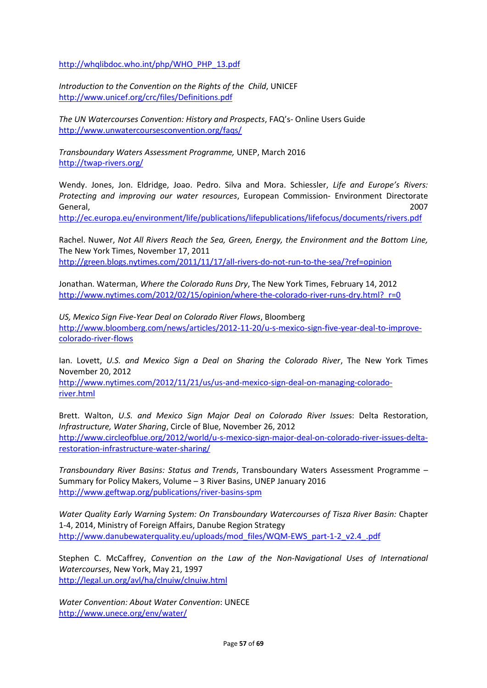[http://whqlibdoc.who.int/php/WHO\\_PHP\\_13.pdf](http://whqlibdoc.who.int/php/WHO_PHP_13.pdf)

*Introduction to the Convention on the Rights of the Child*, UNICEF <http://www.unicef.org/crc/files/Definitions.pdf>

*The UN Watercourses Convention: History and Prospects*, FAQ's- Online Users Guide <http://www.unwatercoursesconvention.org/faqs/>

*Transboundary Waters Assessment Programme,* UNEP, March 2016 <http://twap-rivers.org/>

Wendy. Jones, Jon. Eldridge, Joao. Pedro. Silva and Mora. Schiessler, *Life and Europe's Rivers: Protecting and improving our water resources*, European Commission- Environment Directorate General, 2007

<http://ec.europa.eu/environment/life/publications/lifepublications/lifefocus/documents/rivers.pdf>

Rachel. Nuwer, *Not All Rivers Reach the Sea, Green, Energy, the Environment and the Bottom Line,* The New York Times, November 17, 2011 <http://green.blogs.nytimes.com/2011/11/17/all-rivers-do-not-run-to-the-sea/?ref=opinion>

Jonathan. Waterman, *Where the Colorado Runs Dry*, The New York Times, February 14, 2012 http://www.nytimes.com/2012/02/15/opinion/where-the-colorado-river-runs-dry.html? r=0

*US, Mexico Sign Five-Year Deal on Colorado River Flows*, Bloomberg [http://www.bloomberg.com/news/articles/2012-11-20/u-s-mexico-sign-five-year-deal-to-improve](http://www.bloomberg.com/news/articles/2012-11-20/u-s-mexico-sign-five-year-deal-to-improve-colorado-river-flows)[colorado-river-flows](http://www.bloomberg.com/news/articles/2012-11-20/u-s-mexico-sign-five-year-deal-to-improve-colorado-river-flows)

Ian. Lovett, *U.S. and Mexico Sign a Deal on Sharing the Colorado River*, The New York Times November 20, 2012

[http://www.nytimes.com/2012/11/21/us/us-and-mexico-sign-deal-on-managing-colorado](http://www.nytimes.com/2012/11/21/us/us-and-mexico-sign-deal-on-managing-colorado-river.html)[river.html](http://www.nytimes.com/2012/11/21/us/us-and-mexico-sign-deal-on-managing-colorado-river.html)

Brett. Walton, *U.S. and Mexico Sign Major Deal on Colorado River Issue*s: Delta Restoration, *Infrastructure, Water Sharing*, Circle of Blue, November 26, 2012 [http://www.circleofblue.org/2012/world/u-s-mexico-sign-major-deal-on-colorado-river-issues-delta](http://www.circleofblue.org/2012/world/u-s-mexico-sign-major-deal-on-colorado-river-issues-delta-restoration-infrastructure-water-sharing/)[restoration-infrastructure-water-sharing/](http://www.circleofblue.org/2012/world/u-s-mexico-sign-major-deal-on-colorado-river-issues-delta-restoration-infrastructure-water-sharing/)

*Transboundary River Basins: Status and Trends*, Transboundary Waters Assessment Programme – Summary for Policy Makers, Volume – 3 River Basins, UNEP January 2016 <http://www.geftwap.org/publications/river-basins-spm>

*Water Quality Early Warning System: On Transboundary Watercourses of Tisza River Basin:* Chapter 1-4, 2014, Ministry of Foreign Affairs, Danube Region Strategy [http://www.danubewaterquality.eu/uploads/mod\\_files/WQM-EWS\\_part-1-2\\_v2.4\\_.pdf](http://www.danubewaterquality.eu/uploads/mod_files/WQM-EWS_part-1-2_v2.4_.pdf)

Stephen C. McCaffrey, *Convention on the Law of the Non-Navigational Uses of International Watercourses*, New York, May 21, 1997 <http://legal.un.org/avl/ha/clnuiw/clnuiw.html>

*Water Convention: About Water Convention*: UNECE <http://www.unece.org/env/water/>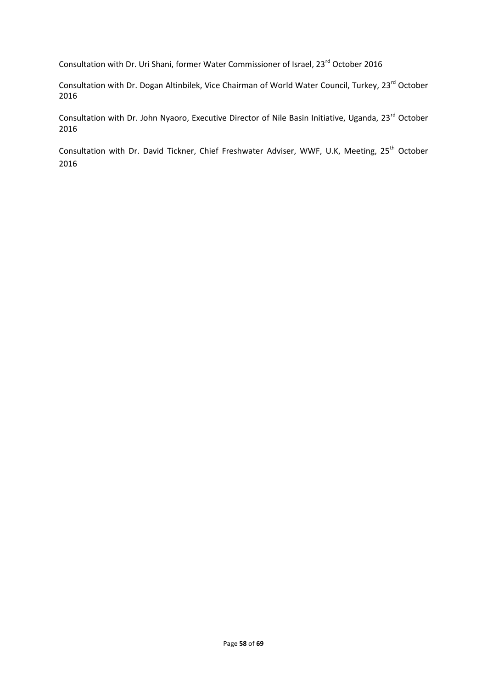Consultation with Dr. Uri Shani, former Water Commissioner of Israel, 23<sup>rd</sup> October 2016

Consultation with Dr. Dogan Altinbilek, Vice Chairman of World Water Council, Turkey, 23<sup>rd</sup> October 2016

Consultation with Dr. John Nyaoro, Executive Director of Nile Basin Initiative, Uganda, 23<sup>rd</sup> October 2016

Consultation with Dr. David Tickner, Chief Freshwater Adviser, WWF, U.K, Meeting, 25<sup>th</sup> October 2016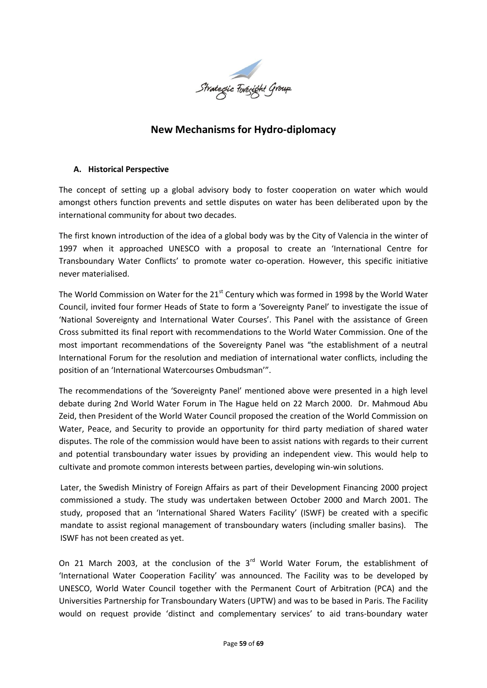

# **New Mechanisms for Hydro-diplomacy**

#### **A. Historical Perspective**

The concept of setting up a global advisory body to foster cooperation on water which would amongst others function prevents and settle disputes on water has been deliberated upon by the international community for about two decades.

The first known introduction of the idea of a global body was by the City of Valencia in the winter of 1997 when it approached UNESCO with a proposal to create an 'International Centre for Transboundary Water Conflicts' to promote water co-operation. However, this specific initiative never materialised.

The World Commission on Water for the 21<sup>st</sup> Century which was formed in 1998 by the World Water Council, invited four former Heads of State to form a 'Sovereignty Panel' to investigate the issue of 'National Sovereignty and International Water Courses'. This Panel with the assistance of Green Cross submitted its final report with recommendations to the World Water Commission. One of the most important recommendations of the Sovereignty Panel was "the establishment of a neutral International Forum for the resolution and mediation of international water conflicts, including the position of an 'International Watercourses Ombudsman'".

The recommendations of the 'Sovereignty Panel' mentioned above were presented in a high level debate during 2nd World Water Forum in The Hague held on 22 March 2000. Dr. Mahmoud Abu Zeid, then President of the World Water Council proposed the creation of the World Commission on Water, Peace, and Security to provide an opportunity for third party mediation of shared water disputes. The role of the commission would have been to assist nations with regards to their current and potential transboundary water issues by providing an independent view. This would help to cultivate and promote common interests between parties, developing win-win solutions.

Later, the Swedish Ministry of Foreign Affairs as part of their Development Financing 2000 project commissioned a study. The study was undertaken between October 2000 and March 2001. The study, proposed that an 'International Shared Waters Facility' (ISWF) be created with a specific mandate to assist regional management of transboundary waters (including smaller basins). The ISWF has not been created as yet.

On 21 March 2003, at the conclusion of the 3<sup>rd</sup> World Water Forum, the establishment of 'International Water Cooperation Facility' was announced. The Facility was to be developed by UNESCO, World Water Council together with the Permanent Court of Arbitration (PCA) and the Universities Partnership for Transboundary Waters (UPTW) and was to be based in Paris. The Facility would on request provide 'distinct and complementary services' to aid trans-boundary water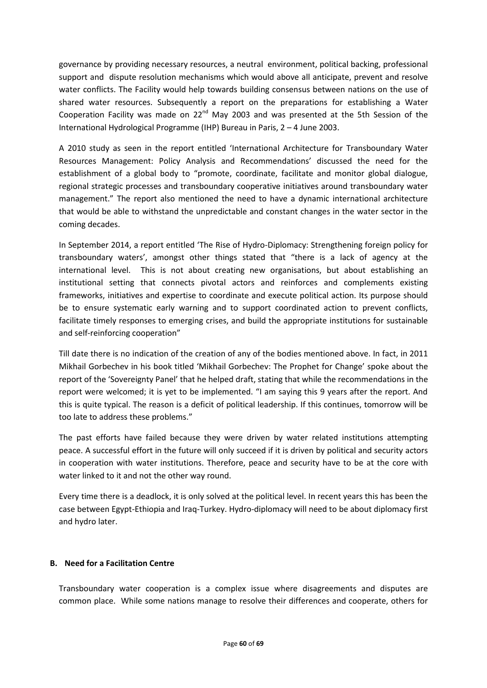governance by providing necessary resources, a neutral environment, political backing, professional support and dispute resolution mechanisms which would above all anticipate, prevent and resolve water conflicts. The Facility would help towards building consensus between nations on the use of shared water resources. Subsequently a report on the preparations for establishing a Water Cooperation Facility was made on 22<sup>nd</sup> May 2003 and was presented at the 5th Session of the International Hydrological Programme (IHP) Bureau in Paris, 2 – 4 June 2003.

A 2010 study as seen in the report entitled 'International Architecture for Transboundary Water Resources Management: Policy Analysis and Recommendations' discussed the need for the establishment of a global body to "promote, coordinate, facilitate and monitor global dialogue, regional strategic processes and transboundary cooperative initiatives around transboundary water management." The report also mentioned the need to have a dynamic international architecture that would be able to withstand the unpredictable and constant changes in the water sector in the coming decades.

In September 2014, a report entitled 'The Rise of Hydro-Diplomacy: Strengthening foreign policy for transboundary waters', amongst other things stated that "there is a lack of agency at the international level. This is not about creating new organisations, but about establishing an institutional setting that connects pivotal actors and reinforces and complements existing frameworks, initiatives and expertise to coordinate and execute political action. Its purpose should be to ensure systematic early warning and to support coordinated action to prevent conflicts, facilitate timely responses to emerging crises, and build the appropriate institutions for sustainable and self-reinforcing cooperation"

Till date there is no indication of the creation of any of the bodies mentioned above. In fact, in 2011 Mikhail Gorbechev in his book titled 'Mikhail Gorbechev: The Prophet for Change' spoke about the report of the 'Sovereignty Panel' that he helped draft, stating that while the recommendations in the report were welcomed; it is yet to be implemented. "I am saying this 9 years after the report. And this is quite typical. The reason is a deficit of political leadership. If this continues, tomorrow will be too late to address these problems."

The past efforts have failed because they were driven by water related institutions attempting peace. A successful effort in the future will only succeed if it is driven by political and security actors in cooperation with water institutions. Therefore, peace and security have to be at the core with water linked to it and not the other way round.

Every time there is a deadlock, it is only solved at the political level. In recent years this has been the case between Egypt-Ethiopia and Iraq-Turkey. Hydro-diplomacy will need to be about diplomacy first and hydro later.

#### **B. Need for a Facilitation Centre**

Transboundary water cooperation is a complex issue where disagreements and disputes are common place. While some nations manage to resolve their differences and cooperate, others for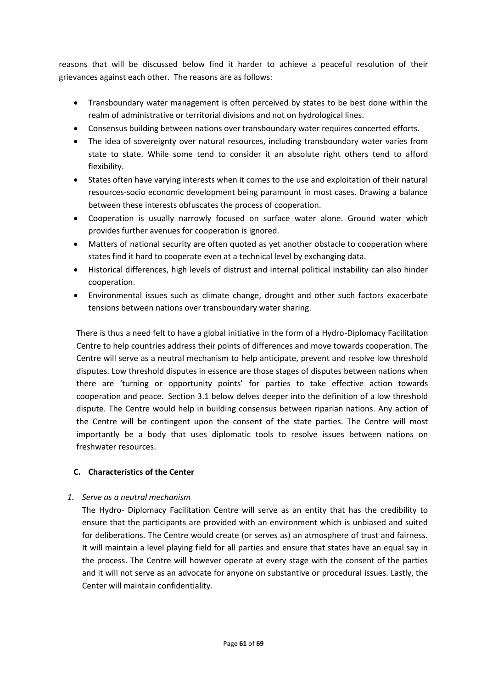reasons that will be discussed below find it harder to achieve a peaceful resolution of their grievances against each other. The reasons are as follows:

- Transboundary water management is often perceived by states to be best done within the realm of administrative or territorial divisions and not on hydrological lines.
- Consensus building between nations over transboundary water requires concerted efforts.
- The idea of sovereignty over natural resources, including transboundary water varies from state to state. While some tend to consider it an absolute right others tend to afford flexibility.
- States often have varying interests when it comes to the use and exploitation of their natural resources-socio economic development being paramount in most cases. Drawing a balance between these interests obfuscates the process of cooperation.
- Cooperation is usually narrowly focused on surface water alone. Ground water which provides further avenues for cooperation is ignored.
- Matters of national security are often quoted as yet another obstacle to cooperation where states find it hard to cooperate even at a technical level by exchanging data.
- Historical differences, high levels of distrust and internal political instability can also hinder cooperation.
- Environmental issues such as climate change, drought and other such factors exacerbate tensions between nations over transboundary water sharing.

There is thus a need felt to have a global initiative in the form of a Hydro-Diplomacy Facilitation Centre to help countries address their points of differences and move towards cooperation. The Centre will serve as a neutral mechanism to help anticipate, prevent and resolve low threshold disputes. Low threshold disputes in essence are those stages of disputes between nations when there are 'turning or opportunity points' for parties to take effective action towards cooperation and peace. Section 3.1 below delves deeper into the definition of a low threshold dispute. The Centre would help in building consensus between riparian nations. Any action of the Centre will be contingent upon the consent of the state parties. The Centre will most importantly be a body that uses diplomatic tools to resolve issues between nations on freshwater resources.

# **C. Characteristics of the Center**

#### *1. Serve as a neutral mechanism*

The Hydro- Diplomacy Facilitation Centre will serve as an entity that has the credibility to ensure that the participants are provided with an environment which is unbiased and suited for deliberations. The Centre would create (or serves as) an atmosphere of trust and fairness. It will maintain a level playing field for all parties and ensure that states have an equal say in the process. The Centre will however operate at every stage with the consent of the parties and it will not serve as an advocate for anyone on substantive or procedural issues. Lastly, the Center will maintain confidentiality.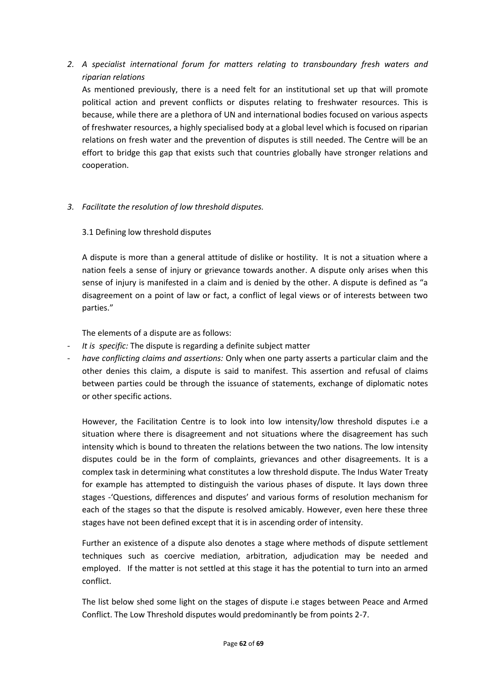*2. A specialist international forum for matters relating to transboundary fresh waters and riparian relations* 

As mentioned previously, there is a need felt for an institutional set up that will promote political action and prevent conflicts or disputes relating to freshwater resources. This is because, while there are a plethora of UN and international bodies focused on various aspects of freshwater resources, a highly specialised body at a global level which is focused on riparian relations on fresh water and the prevention of disputes is still needed. The Centre will be an effort to bridge this gap that exists such that countries globally have stronger relations and cooperation.

#### *3. Facilitate the resolution of low threshold disputes.*

3.1 Defining low threshold disputes

A dispute is more than a general attitude of dislike or hostility. It is not a situation where a nation feels a sense of injury or grievance towards another. A dispute only arises when this sense of injury is manifested in a claim and is denied by the other. A dispute is defined as "a disagreement on a point of law or fact, a conflict of legal views or of interests between two parties."

The elements of a dispute are as follows:

- *It is specific:* The dispute is regarding a definite subject matter
- *have conflicting claims and assertions:* Only when one party asserts a particular claim and the other denies this claim, a dispute is said to manifest. This assertion and refusal of claims between parties could be through the issuance of statements, exchange of diplomatic notes or other specific actions.

However, the Facilitation Centre is to look into low intensity/low threshold disputes i.e a situation where there is disagreement and not situations where the disagreement has such intensity which is bound to threaten the relations between the two nations. The low intensity disputes could be in the form of complaints, grievances and other disagreements. It is a complex task in determining what constitutes a low threshold dispute. The Indus Water Treaty for example has attempted to distinguish the various phases of dispute. It lays down three stages -'Questions, differences and disputes' and various forms of resolution mechanism for each of the stages so that the dispute is resolved amicably. However, even here these three stages have not been defined except that it is in ascending order of intensity.

Further an existence of a dispute also denotes a stage where methods of dispute settlement techniques such as coercive mediation, arbitration, adjudication may be needed and employed. If the matter is not settled at this stage it has the potential to turn into an armed conflict.

The list below shed some light on the stages of dispute i.e stages between Peace and Armed Conflict. The Low Threshold disputes would predominantly be from points 2-7.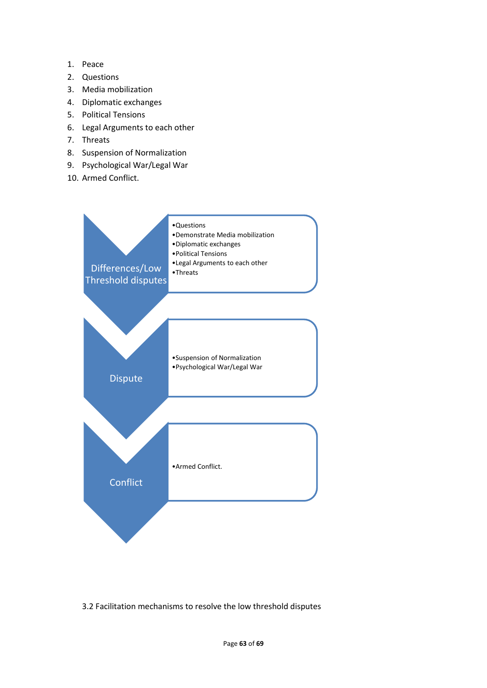- 1. Peace
- 2. Questions
- 3. Media mobilization
- 4. Diplomatic exchanges
- 5. Political Tensions
- 6. Legal Arguments to each other
- 7. Threats
- 8. Suspension of Normalization
- 9. Psychological War/Legal War
- 10. Armed Conflict.



3.2 Facilitation mechanisms to resolve the low threshold disputes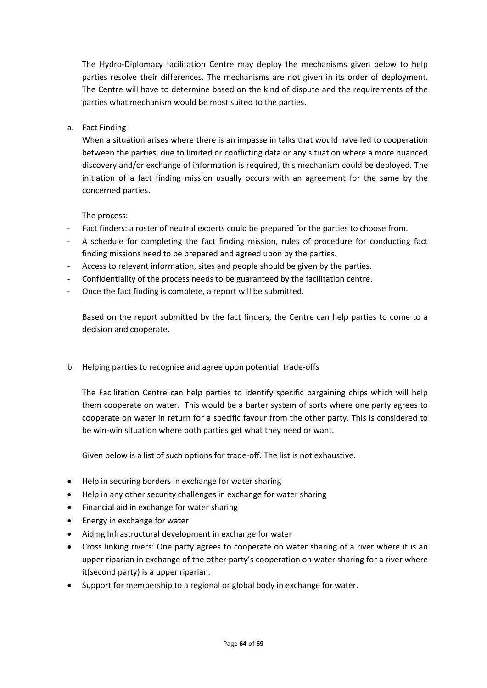The Hydro-Diplomacy facilitation Centre may deploy the mechanisms given below to help parties resolve their differences. The mechanisms are not given in its order of deployment. The Centre will have to determine based on the kind of dispute and the requirements of the parties what mechanism would be most suited to the parties.

#### a. Fact Finding

When a situation arises where there is an impasse in talks that would have led to cooperation between the parties, due to limited or conflicting data or any situation where a more nuanced discovery and/or exchange of information is required, this mechanism could be deployed. The initiation of a fact finding mission usually occurs with an agreement for the same by the concerned parties.

The process:

- Fact finders: a roster of neutral experts could be prepared for the parties to choose from.
- A schedule for completing the fact finding mission, rules of procedure for conducting fact finding missions need to be prepared and agreed upon by the parties.
- Access to relevant information, sites and people should be given by the parties.
- Confidentiality of the process needs to be guaranteed by the facilitation centre.
- Once the fact finding is complete, a report will be submitted.

Based on the report submitted by the fact finders, the Centre can help parties to come to a decision and cooperate.

b. Helping parties to recognise and agree upon potential trade-offs

The Facilitation Centre can help parties to identify specific bargaining chips which will help them cooperate on water. This would be a barter system of sorts where one party agrees to cooperate on water in return for a specific favour from the other party. This is considered to be win-win situation where both parties get what they need or want.

Given below is a list of such options for trade-off. The list is not exhaustive.

- Help in securing borders in exchange for water sharing
- Help in any other security challenges in exchange for water sharing
- Financial aid in exchange for water sharing
- Energy in exchange for water
- Aiding Infrastructural development in exchange for water
- Cross linking rivers: One party agrees to cooperate on water sharing of a river where it is an upper riparian in exchange of the other party's cooperation on water sharing for a river where it(second party) is a upper riparian.
- Support for membership to a regional or global body in exchange for water.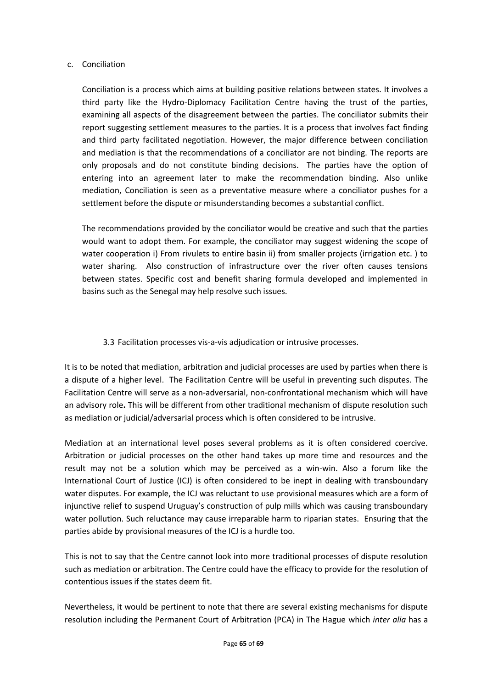#### c. Conciliation

Conciliation is a process which aims at building positive relations between states. It involves a third party like the Hydro-Diplomacy Facilitation Centre having the trust of the parties, examining all aspects of the disagreement between the parties. The conciliator submits their report suggesting settlement measures to the parties. It is a process that involves fact finding and third party facilitated negotiation. However, the major difference between conciliation and mediation is that the recommendations of a conciliator are not binding. The reports are only proposals and do not constitute binding decisions. The parties have the option of entering into an agreement later to make the recommendation binding. Also unlike mediation, Conciliation is seen as a preventative measure where a conciliator pushes for a settlement before the dispute or misunderstanding becomes a substantial conflict.

The recommendations provided by the conciliator would be creative and such that the parties would want to adopt them. For example, the conciliator may suggest widening the scope of water cooperation i) From rivulets to entire basin ii) from smaller projects (irrigation etc. ) to water sharing. Also construction of infrastructure over the river often causes tensions between states. Specific cost and benefit sharing formula developed and implemented in basins such as the Senegal may help resolve such issues.

3.3 Facilitation processes vis-a-vis adjudication or intrusive processes.

It is to be noted that mediation, arbitration and judicial processes are used by parties when there is a dispute of a higher level. The Facilitation Centre will be useful in preventing such disputes. The Facilitation Centre will serve as a non-adversarial, non-confrontational mechanism which will have an advisory role**.** This will be different from other traditional mechanism of dispute resolution such as mediation or judicial/adversarial process which is often considered to be intrusive.

Mediation at an international level poses several problems as it is often considered coercive. Arbitration or judicial processes on the other hand takes up more time and resources and the result may not be a solution which may be perceived as a win-win. Also a forum like the International Court of Justice (ICJ) is often considered to be inept in dealing with transboundary water disputes. For example, the ICJ was reluctant to use provisional measures which are a form of injunctive relief to suspend Uruguay's construction of pulp mills which was causing transboundary water pollution. Such reluctance may cause irreparable harm to riparian states. Ensuring that the parties abide by provisional measures of the ICJ is a hurdle too.

This is not to say that the Centre cannot look into more traditional processes of dispute resolution such as mediation or arbitration. The Centre could have the efficacy to provide for the resolution of contentious issues if the states deem fit.

Nevertheless, it would be pertinent to note that there are several existing mechanisms for dispute resolution including the Permanent Court of Arbitration (PCA) in The Hague which *inter alia* has a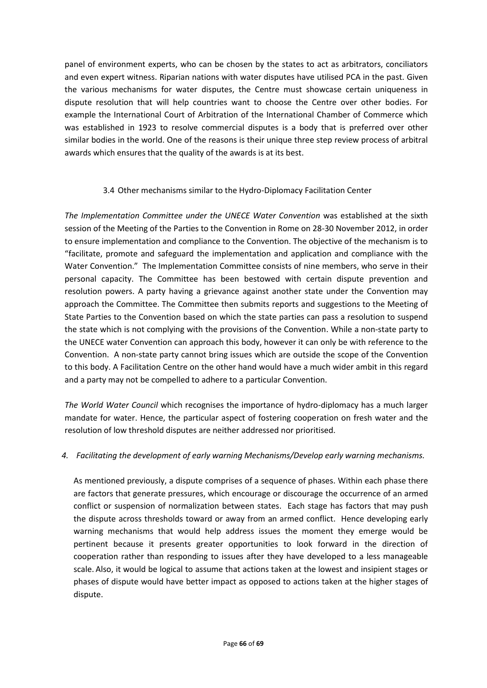panel of environment experts, who can be chosen by the states to act as arbitrators, conciliators and even expert witness. Riparian nations with water disputes have utilised PCA in the past. Given the various mechanisms for water disputes, the Centre must showcase certain uniqueness in dispute resolution that will help countries want to choose the Centre over other bodies. For example the International Court of Arbitration of the International Chamber of Commerce which was established in 1923 to resolve commercial disputes is a body that is preferred over other similar bodies in the world. One of the reasons is their unique three step review process of arbitral awards which ensures that the quality of the awards is at its best.

#### 3.4 Other mechanisms similar to the Hydro-Diplomacy Facilitation Center

*The Implementation Committee under the UNECE Water Convention* was established at the sixth session of the Meeting of the Parties to the Convention in Rome on 28-30 November 2012, in order to ensure implementation and compliance to the Convention. The objective of the mechanism is to "facilitate, promote and safeguard the implementation and application and compliance with the Water Convention." The Implementation Committee consists of nine members, who serve in their personal capacity. The Committee has been bestowed with certain dispute prevention and resolution powers. A party having a grievance against another state under the Convention may approach the Committee. The Committee then submits reports and suggestions to the Meeting of State Parties to the Convention based on which the state parties can pass a resolution to suspend the state which is not complying with the provisions of the Convention. While a non-state party to the UNECE water Convention can approach this body, however it can only be with reference to the Convention. A non-state party cannot bring issues which are outside the scope of the Convention to this body. A Facilitation Centre on the other hand would have a much wider ambit in this regard and a party may not be compelled to adhere to a particular Convention.

*The World Water Council* which recognises the importance of hydro-diplomacy has a much larger mandate for water. Hence, the particular aspect of fostering cooperation on fresh water and the resolution of low threshold disputes are neither addressed nor prioritised.

#### *4. Facilitating the development of early warning Mechanisms/Develop early warning mechanisms.*

As mentioned previously, a dispute comprises of a sequence of phases. Within each phase there are factors that generate pressures, which encourage or discourage the occurrence of an armed conflict or suspension of normalization between states. Each stage has factors that may push the dispute across thresholds toward or away from an armed conflict. Hence developing early warning mechanisms that would help address issues the moment they emerge would be pertinent because it presents greater opportunities to look forward in the direction of cooperation rather than responding to issues after they have developed to a less manageable scale. Also, it would be logical to assume that actions taken at the lowest and insipient stages or phases of dispute would have better impact as opposed to actions taken at the higher stages of dispute.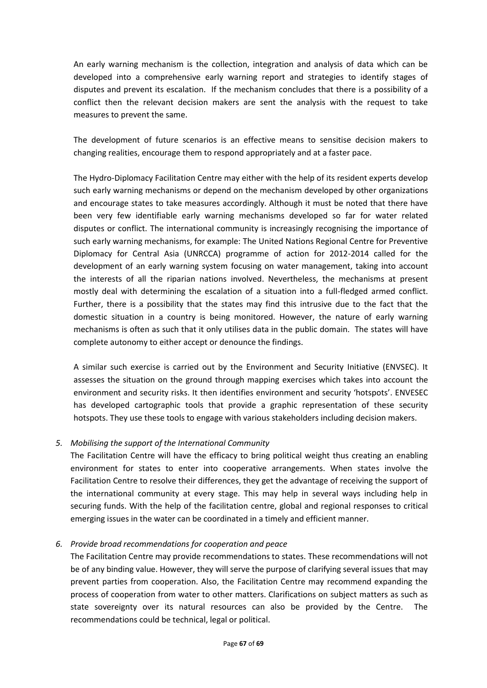An early warning mechanism is the collection, integration and analysis of data which can be developed into a comprehensive early warning report and strategies to identify stages of disputes and prevent its escalation. If the mechanism concludes that there is a possibility of a conflict then the relevant decision makers are sent the analysis with the request to take measures to prevent the same.

The development of future scenarios is an effective means to sensitise decision makers to changing realities, encourage them to respond appropriately and at a faster pace.

The Hydro-Diplomacy Facilitation Centre may either with the help of its resident experts develop such early warning mechanisms or depend on the mechanism developed by other organizations and encourage states to take measures accordingly. Although it must be noted that there have been very few identifiable early warning mechanisms developed so far for water related disputes or conflict. The international community is increasingly recognising the importance of such early warning mechanisms, for example: The United Nations Regional Centre for Preventive Diplomacy for Central Asia (UNRCCA) programme of action for 2012-2014 called for the development of an early warning system focusing on water management, taking into account the interests of all the riparian nations involved. Nevertheless, the mechanisms at present mostly deal with determining the escalation of a situation into a full-fledged armed conflict. Further, there is a possibility that the states may find this intrusive due to the fact that the domestic situation in a country is being monitored. However, the nature of early warning mechanisms is often as such that it only utilises data in the public domain. The states will have complete autonomy to either accept or denounce the findings.

A similar such exercise is carried out by the Environment and Security Initiative (ENVSEC). It assesses the situation on the ground through mapping exercises which takes into account the environment and security risks. It then identifies environment and security 'hotspots'. ENVESEC has developed cartographic tools that provide a graphic representation of these security hotspots. They use these tools to engage with various stakeholders including decision makers.

#### *5. Mobilising the support of the International Community*

The Facilitation Centre will have the efficacy to bring political weight thus creating an enabling environment for states to enter into cooperative arrangements. When states involve the Facilitation Centre to resolve their differences, they get the advantage of receiving the support of the international community at every stage. This may help in several ways including help in securing funds. With the help of the facilitation centre, global and regional responses to critical emerging issues in the water can be coordinated in a timely and efficient manner.

# *6. Provide broad recommendations for cooperation and peace*

The Facilitation Centre may provide recommendations to states. These recommendations will not be of any binding value. However, they will serve the purpose of clarifying several issues that may prevent parties from cooperation. Also, the Facilitation Centre may recommend expanding the process of cooperation from water to other matters. Clarifications on subject matters as such as state sovereignty over its natural resources can also be provided by the Centre. The recommendations could be technical, legal or political.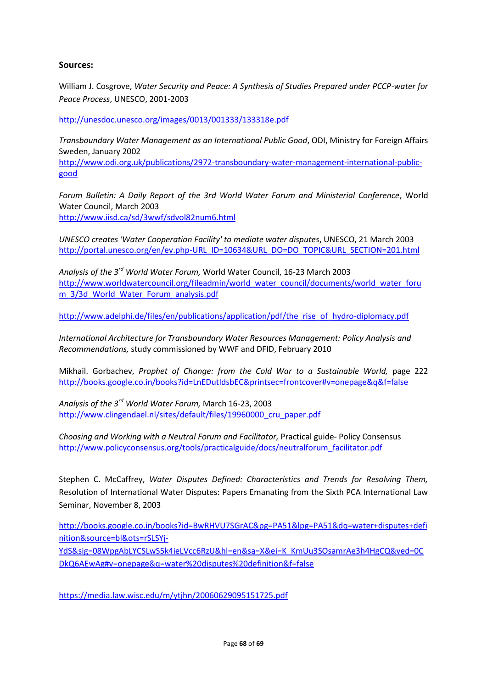#### **Sources:**

William J. Cosgrove, *Water Security and Peace: A Synthesis of Studies Prepared under PCCP-water for Peace Process*, UNESCO, 2001-2003

<http://unesdoc.unesco.org/images/0013/001333/133318e.pdf>

*Transboundary Water Management as an International Public Good*, ODI, Ministry for Foreign Affairs Sweden, January 2002

[http://www.odi.org.uk/publications/2972-transboundary-water-management-international-public](http://www.odi.org.uk/publications/2972-transboundary-water-management-international-public-good)[good](http://www.odi.org.uk/publications/2972-transboundary-water-management-international-public-good)

*Forum Bulletin: A Daily Report of the 3rd World Water Forum and Ministerial Conference*, World Water Council, March 2003 <http://www.iisd.ca/sd/3wwf/sdvol82num6.html>

*UNESCO creates 'Water Cooperation Facility' to mediate water disputes*, UNESCO, 21 March 2003 [http://portal.unesco.org/en/ev.php-URL\\_ID=10634&URL\\_DO=DO\\_TOPIC&URL\\_SECTION=201.html](http://portal.unesco.org/en/ev.php-URL_ID=10634&URL_DO=DO_TOPIC&URL_SECTION=201.html)

*Analysis of the 3rd World Water Forum,* World Water Council, 16-23 March 2003 [http://www.worldwatercouncil.org/fileadmin/world\\_water\\_council/documents/world\\_water\\_foru](http://www.worldwatercouncil.org/fileadmin/world_water_council/documents/world_water_forum_3/3d_World_Water_Forum_analysis.pdf) [m\\_3/3d\\_World\\_Water\\_Forum\\_analysis.pdf](http://www.worldwatercouncil.org/fileadmin/world_water_council/documents/world_water_forum_3/3d_World_Water_Forum_analysis.pdf)

[http://www.adelphi.de/files/en/publications/application/pdf/the\\_rise\\_of\\_hydro-diplomacy.pdf](http://www.adelphi.de/files/en/publications/application/pdf/the_rise_of_hydro-diplomacy.pdf)

*International Architecture for Transboundary Water Resources Management: Policy Analysis and Recommendations,* study commissioned by WWF and DFID, February 2010

Mikhail. Gorbachev, *Prophet of Change: from the Cold War to a Sustainable World,* page 222 <http://books.google.co.in/books?id=LnEDutIdsbEC&printsec=frontcover#v=onepage&q&f=false>

*Analysis of the 3rd World Water Forum,* March 16-23, 2003 http://www.clingendael.nl/sites/default/files/19960000 cru\_paper.pdf

*Choosing and Working with a Neutral Forum and Facilitator,* Practical guide- Policy Consensus [http://www.policyconsensus.org/tools/practicalguide/docs/neutralforum\\_facilitator.pdf](http://www.policyconsensus.org/tools/practicalguide/docs/neutralforum_facilitator.pdf)

Stephen C. McCaffrey, *Water Disputes Defined: Characteristics and Trends for Resolving Them,*  Resolution of International Water Disputes: Papers Emanating from the Sixth PCA International Law Seminar, November 8, 2003

[http://books.google.co.in/books?id=BwRHVU7SGrAC&pg=PA51&lpg=PA51&dq=water+disputes+defi](http://books.google.co.in/books?id=BwRHVU7SGrAC&pg=PA51&lpg=PA51&dq=water+disputes+definition&source=bl&ots=rSLSYj-YdS&sig=08WpgAbLYCSLwS5k4ieLVcc6RzU&hl=en&sa=X&ei=K_KmUu3SOsamrAe3h4HgCQ&ved=0CDkQ6AEwAg#v=onepage&q=water%20disputes%20definition&f=false) [nition&source=bl&ots=rSLSYj-](http://books.google.co.in/books?id=BwRHVU7SGrAC&pg=PA51&lpg=PA51&dq=water+disputes+definition&source=bl&ots=rSLSYj-YdS&sig=08WpgAbLYCSLwS5k4ieLVcc6RzU&hl=en&sa=X&ei=K_KmUu3SOsamrAe3h4HgCQ&ved=0CDkQ6AEwAg#v=onepage&q=water%20disputes%20definition&f=false)

[YdS&sig=08WpgAbLYCSLwS5k4ieLVcc6RzU&hl=en&sa=X&ei=K\\_KmUu3SOsamrAe3h4HgCQ&ved=0C](http://books.google.co.in/books?id=BwRHVU7SGrAC&pg=PA51&lpg=PA51&dq=water+disputes+definition&source=bl&ots=rSLSYj-YdS&sig=08WpgAbLYCSLwS5k4ieLVcc6RzU&hl=en&sa=X&ei=K_KmUu3SOsamrAe3h4HgCQ&ved=0CDkQ6AEwAg#v=onepage&q=water%20disputes%20definition&f=false) [DkQ6AEwAg#v=onepage&q=water%20disputes%20definition&f=false](http://books.google.co.in/books?id=BwRHVU7SGrAC&pg=PA51&lpg=PA51&dq=water+disputes+definition&source=bl&ots=rSLSYj-YdS&sig=08WpgAbLYCSLwS5k4ieLVcc6RzU&hl=en&sa=X&ei=K_KmUu3SOsamrAe3h4HgCQ&ved=0CDkQ6AEwAg#v=onepage&q=water%20disputes%20definition&f=false)

<https://media.law.wisc.edu/m/ytjhn/20060629095151725.pdf>